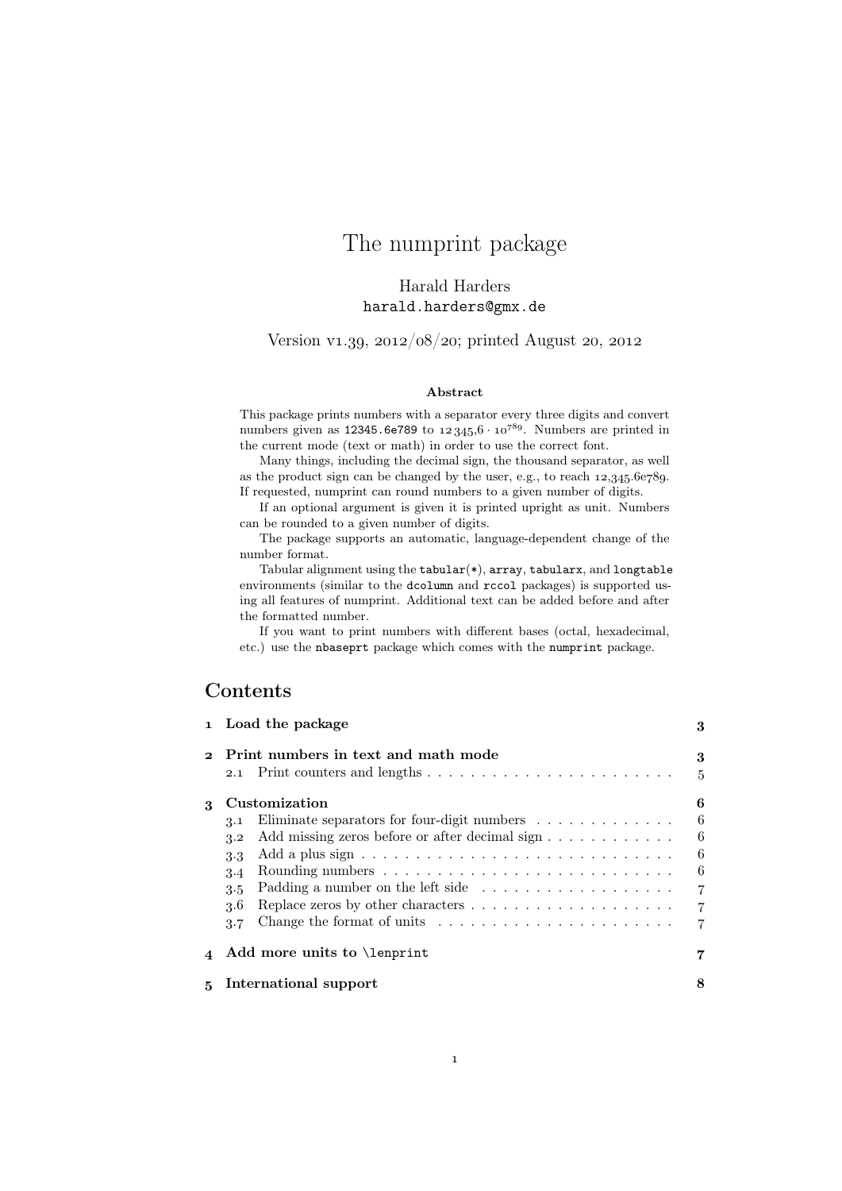# The numprint package

# Harald Harders harald.harders@gmx.de

Version v1.39,  $2012/08/20$ ; printed August 20, 2012

#### Abstract

This package prints numbers with a separator every three digits and convert numbers given as 12345.6e789 to  $12345.6 \cdot 10^{789}$ . Numbers are printed in the current mode (text or math) in order to use the correct font.

Many things, including the decimal sign, the thousand separator, as well as the product sign can be changed by the user, e.g., to reach  $12,345.6e789$ . If requested, numprint can round numbers to a given number of digits.

If an optional argument is given it is printed upright as unit. Numbers can be rounded to a given number of digits.

The package supports an automatic, language-dependent change of the number format.

Tabular alignment using the tabular(\*), array, tabularx, and longtable environments (similar to the dcolumn and rccol packages) is supported using all features of numprint. Additional text can be added before and after the formatted number.

If you want to print numbers with different bases (octal, hexadecimal, etc.) use the nbaseprt package which comes with the numprint package.

# Contents

|              | 1 Load the package                                                                                                                                                                                                                                                                                             | 3                                                                           |
|--------------|----------------------------------------------------------------------------------------------------------------------------------------------------------------------------------------------------------------------------------------------------------------------------------------------------------------|-----------------------------------------------------------------------------|
| $\mathbf{2}$ | Print numbers in text and math mode<br>2.1                                                                                                                                                                                                                                                                     | 3<br>$\overline{5}$                                                         |
| 3            | Customization<br>Eliminate separators for four-digit numbers $\dots \dots \dots \dots$<br>3.1<br>Add missing zeros before or after decimal sign<br>3.2<br>3.3<br>3.4<br>Padding a number on the left side<br>3.5<br>3.6<br>Change the format of units $\dots \dots \dots \dots \dots \dots \dots \dots$<br>3.7 | 6<br>6<br>6<br>6<br>6<br>$\overline{7}$<br>$\overline{7}$<br>$\overline{7}$ |
|              | Add more units to <i>\lenprint</i>                                                                                                                                                                                                                                                                             |                                                                             |
|              | International support                                                                                                                                                                                                                                                                                          | 8                                                                           |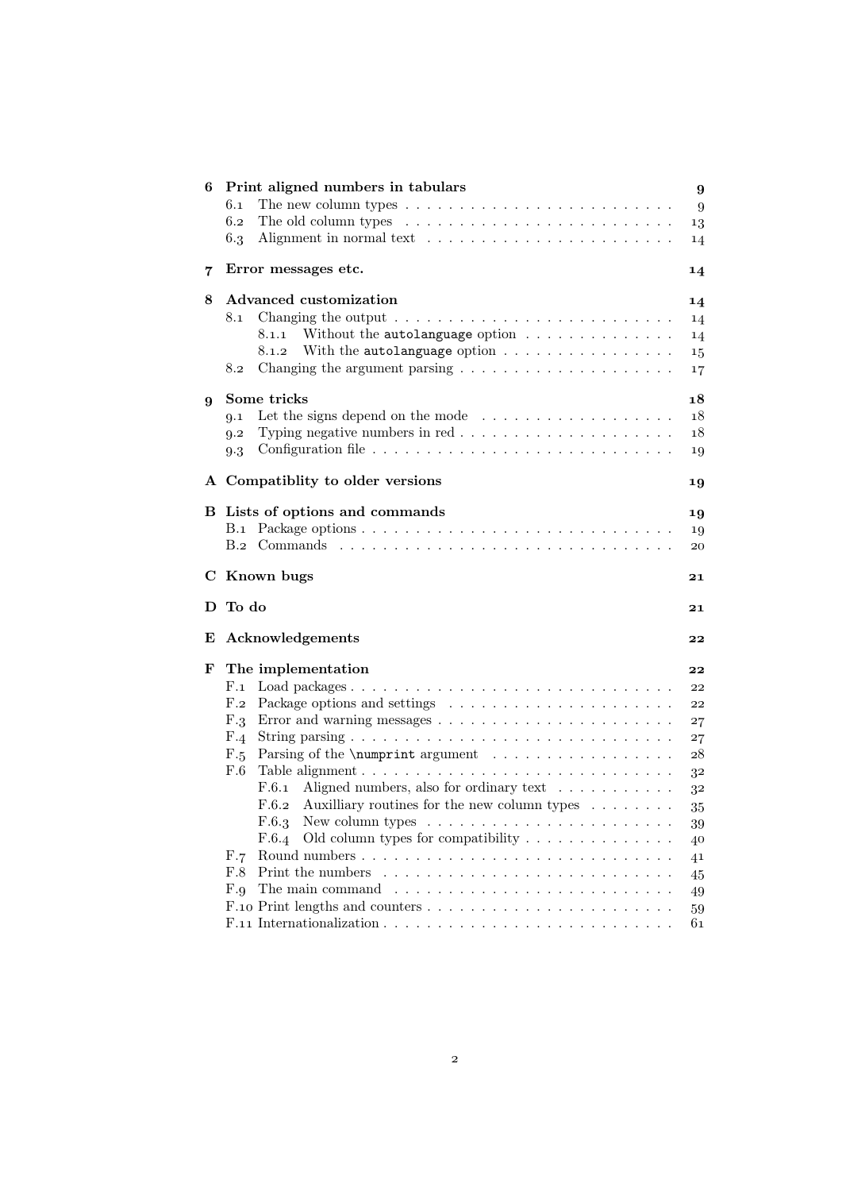| 6 | Print aligned numbers in tabulars                                                         | $\boldsymbol{9}$ |
|---|-------------------------------------------------------------------------------------------|------------------|
|   | The new column types $\dots \dots \dots \dots \dots \dots \dots \dots \dots \dots$<br>6.1 | 9                |
|   | 6.2                                                                                       | 13               |
|   | 6.3                                                                                       | 14               |
| 7 | Error messages etc.                                                                       | 14               |
| 8 | Advanced customization                                                                    | 14               |
|   | 8.1                                                                                       | 14               |
|   | Without the autolanguage option $\ldots \ldots \ldots \ldots$<br>8.1.1                    | 14               |
|   | With the autolanguage option $\ldots \ldots \ldots \ldots \ldots$<br>8.1.2                | 15               |
|   | Changing the argument parsing $\ldots \ldots \ldots \ldots \ldots \ldots \ldots$<br>8.2   | 17               |
|   | Some tricks                                                                               | 18               |
| 9 | Let the signs depend on the mode $\ldots \ldots \ldots \ldots \ldots \ldots$<br>9.1       | 18               |
|   | 9.2                                                                                       | 18               |
|   | 9.3                                                                                       | 19               |
|   |                                                                                           |                  |
|   | A Compatiblity to older versions                                                          | 19               |
|   | B Lists of options and commands                                                           | 19               |
|   |                                                                                           | 19               |
|   |                                                                                           | 20               |
|   | C Known bugs                                                                              | 21               |
| D | To do                                                                                     | 21               |
| E | Acknowledgements                                                                          | 22               |
| F | The implementation                                                                        | 22               |
|   | $_{\rm F.1}$                                                                              | 22               |
|   | $F_{.2}$                                                                                  | 22               |
|   | F.3                                                                                       | 27               |
|   | F.4                                                                                       | 27               |
|   | Parsing of the \numprint argument<br>F.5                                                  | 28               |
|   | F.6                                                                                       | 32               |
|   | F.6.1 Aligned numbers, also for ordinary text $\dots \dots \dots$                         | 32               |
|   | F.6.2 Auxilliary routines for the new column types $\dots \dots$                          | 35               |
|   | F.6.3                                                                                     | 39               |
|   | Old column types for compatibility $\dots \dots \dots \dots \dots$<br>F.6.4               | 40               |
|   | F.7                                                                                       | 41               |
|   | F.8                                                                                       | 45               |
|   | The main command $\ldots \ldots \ldots \ldots \ldots \ldots \ldots \ldots \ldots$<br>F.9  | 49               |
|   |                                                                                           | 59<br>61         |
|   |                                                                                           |                  |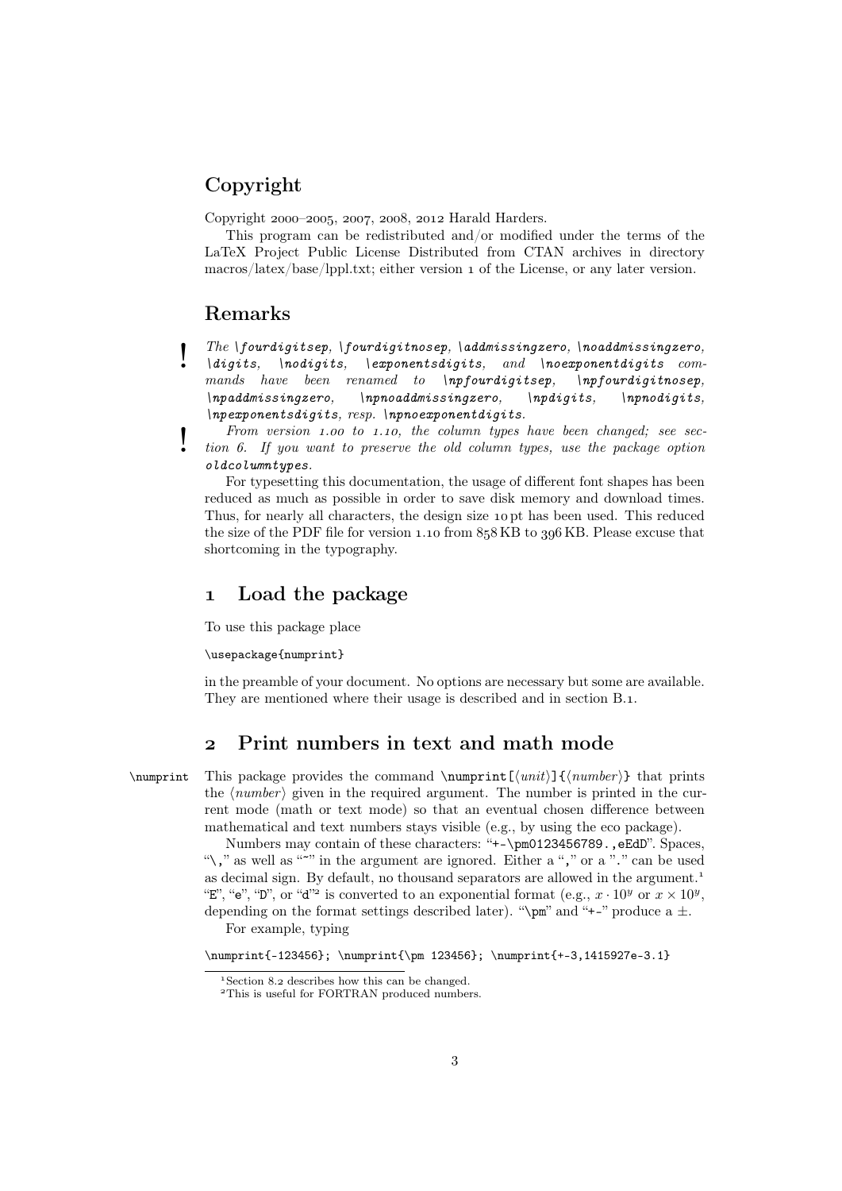# Copyright

Copyright 2000-2005, 2007, 2008, 2012 Harald Harders.

This program can be redistributed and/or modified under the terms of the LaTeX Project Public License Distributed from CTAN archives in directory macros/latex/base/lppl.txt; either version 1 of the License, or any later version.

# Remarks

The \fourdigitsep, \fourdigitnosep, \addmissingzero, \noaddmissingzero,  $\langle \text{digits}, \ldots \rangle$  \aigits, \exponentsdigits, and \noexponentdigits com-<br>mands have been renamed to \npfourdigitsep. \npfourdigitnosep. mands have been renamed to  $\infty$ ,  $\infty$ ,  $\infty$ ,  $\infty$ ,  $\infty$ ,  $\infty$ ,  $\infty$ ,  $\infty$ ,  $\infty$ ,  $\infty$ ,  $\infty$ ,  $\infty$ ,  $\infty$ ,  $\infty$ ,  $\infty$ ,  $\infty$ ,  $\infty$ ,  $\infty$ ,  $\infty$ ,  $\infty$ ,  $\infty$ ,  $\infty$ ,  $\infty$ ,  $\infty$ ,  $\infty$ ,  $\infty$ ,  $\infty$ ,  $\infty$  $\n\neq$  \npaddmissingzero, \npnoaddmissingzero, \npdigits, \npnodigits,  $\{np\,$ exponentsdigits, resp.  $\{npno\,$ exponentdigits.

From version 1.00 to 1.10, the column types have been changed; see section 6. If you want to preserve the old column types, use the package option oldcolumntypes.

For typesetting this documentation, the usage of different font shapes has been reduced as much as possible in order to save disk memory and download times. Thus, for nearly all characters, the design size 10 pt has been used. This reduced the size of the PDF file for version  $1.10$  from  $858$  KB to  $396$  KB. Please excuse that shortcoming in the typography.

# 1 Load the package

To use this package place

#### \usepackage{numprint}

in the preamble of your document. No options are necessary but some are available. They are mentioned where their usage is described and in section B.1.

# Print numbers in text and math mode

\numprint This package provides the command \numprint  ${\langle \text{unit}\rangle} {\langle \text{number}\rangle}$  that prints the  $\langle number \rangle$  given in the required argument. The number is printed in the current mode (math or text mode) so that an eventual chosen difference between mathematical and text numbers stays visible (e.g., by using the eco package).

Numbers may contain of these characters: "+-\pm0123456789.,eEdD". Spaces, "\," as well as "<sup>\*</sup>" in the argument are ignored. Either a "," or a "." can be used as decimal sign. By default, no thousand separators are allowed in the argument. "E", "e", "D", or "d"<sup>2</sup> is converted to an exponential format (e.g.,  $x \cdot 10^y$  or  $x \times 10^y$ , depending on the format settings described later). " $\pm$ " and "+-" produce a  $\pm$ . For example, typing

\numprint{-123456}; \numprint{\pm 123456}; \numprint{+-3,1415927e-3.1}

<sup>&</sup>lt;sup>1</sup> Section 8.2 describes how this can be changed.

<sup>&</sup>lt;sup>2</sup>This is useful for FORTRAN produced numbers.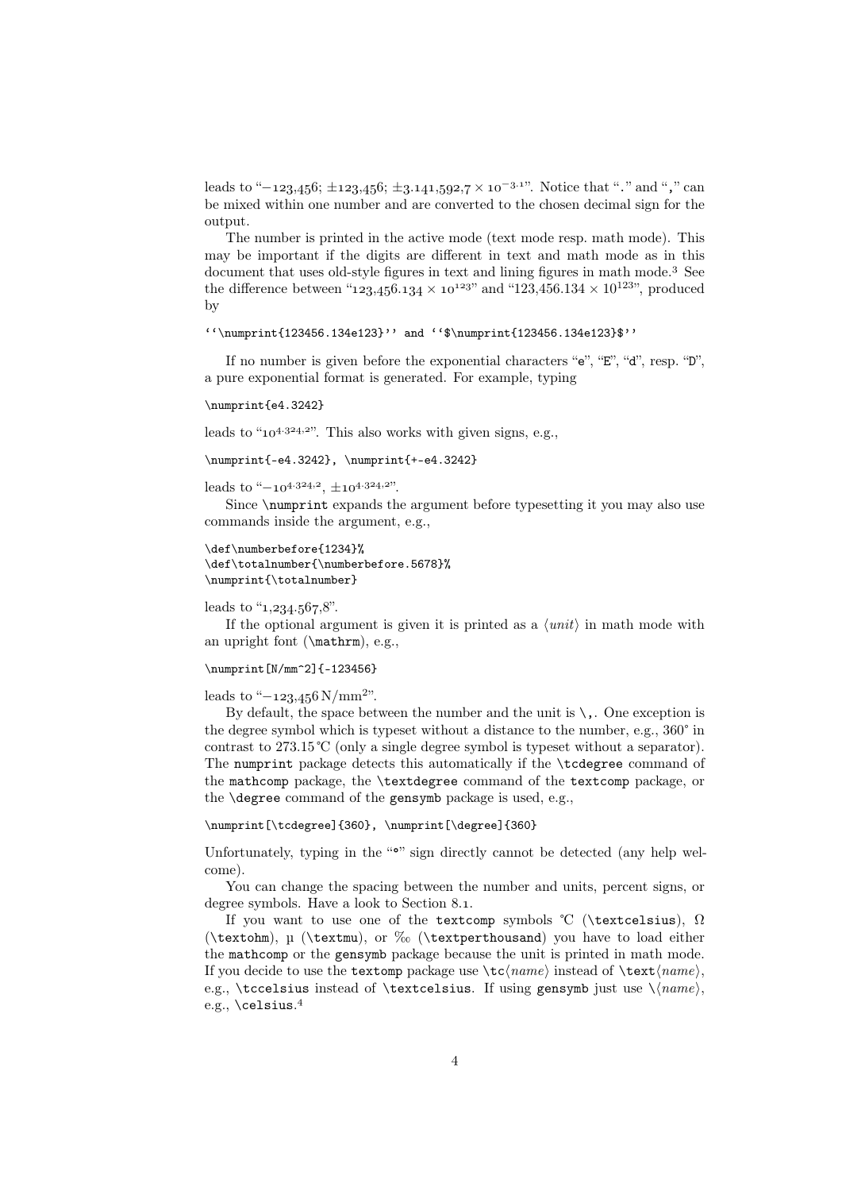leads to "−123,456;  $\pm$ 123,456;  $\pm$ 3.141,592,7 × 10<sup>-3.1"</sup>. Notice that "." and "," can be mixed within one number and are converted to the chosen decimal sign for the output.

The number is printed in the active mode (text mode resp. math mode). This may be important if the digits are different in text and math mode as in this document that uses old-style figures in text and lining figures in math mode.<sup>3</sup> See the difference between "123,456.134  $\times$  10<sup>123"</sup> and "123,456.134  $\times$  10<sup>123"</sup>, produced by

 $''\\\text{123456.134e123}''$  and  $'\$\\number{123456.134e123}''$ 

If no number is given before the exponential characters " $e$ ", " $E$ ", " $d$ ", resp. "D", a pure exponential format is generated. For example, typing

#### \numprint{e4.3242}

leads to " $10^{4.324,2}$ ". This also works with given signs, e.g.,

\numprint{-e4.3242}, \numprint{+-e4.3242}

leads to " $-10^{4.324,2}$ ,  $\pm 10^{4.324,2}$ ".

Since  $\sum_{n=1}^{\infty}$  argument before typesetting it you may also use commands inside the argument, e.g.,

```
\def\numberbefore{1234}%
\def\totalnumber{\numberbefore.5678}%
\numprint{\totalnumber}
```
#### leads to " $1,234.567.8$ ".

If the optional argument is given it is printed as a  $\langle unit \rangle$  in math mode with an upright font (\mathrm), e.g.,

#### \numprint[N/mm^2]{-123456}

## leads to " $-123,456$  N/mm<sup>2</sup>".

By default, the space between the number and the unit is  $\setminus$ . One exception is the degree symbol which is typeset without a distance to the number, e.g., 360° in contrast to 273.15 ℃ (only a single degree symbol is typeset without a separator). The numprint package detects this automatically if the \tcdegree command of the mathcomp package, the \textdegree command of the textcomp package, or the \degree command of the gensymb package is used, e.g.,

## \numprint[\tcdegree]{360}, \numprint[\degree]{360}

Unfortunately, typing in the " $\bullet$ " sign directly cannot be detected (any help welcome).

You can change the spacing between the number and units, percent signs, or degree symbols. Have a look to Section 8.1.

If you want to use one of the textcomp symbols °C (\textcelsius),  $\Omega$ (\textohm), µ (\textmu), or ‰ (\textperthousand) you have to load either the mathcomp or the gensymb package because the unit is printed in math mode. If you decide to use the textomp package use  $\text{trace}$  instead of  $\text{trace}$ , e.g., \tccelsius instead of \textcelsius. If using gensymb just use  $\langle name \rangle$ , e.g.,  $\text{celsius}.4$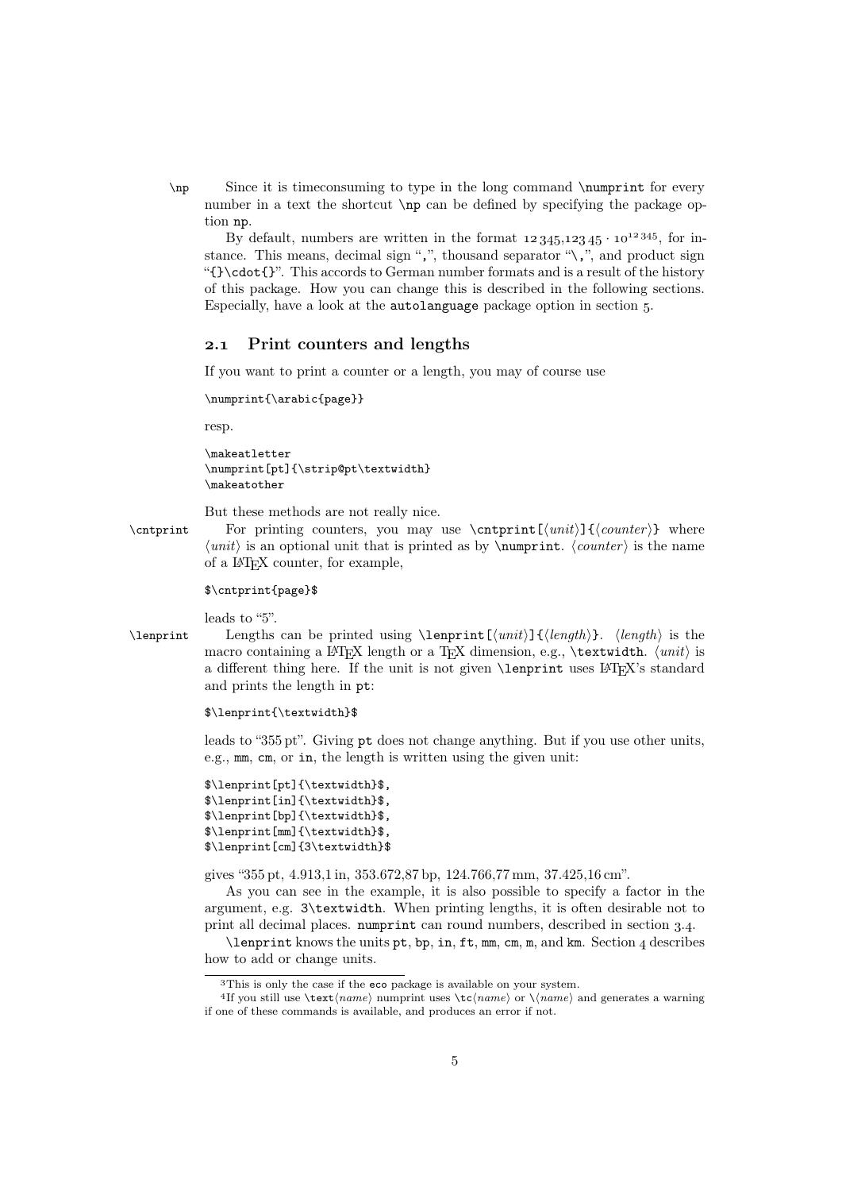\np Since it is timeconsuming to type in the long command \numprint for every number in a text the shortcut \np can be defined by specifying the package option np.

By default, numbers are written in the format  $12345,12345 \cdot 10^{12345}$ , for instance. This means, decimal sign ",", thousand separator " $\langle \cdot, \cdot \rangle$ ", and product sign "{}\cdot{}". This accords to German number formats and is a result of the history of this package. How you can change this is described in the following sections. Especially, have a look at the autolanguage package option in section .

#### 2.1 Print counters and lengths

If you want to print a counter or a length, you may of course use

\numprint{\arabic{page}}

resp.

```
\makeatletter
\numprint[pt]{\strip@pt\textwidth}
\makeatother
```
But these methods are not really nice.

\cntprint For printing counters, you may use \cntprint  $[\{unit\}]$ { $\{counter\}$ } where  $\langle unit \rangle$  is an optional unit that is printed as by \numprint.  $\langle counter \rangle$  is the name of a LATEX counter, for example,

#### \$\cntprint{page}\$

leads to "5".

\lenprint Lengths can be printed using \lenprint  $[\langle unit \rangle]$  { $\langle length \rangle$ }.  $\langle length \rangle$  is the macro containing a LATEX length or a TEX dimension, e.g.,  $\text{textwidth. } \{unit\}$  is a different thing here. If the unit is not given **\lenprint** uses L<sup>AT</sup>EX's standard and prints the length in pt:

#### \$\lenprint{\textwidth}\$

leads to "355 pt". Giving pt does not change anything. But if you use other units, e.g., mm, cm, or in, the length is written using the given unit:

```
$\lenprint[pt]{\textwidth}$,
$\lenprint[in]{\textwidth}$,
$\lenprint[bp]{\textwidth}$,
$\lenprint[mm]{\textwidth}$,
$\lenprint[cm]{3\textwidth}$
```
gives "355 pt, 4.913,1 in, 353.672,87 bp, 124.766,77 mm, 37.425,16 cm".

As you can see in the example, it is also possible to specify a factor in the argument, e.g. 3\textwidth. When printing lengths, it is often desirable not to print all decimal places. numprint can round numbers, described in section 3.4.

\lenprint knows the units pt, bp, in, ft, mm, cm, m, and km. Section 4 describes how to add or change units.

This is only the case if the eco package is available on your system.

<sup>&</sup>lt;sup>4</sup>If you still use  $\text{name}$  numprint uses  $\text{name}$  or  $\langle name \rangle$  and generates a warning if one of these commands is available, and produces an error if not.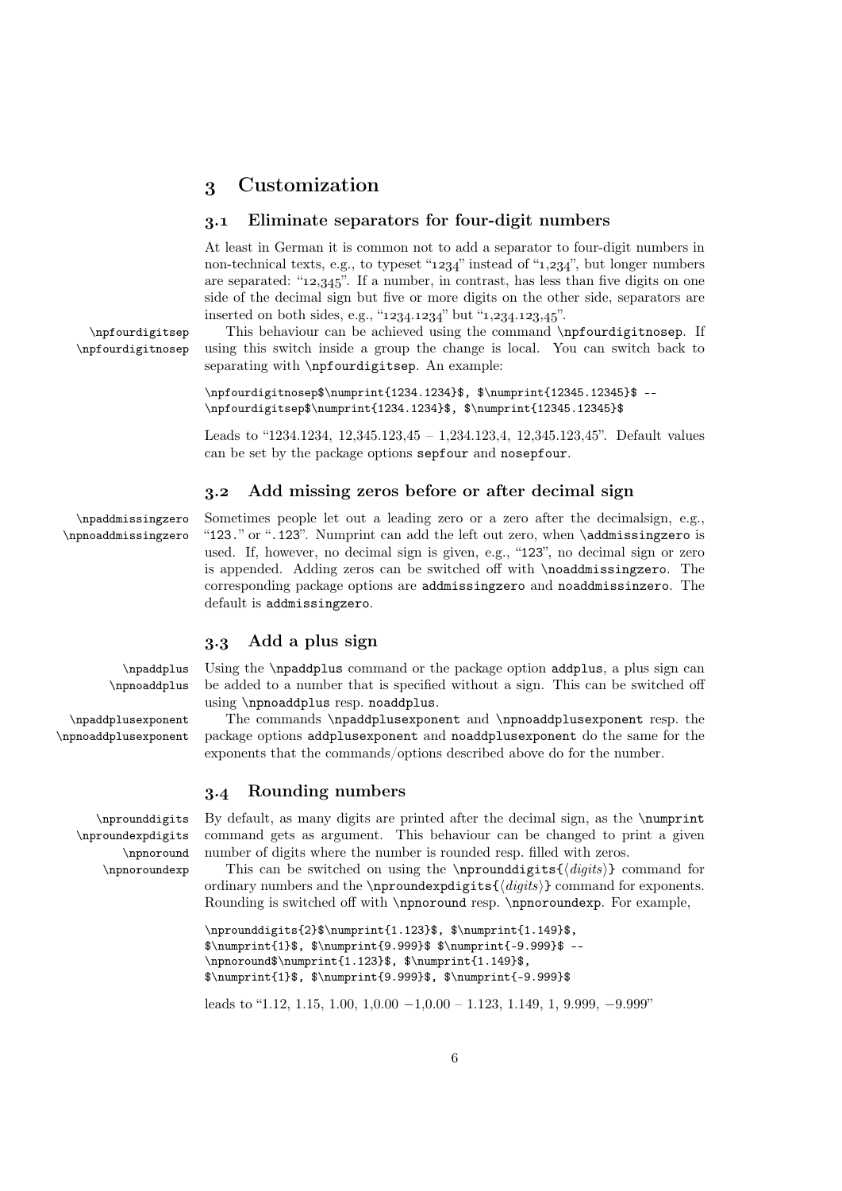# Customization

#### . Eliminate separators for four-digit numbers

At least in German it is common not to add a separator to four-digit numbers in non-technical texts, e.g., to typeset " $1234$ " instead of " $1,234$ ", but longer numbers are separated: " $12,345$ ". If a number, in contrast, has less than five digits on one side of the decimal sign but five or more digits on the other side, separators are inserted on both sides, e.g., " $1234.1234$ " but " $1,234.123.45$ ".

\npfourdigitsep This behaviour can be achieved using the command \npfourdigitnosep. If \npfourdigitnosep using this switch inside a group the change is local. You can switch back to separating with \npfourdigitsep. An example:

> \npfourdigitnosep\$\numprint{1234.1234}\$, \$\numprint{12345.12345}\$ --\npfourdigitsep\$\numprint{1234.1234}\$, \$\numprint{12345.12345}\$

Leads to "1234.1234, 12,345.123,45 – 1,234.123,4, 12,345.123,45". Default values can be set by the package options sepfour and nosepfour.

## . Add missing zeros before or after decimal sign

\npaddmissingzero Sometimes people let out a leading zero or a zero after the decimalsign, e.g., \npnoaddmissingzero "123." or ".123". Numprint can add the left out zero, when \addmissingzero is used. If, however, no decimal sign is given, e.g., "123", no decimal sign or zero is appended. Adding zeros can be switched off with \noaddmissingzero. The corresponding package options are addmissingzero and noaddmissinzero. The default is addmissingzero.

## . Add a plus sign

\npaddplus Using the \npaddplus command or the package option addplus, a plus sign can \npnoaddplus be added to a number that is specified without a sign. This can be switched off using \npnoaddplus resp. noaddplus.

\npaddplusexponent The commands \npaddplusexponent and \npnoaddplusexponent resp. the \npnoaddplusexponent package options addplusexponent and noaddplusexponent do the same for the exponents that the commands/options described above do for the number.

## . Rounding numbers

\nprounddigits By default, as many digits are printed after the decimal sign, as the \numprint command gets as argument. This behaviour can be changed to print a given number of digits where the number is rounded resp. filled with zeros.

> This can be switched on using the \nprounddigits{ $\{ \text{digits} \}$  command for ordinary numbers and the \nproundexpdigits{ $\{digits\}$ } command for exponents. Rounding is switched off with \npnoround resp. \npnoroundexp. For example,

```
\nprounddigits{2}$\numprint{1.123}$, $\numprint{1.149}$,
$\numprint{1}$, $\numprint{9.999}$ $\numprint{-9.999}$ --
\npnoround$\numprint{1.123}$, $\numprint{1.149}$,
$\numprint{1}$, $\numprint{9.999}$, $\numprint{-9.999}$
```
leads to "1.12, 1.15, 1.00,  $1,0.00 - 1,0.00 - 1,123, 1.149, 1, 9.999, -9.999$ "

\nproundexpdigits \npnoround \npnoroundexp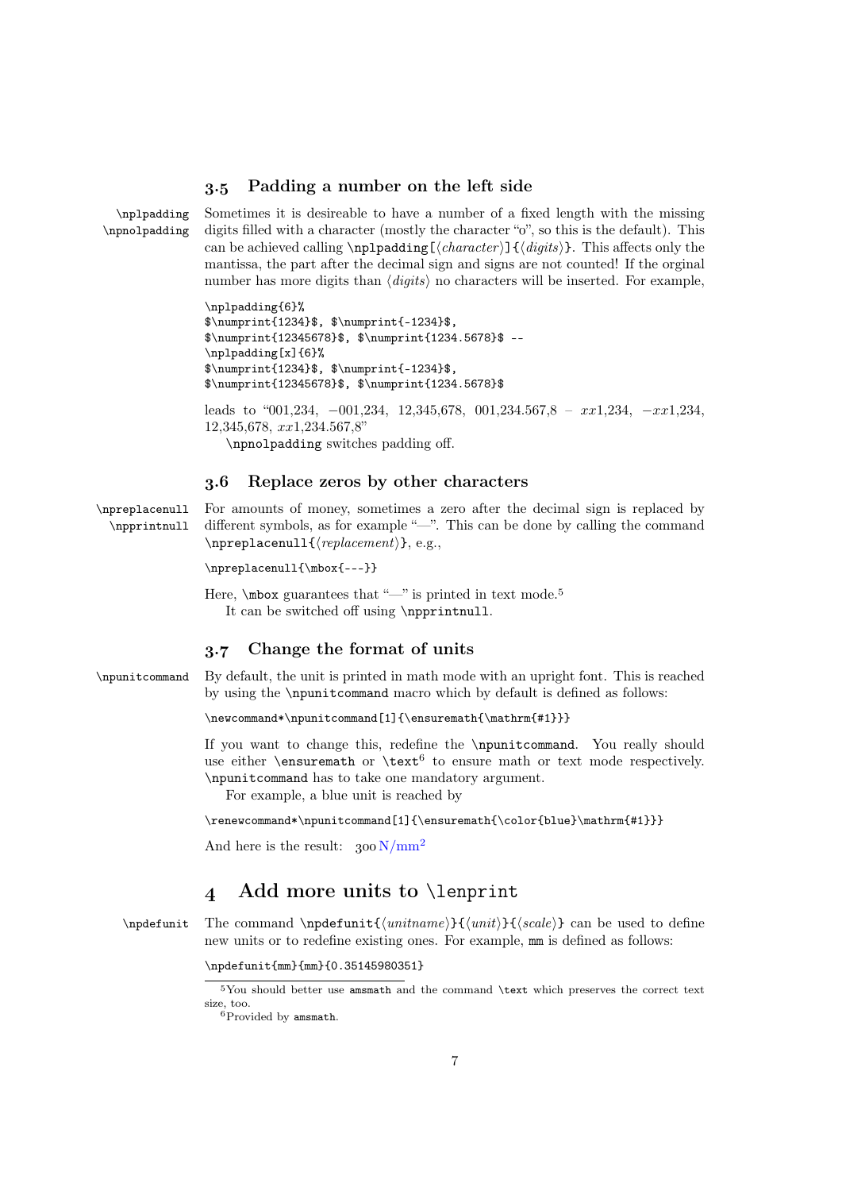## . Padding a number on the left side

\nplpadding Sometimes it is desireable to have a number of a fixed length with the missing \npnolpadding digits filled with a character (mostly the character ""," so this is the default). This can be achieved calling  $\n\pi\log[\langle character \rangle] {\langle digits \rangle}.$  This affects only the mantissa, the part after the decimal sign and signs are not counted! If the orginal number has more digits than  $\langle \text{digits} \rangle$  no characters will be inserted. For example,

> \nplpadding{6}% \$\numprint{1234}\$, \$\numprint{-1234}\$,  $\sum_{12345678}$ \$, \$\numprint{1234.5678}\$ --\nplpadding[x]{6}% \$\numprint{1234}\$, \$\numprint{-1234}\$, \$\numprint{12345678}\$, \$\numprint{1234.5678}\$

leads to "001,234,  $-001,234$ , 12,345,678, 001,234.567,8 –  $xx1,234$ ,  $-xx1,234$ , 12,345,678, xx1,234.567,8" \npnolpadding switches padding off.

## 3.6 Replace zeros by other characters

\npreplacenull For amounts of money, sometimes a zero after the decimal sign is replaced by \npprintnull different symbols, as for example "—". This can be done by calling the command  $\n\perp$  \npreplacenull{ $\verb|| (replacement)$ }, e.g.,

\npreplacenull{\mbox{---}}

Here,  $\mbox{max guarantees that }\sim$ " is printed in text mode.<sup>5</sup> It can be switched off using \npprintnull.

# . Change the format of units

\npunitcommand By default, the unit is printed in math mode with an upright font. This is reached by using the \npunitcommand macro which by default is defined as follows:

\newcommand\*\npunitcommand[1]{\ensuremath{\mathrm{#1}}}

If you want to change this, redefine the \npunitcommand. You really should use either  $\text{constant}$  or  $\text{test}^6$  to ensure math or text mode respectively. \npunitcommand has to take one mandatory argument.

For example, a blue unit is reached by

\renewcommand\*\npunitcommand[1]{\ensuremath{\color{blue}\mathrm{#1}}}

And here is the result:  $300 \text{ N/mm}^2$ 

# 4 Add more units to **\lenprint**

\npdefunit The command \npdefunit{ $\{unithmetic\}$ { $\{with\}$ } can be used to define new units or to redefine existing ones. For example, mm is defined as follows:

\npdefunit{mm}{mm}{0.35145980351}

You should better use amsmath and the command \text which preserves the correct text size, too.

 ${}^6$ Provided by amsmath.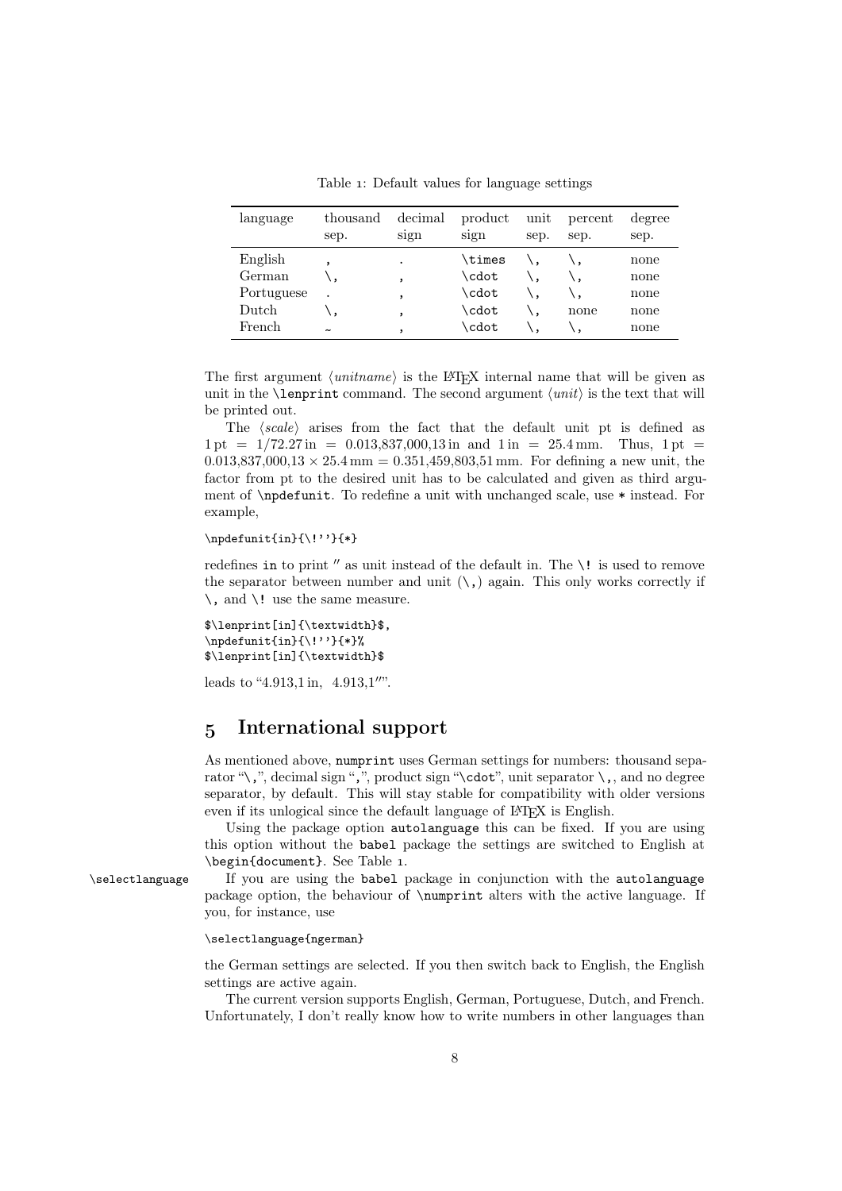Table 1: Default values for language settings

| language   | thousand<br>sep.      | decimal<br>sign | product<br>sign | unit<br>sep. | percent<br>sep. | degree<br>sep. |
|------------|-----------------------|-----------------|-----------------|--------------|-----------------|----------------|
| English    |                       | $\bullet$       | \times          |              |                 | none           |
| German     |                       | $\cdot$         | \cdot           |              |                 | none           |
| Portuguese | $\bullet$             | $\overline{ }$  | \cdot           |              |                 | none           |
| Dutch      |                       | ,               | \cdot           |              | none            | none           |
| French     | $\tilde{\phantom{a}}$ |                 | \cdot           |              |                 | none           |

The first argument  $\langle$ *unitname* $\rangle$  is the LAT<sub>EX</sub> internal name that will be given as unit in the **\lenprint** command. The second argument  $\langle unit \rangle$  is the text that will be printed out.

The  $\langle scale \rangle$  arises from the fact that the default unit pt is defined as  $1 \text{ pt} = 1/72.27 \text{ in } = 0.013.837.000.13 \text{ in and } 1 \text{ in } = 25.4 \text{ mm}$ . Thus,  $1 \text{ pt} =$  $0.013,837,000,13 \times 25.4 \,\mathrm{mm} = 0.351,459,803,51 \,\mathrm{mm}$ . For defining a new unit, the factor from pt to the desired unit has to be calculated and given as third argument of \npdefunit. To redefine a unit with unchanged scale, use \* instead. For example,

 $\n\cdot\{\n\cdot\{\n\cdot\}\n$ 

redefines in to print  $''$  as unit instead of the default in. The  $\lq$ ! is used to remove the separator between number and unit  $(\cdot, )$  again. This only works correctly if  $\setminus$ , and  $\setminus$ ! use the same measure.

```
$\lenprint[in]{\textwidth}$,
\npdefunit{in}{\!''}{*}%
$\lenprint[in]{\textwidth}$
```
leads to "4.913,1 in,  $4.913,1$ ".

# International support

As mentioned above, numprint uses German settings for numbers: thousand separator "\,", decimal sign ",", product sign "\cdot", unit separator  $\cdot$ , and no degree separator, by default. This will stay stable for compatibility with older versions even if its unlogical since the default language of L<sup>AT</sup>EX is English.

Using the package option autolanguage this can be fixed. If you are using this option without the babel package the settings are switched to English at \begin{document}. See Table 1.

\selectlanguage If you are using the babel package in conjunction with the autolanguage package option, the behaviour of \numprint alters with the active language. If you, for instance, use

#### \selectlanguage{ngerman}

the German settings are selected. If you then switch back to English, the English settings are active again.

The current version supports English, German, Portuguese, Dutch, and French. Unfortunately, I don't really know how to write numbers in other languages than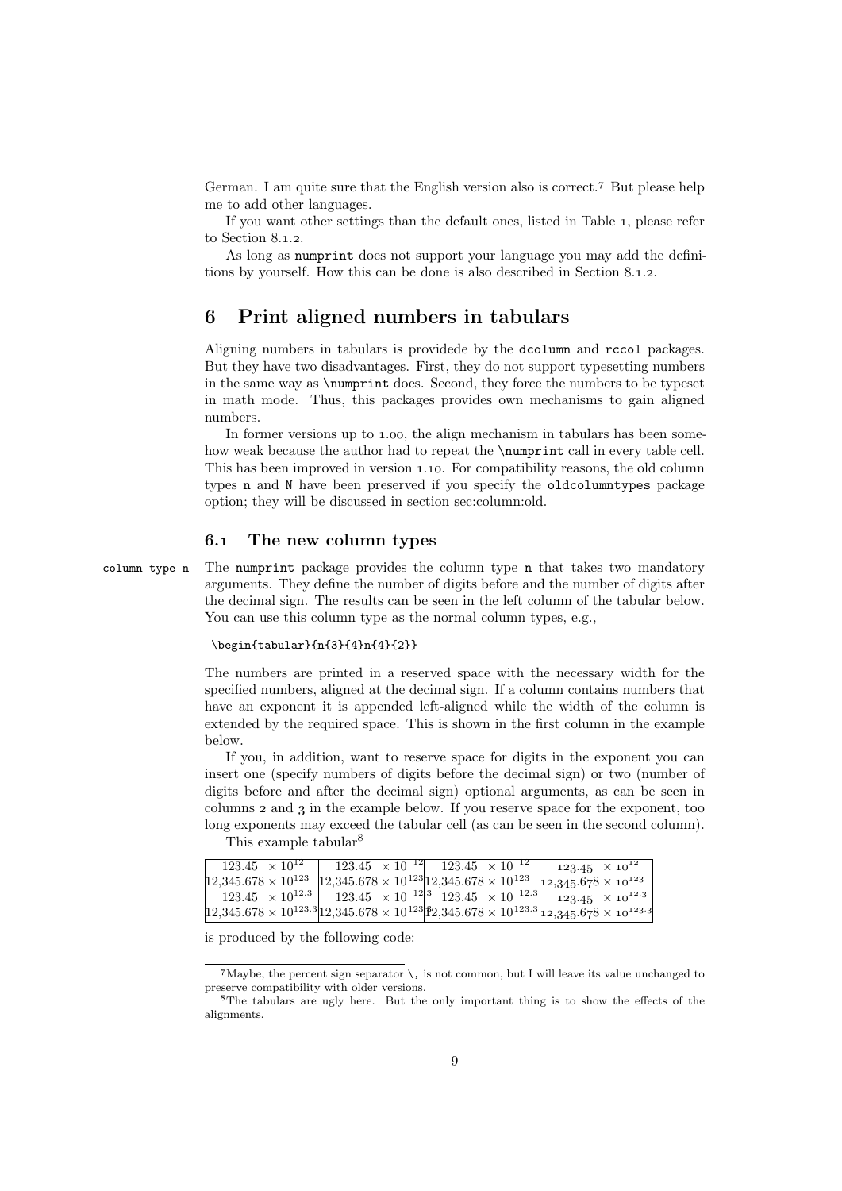German. I am quite sure that the English version also is correct.<sup>7</sup> But please help me to add other languages.

If you want other settings than the default ones, listed in Table , please refer to Section  $8.1.2$ .

As long as numprint does not support your language you may add the definitions by yourself. How this can be done is also described in Section  $8.1.2$ .

# Print aligned numbers in tabulars

Aligning numbers in tabulars is providede by the dcolumn and rccol packages. But they have two disadvantages. First, they do not support typesetting numbers in the same way as \numprint does. Second, they force the numbers to be typeset in math mode. Thus, this packages provides own mechanisms to gain aligned numbers.

In former versions up to 1.00, the align mechanism in tabulars has been somehow weak because the author had to repeat the \numprint call in every table cell. This has been improved in version 1.10. For compatibility reasons, the old column types n and N have been preserved if you specify the oldcolumntypes package option; they will be discussed in section sec:column:old.

## . The new column types

column type n The numprint package provides the column type n that takes two mandatory arguments. They define the number of digits before and the number of digits after the decimal sign. The results can be seen in the left column of the tabular below. You can use this column type as the normal column types, e.g.,

#### \begin{tabular}{n{3}{4}n{4}{2}}

The numbers are printed in a reserved space with the necessary width for the specified numbers, aligned at the decimal sign. If a column contains numbers that have an exponent it is appended left-aligned while the width of the column is extended by the required space. This is shown in the first column in the example below.

If you, in addition, want to reserve space for digits in the exponent you can insert one (specify numbers of digits before the decimal sign) or two (number of digits before and after the decimal sign) optional arguments, as can be seen in columns  $\alpha$  and  $\alpha$  in the example below. If you reserve space for the exponent, too long exponents may exceed the tabular cell (as can be seen in the second column).

| This example tabular <sup>8</sup> |  |
|-----------------------------------|--|
|-----------------------------------|--|

| $123.45 \times 10^{12}$ | $\boxed{123.45 \times 10^{-12}}$ $\boxed{123.45 \times 10^{-12}}$                                                   | $123.45 \times 10^{12}$                                                                                                                                 |
|-------------------------|---------------------------------------------------------------------------------------------------------------------|---------------------------------------------------------------------------------------------------------------------------------------------------------|
|                         | $12,345.678 \times 10^{123}$ $12,345.678 \times 10^{123}$ $12,345.678 \times 10^{123}$ $12,345.678 \times 10^{123}$ |                                                                                                                                                         |
|                         |                                                                                                                     | $123.45 \times 10^{12.3}$ 123.45 $\times$ 10 <sup>-12</sup> <sup>3</sup> 123.45 $\times$ 10 <sup>-12.3</sup> 123.45 $\times$ 10 <sup>-12.3</sup>        |
|                         |                                                                                                                     | $\left  12,345.678 \times 10^{123.3} \right $ $12,345.678 \times 10^{123}$ $\left  22,345.678 \times 10^{123.3} \right $ $12,345.678 \times 10^{123.3}$ |

is produced by the following code:

 $7$ Maybe, the percent sign separator  $\setminus$ , is not common, but I will leave its value unchanged to preserve compatibility with older versions.

 ${}^{8}$ The tabulars are ugly here. But the only important thing is to show the effects of the alignments.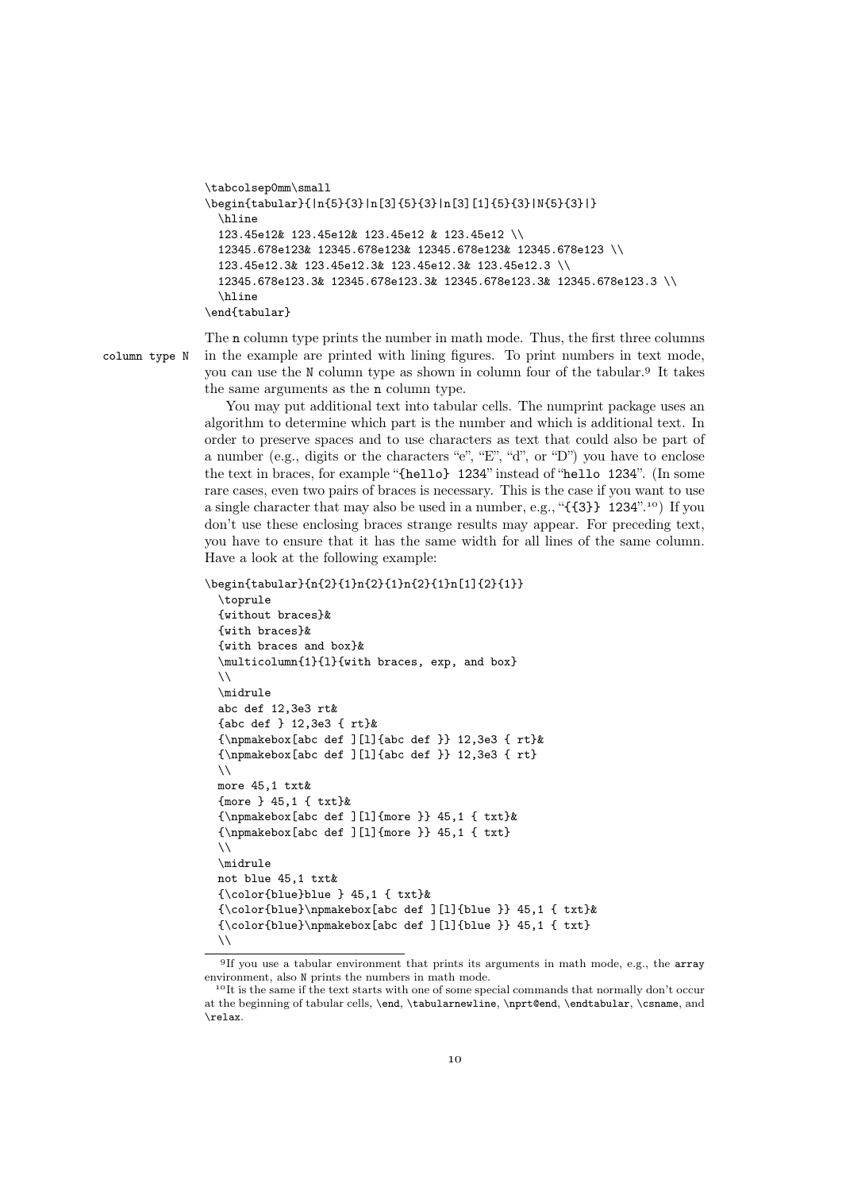```
\tabcolsep0mm\small
\begin{tabular}{|n{5}{3}|n[3]{5}{3}|n[3][1]{5}{3}|N{5}{3}|}
 \hline
 123.45e12& 123.45e12& 123.45e12 & 123.45e12 \\
 12345.678e123& 12345.678e123& 12345.678e123& 12345.678e123 \\
 123.45e12.3& 123.45e12.3& 123.45e12.3& 123.45e12.3 \\
 12345.678e123.3& 12345.678e123.3& 12345.678e123.3& 12345.678e123.3 \\
 \hline
\end{tabular}
```
The n column type prints the number in math mode. Thus, the first three columns column type N in the example are printed with lining figures. To print numbers in text mode, you can use the N column type as shown in column four of the tabular. It takes the same arguments as the n column type.

> You may put additional text into tabular cells. The numprint package uses an algorithm to determine which part is the number and which is additional text. In order to preserve spaces and to use characters as text that could also be part of a number (e.g., digits or the characters "e", "E", "d", or "D") you have to enclose the text in braces, for example "{hello} 1234" instead of "hello 1234". (In some rare cases, even two pairs of braces is necessary. This is the case if you want to use a single character that may also be used in a number, e.g., " $\{3\}$  1234".<sup>10</sup>) If you don't use these enclosing braces strange results may appear. For preceding text, you have to ensure that it has the same width for all lines of the same column. Have a look at the following example:

```
\begin{tabular}{n{2}{1}n{2}{1}n{2}{1}n[1]{2}{1}}
```

```
\toprule
{without braces}&
{with braces}&
{with braces and box}&
\multicolumn{1}{l}{with braces, exp, and box}
\lambda\lambda\midrule
abc def 12,3e3 rt&
{abc def } 12,3e3 { rt}&
{\npmakebox[abc def ][l]{abc def }} 12,3e3 { rt}&
{\npmakebox[abc def ][l]{abc def }} 12,3e3 { rt}
\lambda\lambdamore 45,1 txt&
{more } 45,1 { txt}&
{\npmakebox[abc def ][l]{more }} 45,1 { txt}&
{\npmakebox[abc def ][l]{more }} 45,1 { txt}
\setminus\midrule
not blue 45,1 txt&
{\color{blue}blue } 45,1 { txt}&
{\color{blue}\npmakebox[abc def ][l]{blue }} 45,1 { txt}&
{\colon} {\hbox{\rm base}} {\color{blue}\npmakebox[abc def ][l]{blue }} 45,1 { txt}
\lambda\lambda
```
<sup>&</sup>lt;sup>9</sup>If you use a tabular environment that prints its arguments in math mode, e.g., the array environment, also N prints the numbers in math mode.

<sup>&</sup>lt;sup>10</sup>It is the same if the text starts with one of some special commands that normally don't occur at the beginning of tabular cells, \end, \tabularnewline, \nprt@end, \endtabular, \csname, and \relax.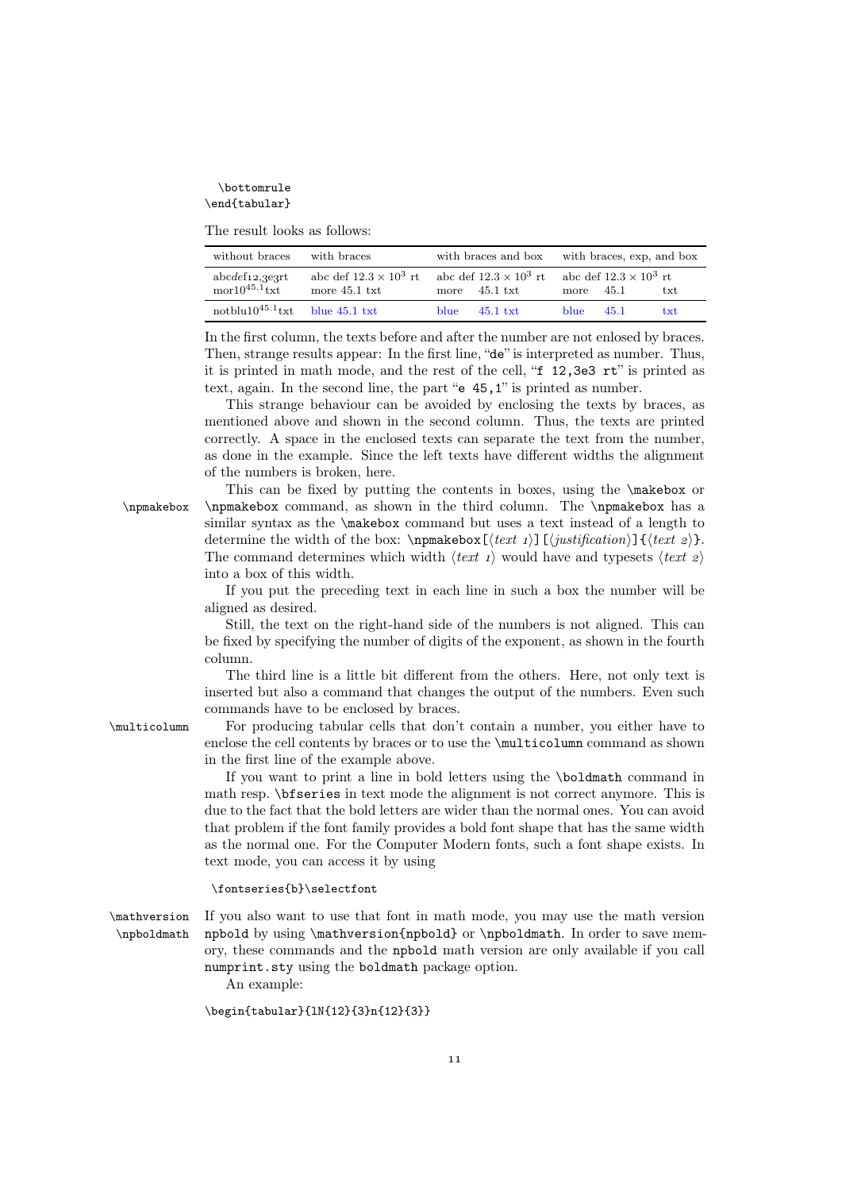\bottomrule \end{tabular}

The result looks as follows:

| without braces                                        | with braces                                      |                        | with braces and box with braces, exp. and box |             |                               |     |
|-------------------------------------------------------|--------------------------------------------------|------------------------|-----------------------------------------------|-------------|-------------------------------|-----|
| $abcdef_12, 3e3rt$<br>$\text{mor}10^{45.1}\text{txt}$ | abc def $12.3 \times 10^3$ rt<br>more $45.1$ txt | more $45.1 \text{txt}$ | abc def $12.3 \times 10^3$ rt                 | more $45.1$ | abc def $12.3 \times 10^3$ rt | txt |
| notblu10 <sup>45.1</sup> txt blue 45.1 txt            |                                                  | blue.                  | $45.1$ txt.                                   | blue.       | 45.1                          | txt |

In the first column, the texts before and after the number are not enlosed by braces. Then, strange results appear: In the first line, "de" is interpreted as number. Thus, it is printed in math mode, and the rest of the cell, "f 12,3e3 rt" is printed as text, again. In the second line, the part "e 45,1" is printed as number.

This strange behaviour can be avoided by enclosing the texts by braces, as mentioned above and shown in the second column. Thus, the texts are printed correctly. A space in the enclosed texts can separate the text from the number, as done in the example. Since the left texts have different widths the alignment of the numbers is broken, here.

This can be fixed by putting the contents in boxes, using the \makebox or \npmakebox \npmakebox command, as shown in the third column. The \npmakebox has a similar syntax as the \makebox command but uses a text instead of a length to determine the width of the box: \npmakebox  $[\text{text } i]$   $[\text{position}] {\text{text } } e$ . The command determines which width  $\langle text 1 \rangle$  would have and typesets  $\langle text 2 \rangle$ into a box of this width.

> If you put the preceding text in each line in such a box the number will be aligned as desired.

> Still, the text on the right-hand side of the numbers is not aligned. This can be fixed by specifying the number of digits of the exponent, as shown in the fourth column.

> The third line is a little bit different from the others. Here, not only text is inserted but also a command that changes the output of the numbers. Even such commands have to be enclosed by braces.

\multicolumn For producing tabular cells that don't contain a number, you either have to enclose the cell contents by braces or to use the \multicolumn command as shown in the first line of the example above.

> If you want to print a line in bold letters using the \boldmath command in math resp. \bfseries in text mode the alignment is not correct anymore. This is due to the fact that the bold letters are wider than the normal ones. You can avoid that problem if the font family provides a bold font shape that has the same width as the normal one. For the Computer Modern fonts, such a font shape exists. In text mode, you can access it by using

#### \fontseries{b}\selectfont

\mathversion If you also want to use that font in math mode, you may use the math version \npboldmath npbold by using \mathversion{npbold} or \npboldmath. In order to save memory, these commands and the npbold math version are only available if you call numprint.sty using the boldmath package option.

An example:

\begin{tabular}{lN{12}{3}n{12}{3}}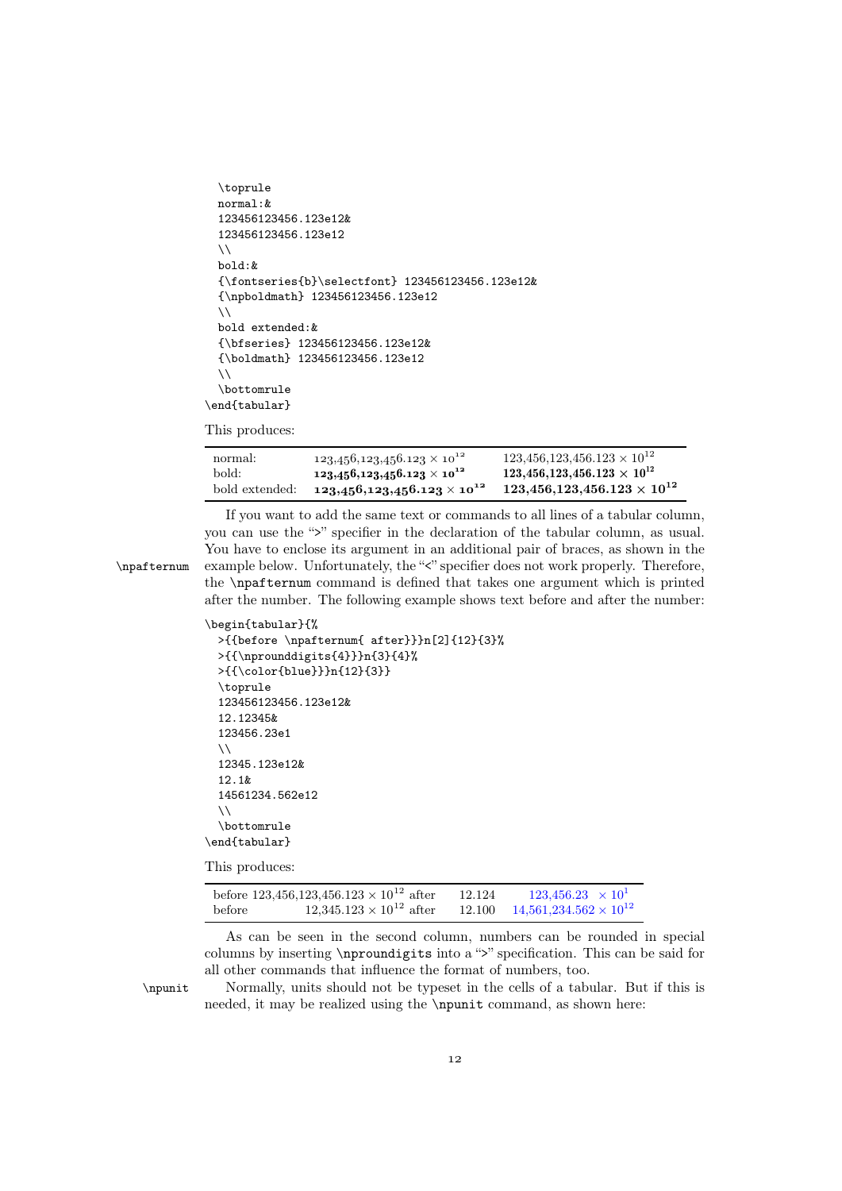```
\toprule
 normal:&
 123456123456.123e12&
 123456123456.123e12
 \lambda\lambdabold:&
  {\fontseries{b}\selectfont} 123456123456.123e12&
  {\npboldmath} 123456123456.123e12
  \setminusbold extended:&
  {\bfseries} 123456123456.123e12&
  {\boldmath} 123456123456.123e12
  \setminus\bottomrule
\end{tabular}
```
This produces:

| normal:        | $123,456,123,456.123\times10^{12}$ | $123,456,123,456.123 \times 10^{12}$      |
|----------------|------------------------------------|-------------------------------------------|
| bold:          | $123,456,123,456.123\times10^{12}$ | $123,\!456,\!123,\!456.123\times 10^{12}$ |
| bold extended: | $123,456,123,456.123\times10^{12}$ | $123,\!456,\!123,\!456.123\times 10^{12}$ |

If you want to add the same text or commands to all lines of a tabular column, you can use the ">" specifier in the declaration of the tabular column, as usual. You have to enclose its argument in an additional pair of braces, as shown in the \npafternum example below. Unfortunately, the "<" specifier does not work properly. Therefore, the \npafternum command is defined that takes one argument which is printed after the number. The following example shows text before and after the number:

```
\begin{tabular}{%
 >{{before \npafternum{ after}}}n[2]{12}{3}%
 >{{\nprounddigits{4}}}n{3}{4}%
 >{{\color{blue}}}n{12}{3}}
 \toprule
 123456123456.123e12&
 12.12345&
 123456.23e1
 \setminus12345.123e12&
 12.1&
 14561234.562e12
  \sqrt{}\bottomrule
\end{tabular}
```
This produces:

|        | before 123,456,123,456.123 $\times$ 10 <sup>12</sup> after | 12.124 | $123,456.23 \times 10^{1}$             |
|--------|------------------------------------------------------------|--------|----------------------------------------|
| before | $12,345.123 \times 10^{12}$ after                          |        | 12.100 $14,561,234.562 \times 10^{12}$ |

As can be seen in the second column, numbers can be rounded in special columns by inserting \nproundigits into a ">" specification. This can be said for all other commands that influence the format of numbers, too.

\npunit Normally, units should not be typeset in the cells of a tabular. But if this is needed, it may be realized using the \npunit command, as shown here: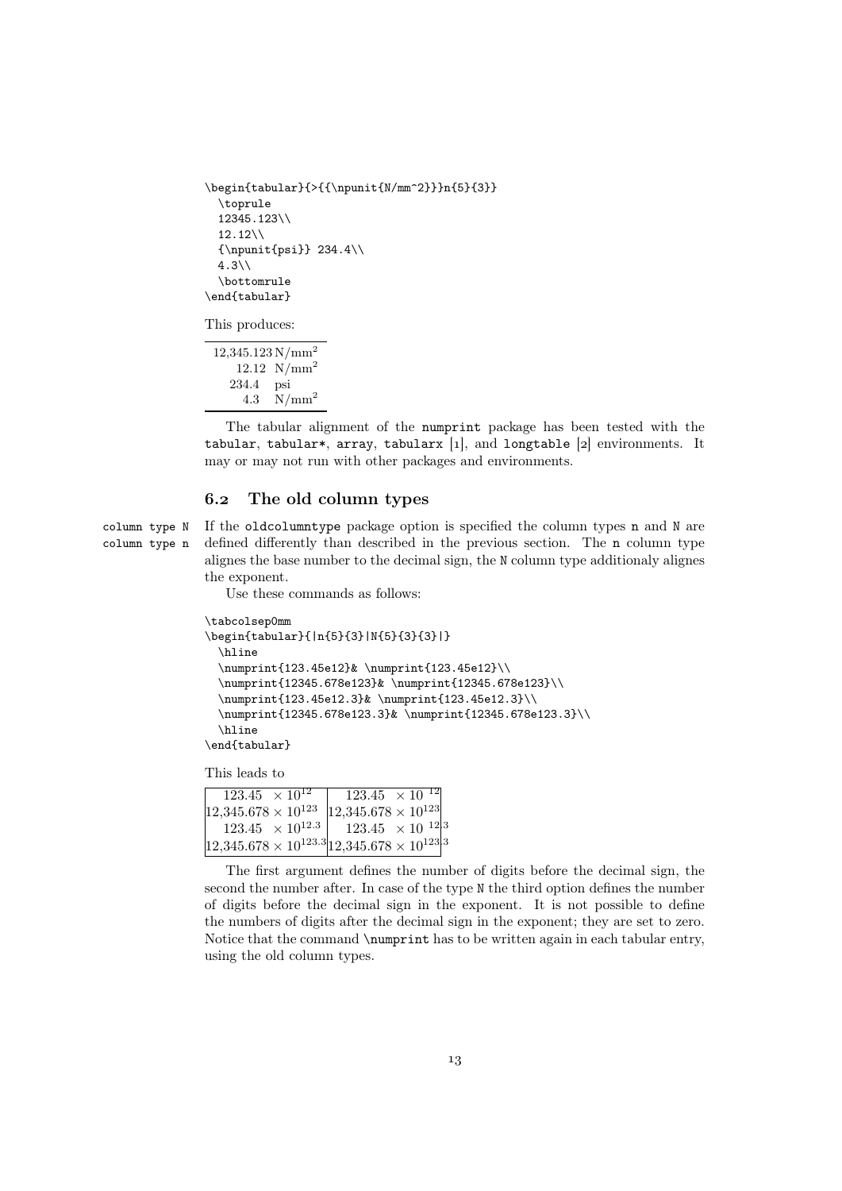```
\begin{tabular}{>{{\npunit{N/mm^2}}}n{5}{3}}
 \toprule
 12345.123\\
 12.12\{\}{\npunit{psi}} 234.4\\
 4.3\%\bottomrule
\end{tabular}
```
This produces:

12,345.123 N/mm<sup>2</sup>  $12.12 \text{ N/mm}^2$ 234.4 psi 4.3 N/mm<sup>2</sup>

The tabular alignment of the numprint package has been tested with the tabular, tabular\*, array, tabularx [1], and longtable [2] environments. It may or may not run with other packages and environments.

#### . The old column types

column type N If the oldcolumntype package option is specified the column types n and N are column type n defined differently than described in the previous section. The n column type alignes the base number to the decimal sign, the N column type additionaly alignes the exponent.

Use these commands as follows:

```
\tabcolsep0mm
\begin{tabular}{|n{5}{3}|N{5}{3}{3}|}
 \hline
  \numprint{123.45e12}& \numprint{123.45e12}\\
  \numprint{12345.678e123}& \numprint{12345.678e123}\\
  \numprint{123.45e12.3}& \numprint{123.45e12.3}\\
  \numprint{12345.678e123.3}& \numprint{12345.678e123.3}\\
  \hline
\end{tabular}
```
This leads to

| $123.45 \times 10^{12}$                                       |  | $123.45 \times 10^{-12}$                                          |  |  |
|---------------------------------------------------------------|--|-------------------------------------------------------------------|--|--|
| $12,345.678 \times 10^{123}$                                  |  | $ 12,345.678 \times 10^{123} $                                    |  |  |
|                                                               |  | $123.45 \times 10^{12.3}$   123.45 $\times 10^{-12}$ <sup>3</sup> |  |  |
| $ 12,345.678 \times 10^{123.3} 12,345.678 \times 10^{123} ^3$ |  |                                                                   |  |  |

The first argument defines the number of digits before the decimal sign, the second the number after. In case of the type N the third option defines the number of digits before the decimal sign in the exponent. It is not possible to define the numbers of digits after the decimal sign in the exponent; they are set to zero. Notice that the command \numprint has to be written again in each tabular entry, using the old column types.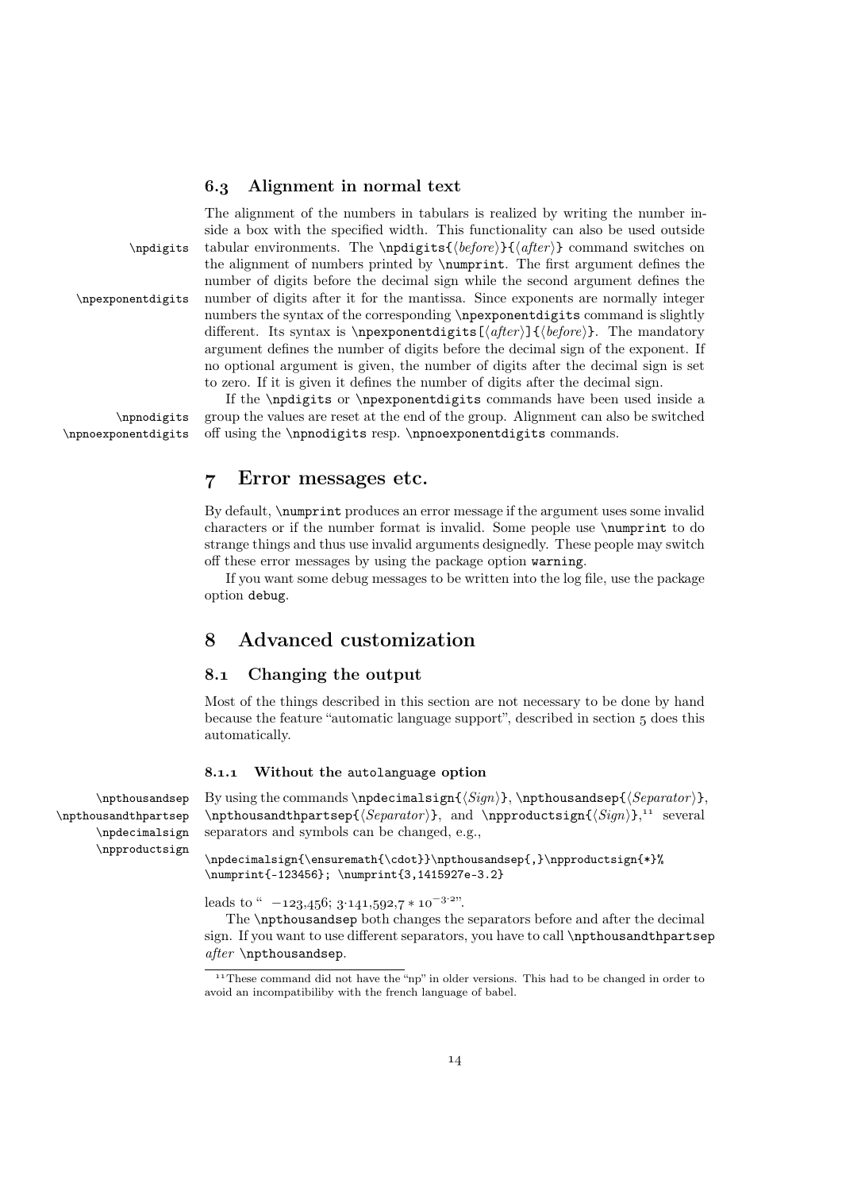## . Alignment in normal text

The alignment of the numbers in tabulars is realized by writing the number inside a box with the specified width. This functionality can also be used outside \npdigits tabular environments. The \npdigits{\before}}{\after i} command switches on the alignment of numbers printed by \numprint. The first argument defines the number of digits before the decimal sign while the second argument defines the \npexponentdigits number of digits after it for the mantissa. Since exponents are normally integer numbers the syntax of the corresponding \npexponentdigits command is slightly different. Its syntax is \npexponentdigits  $[\langle after \rangle] {\langle before \rangle}$ . The mandatory argument defines the number of digits before the decimal sign of the exponent. If no optional argument is given, the number of digits after the decimal sign is set to zero. If it is given it defines the number of digits after the decimal sign.

If the \npdigits or \npexponentdigits commands have been used inside a \npnodigits group the values are reset at the end of the group. Alignment can also be switched \npnoexponentdigits off using the \npnodigits resp. \npnoexponentdigits commands.

# Error messages etc.

By default, \numprint produces an error message if the argument uses some invalid characters or if the number format is invalid. Some people use \numprint to do strange things and thus use invalid arguments designedly. These people may switch off these error messages by using the package option warning.

If you want some debug messages to be written into the log file, use the package option debug.

# Advanced customization

## . Changing the output

Most of the things described in this section are not necessary to be done by hand because the feature "automatic language support", described in section 5 does this automatically.

#### 8.1.1 Without the autolanguage option

\npthousandthpartsep \npdecimalsign \npproductsign

 $\mathbf{S}$  By using the commands  $\n\boldsymbol{\mathcal{S}ign}}\$ ,  $\boldsymbol{\mathcal{S}genator}$  $\mathcal{S}$  is and the interpretational  $\mathcal{S}$  and  $\mathcal{S}$  is  $\{Sign\},^{11}$  several separators and symbols can be changed, e.g.,

> \npdecimalsign{\ensuremath{\cdot}}\npthousandsep{,}\npproductsign{\*}% \numprint{-123456}; \numprint{3,1415927e-3.2}

leads to "  $-123,456; 3.141,592,7 * 10^{-3.2}$ ".

The \npthousandsep both changes the separators before and after the decimal sign. If you want to use different separators, you have to call **\npthousandthpartsep** after \npthousandsep.

<sup>&</sup>lt;sup>11</sup> These command did not have the "np" in older versions. This had to be changed in order to avoid an incompatibiliby with the french language of babel.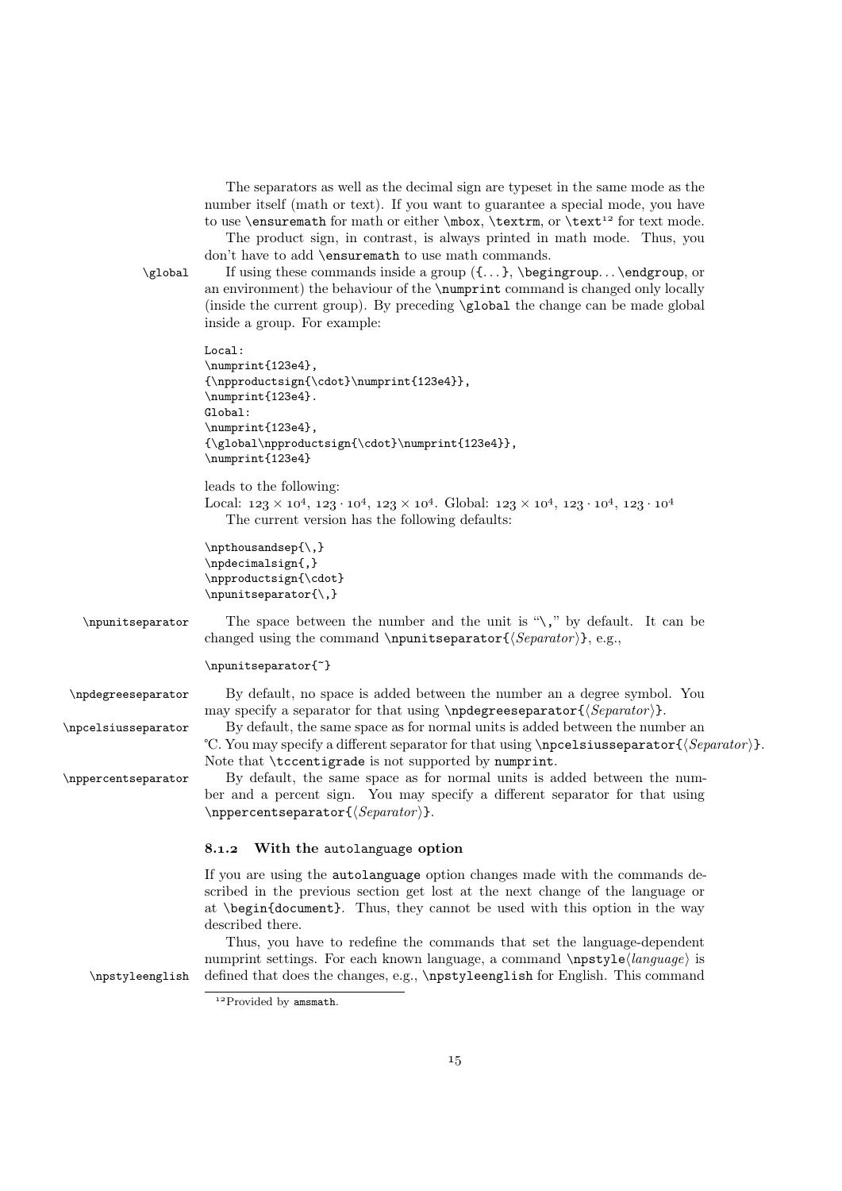The separators as well as the decimal sign are typeset in the same mode as the number itself (math or text). If you want to guarantee a special mode, you have to use \ensuremath for math or either \mbox, \textrm, or \text<sup>12</sup> for text mode.

The product sign, in contrast, is always printed in math mode. Thus, you don't have to add \ensuremath to use math commands.

 $\cdot$  If using these commands inside a group  $({...}, \begin{bmatrix} \cdot & \cdot & \cdot \\ \cdot & \cdot & \cdot \end{bmatrix}$  or an environment) the behaviour of the \numprint command is changed only locally (inside the current group). By preceding \global the change can be made global inside a group. For example:

```
Local:
\numprint{123e4},
{\npproductsign{\cdot}\numprint{123e4}},
\numprint{123e4}.
Global:
\numprint{123e4},
{\global\npproductsign{\cdot}\numprint{123e4}},
\numprint{123e4}
```
leads to the following: Local:  $123 \times 10^4$ ,  $123 \cdot 10^4$ ,  $123 \times 10^4$ . Global:  $123 \times 10^4$ ,  $123 \cdot 10^4$ ,  $123 \cdot 10^4$ The current version has the following defaults:

```
\npthousandsep{\,}
\npdecimalsign{,}
\npproductsign{\cdot}
\npunitseparator{\,}
```
\npunitseparator The space between the number and the unit is "\," by default. It can be changed using the command \npunitseparator { $\langle Separator \rangle$ }, e.g.,

```
\npunitseparator{~}
```
\npdegreeseparator By default, no space is added between the number an a degree symbol. You may specify a separator for that using  $\n\begin{array}{c}\n\text{Separator}\n\end{array}$ .

\npcelsiusseparator By default, the same space as for normal units is added between the number an °C. You may specify a different separator for that using \npcelsiusseparator { $\Separator$  }. Note that \tccentigrade is not supported by numprint.

\nppercentseparator By default, the same space as for normal units is added between the number and a percent sign. You may specify a different separator for that using  $\mbox{operator{}\,\varepsilon\}$ .

## 8.1.2 With the autolanguage option

If you are using the autolanguage option changes made with the commands described in the previous section get lost at the next change of the language or at \begin{document}. Thus, they cannot be used with this option in the way described there.

Thus, you have to redefine the commands that set the language-dependent numprint settings. For each known language, a command  $\n\text{log}(\n\cdot e)$  is \npstyleenglish defined that does the changes, e.g., \npstyleenglish for English. This command

 $12$ Provided by amsmath.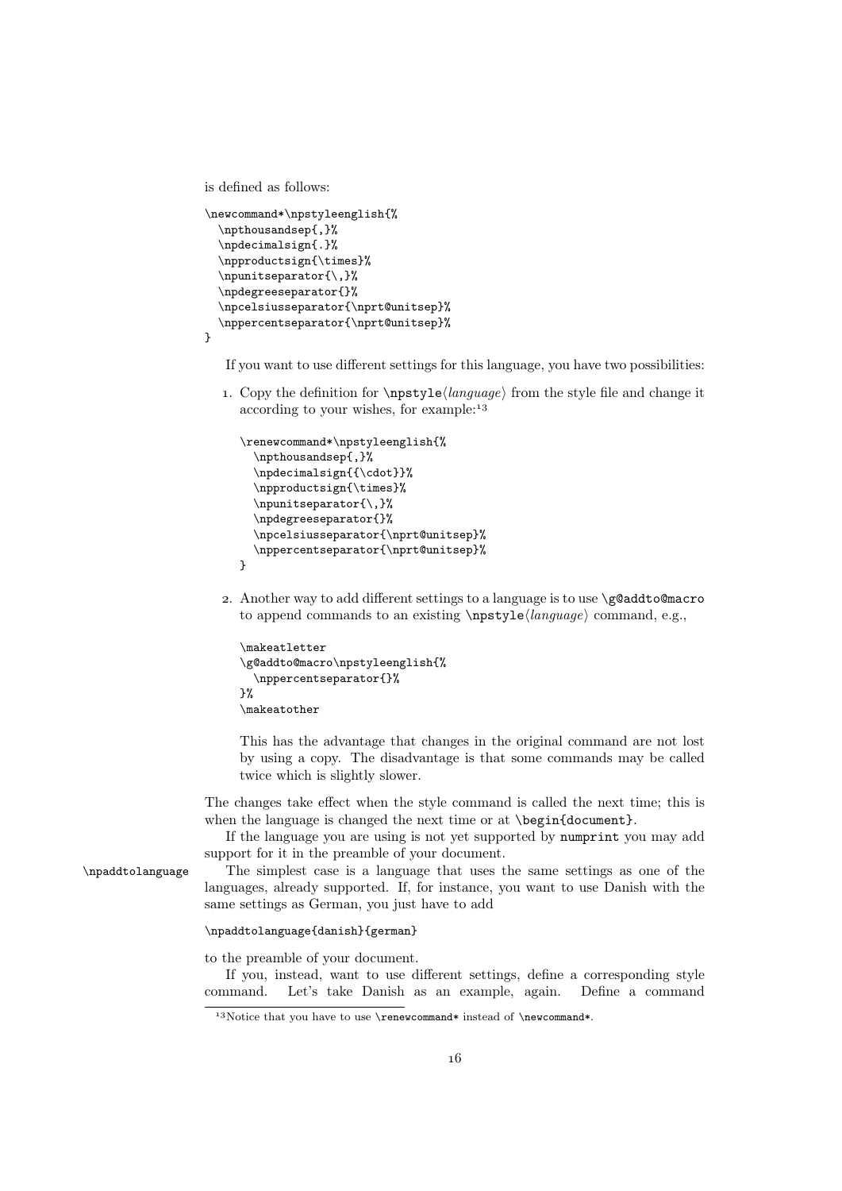is defined as follows:

```
\newcommand*\npstyleenglish{%
 \npthousandsep{,}%
 \npdecimalsign{.}%
 \npproductsign{\times}%
 \npunitseparator{\,}%
 \npdegreeseparator{}%
 \npcelsiusseparator{\nprt@unitsep}%
 \nppercentseparator{\nprt@unitsep}%
```
}

If you want to use different settings for this language, you have two possibilities:

1. Copy the definition for  $\n\psi\leq \langle \langle \rangle \rangle$  from the style file and change it according to your wishes, for example:

```
\renewcommand*\npstyleenglish{%
  \npthousandsep{,}%
  \npdecimalsign{{\cdot}}%
  \npproductsign{\times}%
  \npunitseparator{\,}%
  \npdegreeseparator{}%
  \npcelsiusseparator{\nprt@unitsep}%
  \nppercentseparator{\nprt@unitsep}%
}
```
2. Another way to add different settings to a language is to use \g@addto@macro to append commands to an existing  $\n\psi \leq \langle \langle \langle \rangle \rangle$  command, e.g.,

```
\makeatletter
\g@addto@macro\npstyleenglish{%
  \nppercentseparator{}%
}%
\makeatother
```
This has the advantage that changes in the original command are not lost by using a copy. The disadvantage is that some commands may be called twice which is slightly slower.

The changes take effect when the style command is called the next time; this is when the language is changed the next time or at \begin{document}.

If the language you are using is not yet supported by numprint you may add support for it in the preamble of your document.

\npaddtolanguage The simplest case is a language that uses the same settings as one of the languages, already supported. If, for instance, you want to use Danish with the same settings as German, you just have to add

#### \npaddtolanguage{danish}{german}

to the preamble of your document.

If you, instead, want to use different settings, define a corresponding style command. Let's take Danish as an example, again. Define a command

<sup>&</sup>lt;sup>13</sup>Notice that you have to use \renewcommand\* instead of \newcommand\*.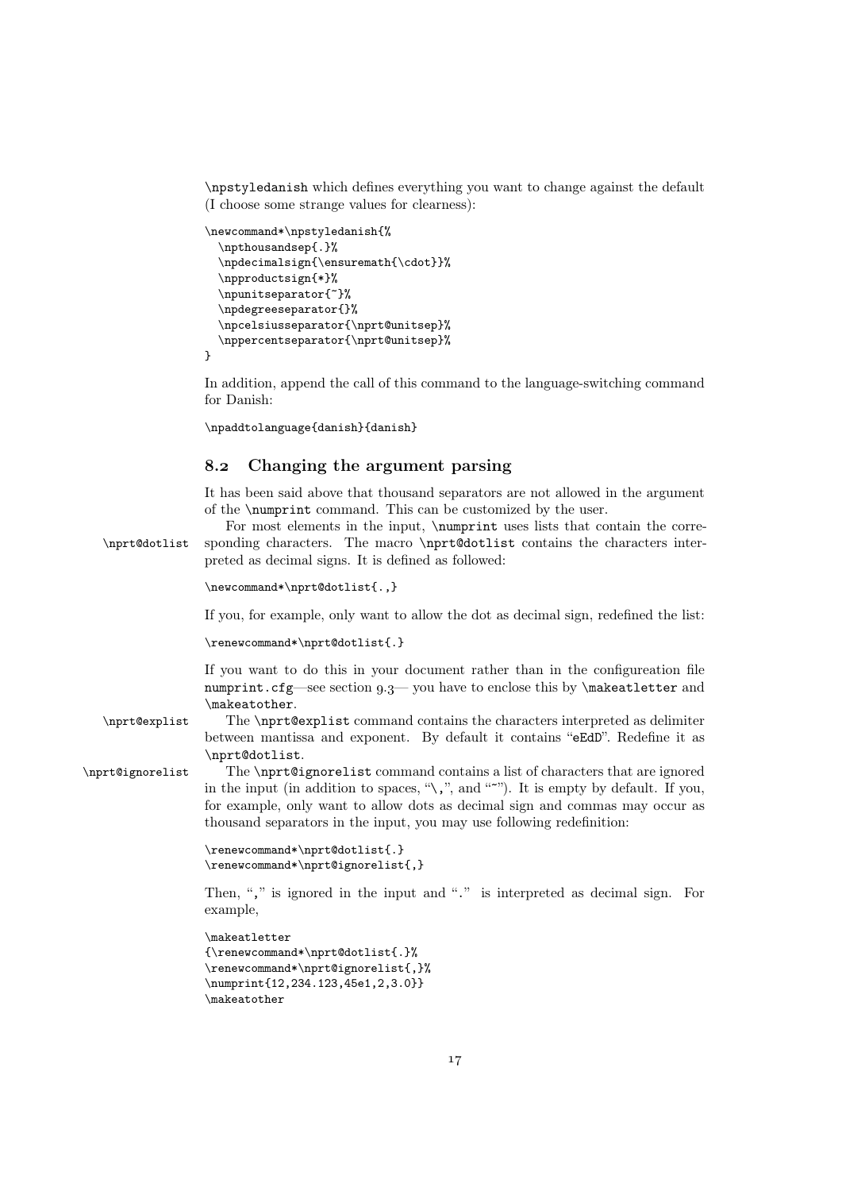\npstyledanish which defines everything you want to change against the default (I choose some strange values for clearness):

```
\newcommand*\npstyledanish{%
  \npthousandsep{.}%
  \npdecimalsign{\ensuremath{\cdot}}%
  \npproductsign{*}%
  \npunitseparator{~}%
  \npdegreeseparator{}%
  \npcelsiusseparator{\nprt@unitsep}%
  \nppercentseparator{\nprt@unitsep}%
}
```
In addition, append the call of this command to the language-switching command for Danish:

```
\npaddtolanguage{danish}{danish}
```
## . Changing the argument parsing

It has been said above that thousand separators are not allowed in the argument of the \numprint command. This can be customized by the user.

For most elements in the input, \numprint uses lists that contain the corre- \nprt@dotlist sponding characters. The macro \nprt@dotlist contains the characters interpreted as decimal signs. It is defined as followed:

```
\newcommand*\nprt@dotlist{.,}
```
If you, for example, only want to allow the dot as decimal sign, redefined the list:

```
\renewcommand*\nprt@dotlist{.}
```
If you want to do this in your document rather than in the configureation file numprint.cfg—see section  $9.3$ — you have to enclose this by \makeatletter and \makeatother.

\nprt@explist The \nprt@explist command contains the characters interpreted as delimiter between mantissa and exponent. By default it contains "eEdD". Redefine it as \nprt@dotlist.

\nprt@ignorelist The \nprt@ignorelist command contains a list of characters that are ignored in the input (in addition to spaces, " $\langle \cdot, \cdot \rangle$ ", and """). It is empty by default. If you, for example, only want to allow dots as decimal sign and commas may occur as thousand separators in the input, you may use following redefinition:

```
\renewcommand*\nprt@dotlist{.}
\renewcommand*\nprt@ignorelist{,}
```
Then, "," is ignored in the input and "." is interpreted as decimal sign. For example,

```
\makeatletter
```

```
{\renewcommand*\nprt@dotlist{.}%
\renewcommand*\nprt@ignorelist{,}%
\numprint{12,234.123,45e1,2,3.0}}
\makeatother
```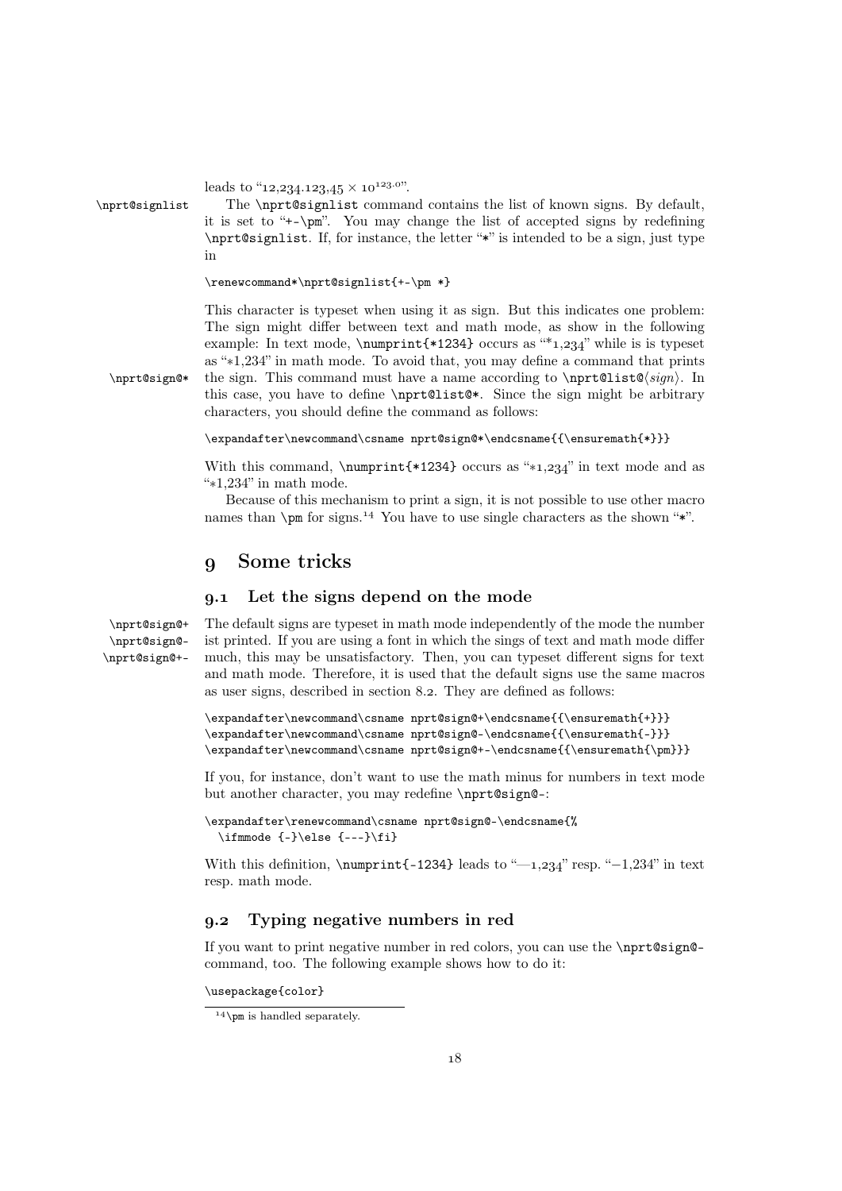```
leads to "12, 234. 123, 45 \times 10<sup>123.0"</sup>.
```
\nprt@signlist The \nprt@signlist command contains the list of known signs. By default, it is set to "+-\pm". You may change the list of accepted signs by redefining \nprt@signlist. If, for instance, the letter "\*" is intended to be a sign, just type in

```
\renewcommand*\nprt@signlist{+-\pm *}
```
This character is typeset when using it as sign. But this indicates one problem: The sign might differ between text and math mode, as show in the following example: In text mode,  $\text{*1234} occurs as "1,234" while is is typeset$ as "∗1,234" in math mode. To avoid that, you may define a command that prints  $\partial^*$  the sign. This command must have a name according to  $\partial(\sin)$ . In this case, you have to define \nprt@list@\*. Since the sign might be arbitrary characters, you should define the command as follows:

 $\verb|\expandafter\newcommand\csname nprt@sign@*\$ 

With this command, \numprint{\*1234} occurs as "\*1,234" in text mode and as "∗1,234" in math mode.

Because of this mechanism to print a sign, it is not possible to use other macro names than  $\pm \pi$  for signs.<sup>14</sup> You have to use single characters as the shown "\*".

# Some tricks

## . Let the signs depend on the mode

```
\nprt@sign@+ The default signs are typeset in math mode independently of the mode the number
 \nprt@sign@-
\nprt@sign@+-
                ist printed. If you are using a font in which the sings of text and math mode differ
                much, this may be unsatisfactory. Then, you can typeset different signs for text
                and math mode. Therefore, it is used that the default signs use the same macros
                as user signs, described in section 8.2. They are defined as follows:
```

```
\expandafter\newcommand\csname nprt@sign@+\endcsname{{\ensuremath{+}}}
\expandafter\newcommand\csname nprt@sign@-\endcsname{{\ensuremath{-}}}
\expandafter\newcommand\csname nprt@sign@+-\endcsname{{\ensuremath{\pm}}}
```
If you, for instance, don't want to use the math minus for numbers in text mode but another character, you may redefine \nprt@sign@-:

```
\expandafter\renewcommand\csname nprt@sign@-\endcsname{%
  \inf_{\ell} {\ell-1} \leq {\{-,-\}} \
```
With this definition,  $\numprint{-1234}$  leads to "—1,234" resp. "-1,234" in text resp. math mode.

## . Typing negative numbers in red

If you want to print negative number in red colors, you can use the \nprt@sign@ command, too. The following example shows how to do it:

\usepackage{color}

 $14$  \pm is handled separately.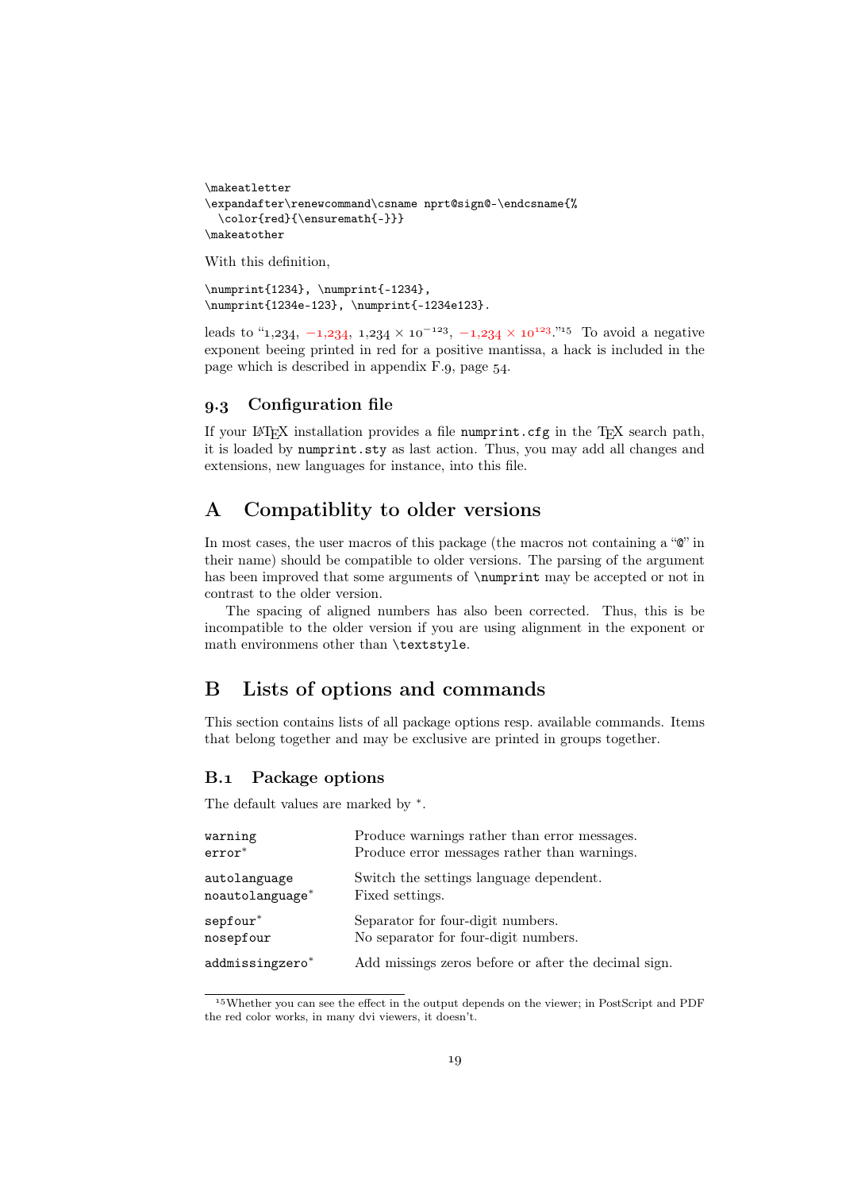```
\makeatletter
\expandafter\renewcommand\csname nprt@sign@-\endcsname{%
 \color{red}{\ensuremath{-}}}
\makeatother
```
With this definition,

```
\numprint{1234}, \numprint{-1234},
\numprint{1234e-123}, \numprint{-1234e123}.
```
leads to "1, 234,  $-1$ , 234,  $1$ , 234  $\times$  10<sup>-123</sup>,  $-1$ , 234  $\times$  10<sup>123</sup>.<sup>315</sup> To avoid a negative exponent beeing printed in red for a positive mantissa, a hack is included in the page which is described in appendix  $F.9$ , page  $54$ .

## . Configuration file

If your LATEX installation provides a file numprint.cfg in the TEX search path, it is loaded by numprint.sty as last action. Thus, you may add all changes and extensions, new languages for instance, into this file.

# A Compatiblity to older versions

In most cases, the user macros of this package (the macros not containing a " $\mathbb{C}$ " in their name) should be compatible to older versions. The parsing of the argument has been improved that some arguments of \numprint may be accepted or not in contrast to the older version.

The spacing of aligned numbers has also been corrected. Thus, this is be incompatible to the older version if you are using alignment in the exponent or math environmens other than \textstyle.

# B Lists of options and commands

This section contains lists of all package options resp. available commands. Items that belong together and may be exclusive are printed in groups together.

## B.1 Package options

The default values are marked by  $*$ .

| warning           | Produce warnings rather than error messages.         |
|-------------------|------------------------------------------------------|
| $\text{error}^*$  | Produce error messages rather than warnings.         |
| autolanguage      | Switch the settings language dependent.              |
| $noautolanguage*$ | Fixed settings.                                      |
| $sepfour^*$       | Separator for four-digit numbers.                    |
| nosepfour         | No separator for four-digit numbers.                 |
| addmissingzero*   | Add missings zeros before or after the decimal sign. |

Whether you can see the effect in the output depends on the viewer; in PostScript and PDF the red color works, in many dvi viewers, it doesn't.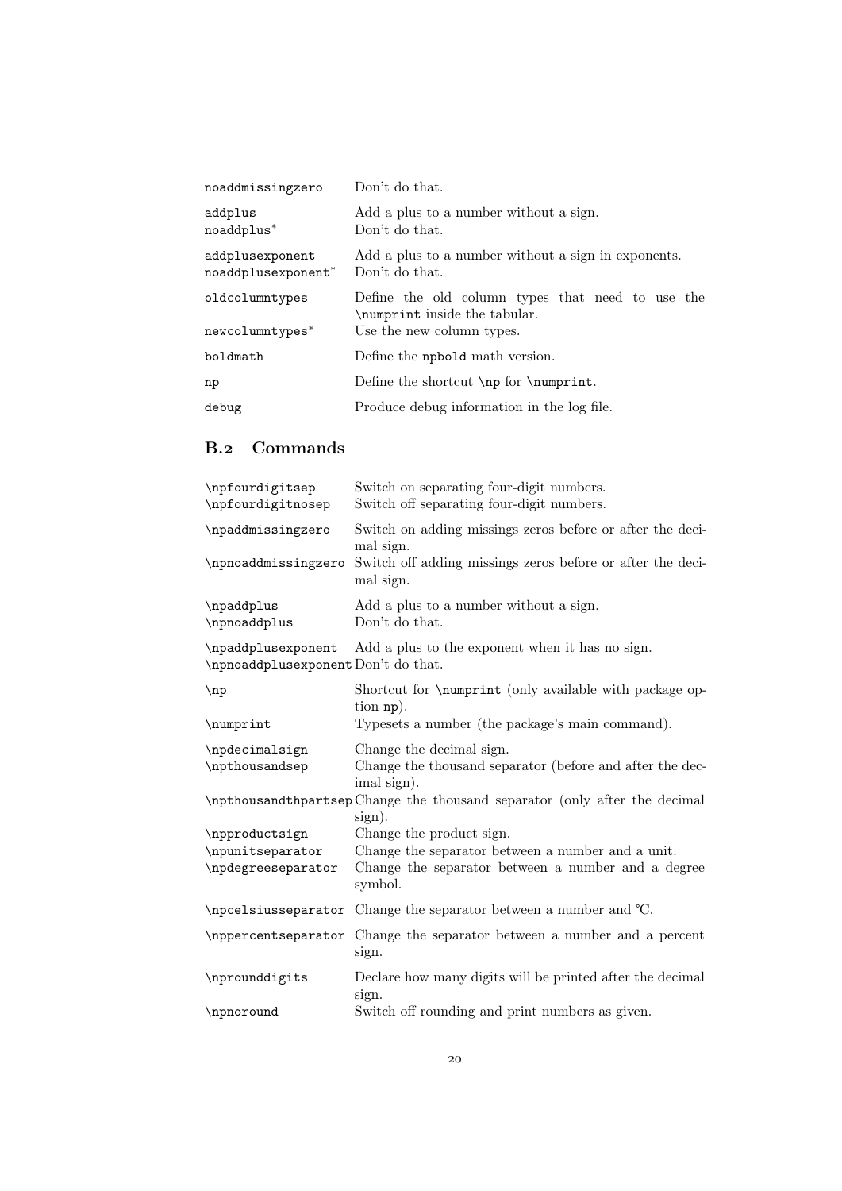| noaddmissingzero                      | Don't do that.                                                                                                 |
|---------------------------------------|----------------------------------------------------------------------------------------------------------------|
| addplus<br>noaddplus*                 | Add a plus to a number without a sign.<br>Don't do that.                                                       |
| addplusexponent<br>noaddplusexponent* | Add a plus to a number without a sign in exponents.<br>Don't do that.                                          |
| oldcolumntypes<br>newcolumntypes*     | Define the old column types that need to use the<br>\numprint inside the tabular.<br>Use the new column types. |
| boldmath                              | Define the npbold math version.                                                                                |
| np                                    | Define the shortcut $\np$ for $\numprint$ .                                                                    |
| debug                                 | Produce debug information in the log file.                                                                     |

# B.2 Commands

| \npfourdigitsep<br>\npfourdigitnosep                      | Switch on separating four-digit numbers.<br>Switch off separating four-digit numbers.                   |
|-----------------------------------------------------------|---------------------------------------------------------------------------------------------------------|
| \npaddmissingzero                                         | Switch on adding missings zeros before or after the deci-<br>mal sign.                                  |
| \npnoaddmissingzero                                       | Switch off adding missings zeros before or after the deci-<br>mal sign.                                 |
| \npaddplus<br>\npnoaddplus                                | Add a plus to a number without a sign.<br>Don't do that.                                                |
| \npaddplusexponent<br>\npnoaddplusexponent Don't do that. | Add a plus to the exponent when it has no sign.                                                         |
| $\n{\n  np$                                               | Shortcut for <i>\numprint</i> (only available with package op-<br>tion np).                             |
| \numprint                                                 | Typesets a number (the package's main command).                                                         |
| \npdecimalsign<br>\npthousandsep                          | Change the decimal sign.<br>Change the thousand separator (before and after the dec-<br>imal sign).     |
|                                                           | \npthousandthpartsep Change the thousand separator (only after the decimal<br>sign).                    |
| \npproductsign                                            | Change the product sign.                                                                                |
| \npunitseparator<br>\npdegreeseparator                    | Change the separator between a number and a unit.<br>Change the separator between a number and a degree |
|                                                           | symbol.                                                                                                 |
|                                                           | \npcelsiusseparator Change the separator between a number and °C.                                       |
| \nppercentseparator                                       | Change the separator between a number and a percent<br>sign.                                            |
| \nprounddigits                                            | Declare how many digits will be printed after the decimal<br>sign.                                      |
| \npnoround                                                | Switch off rounding and print numbers as given.                                                         |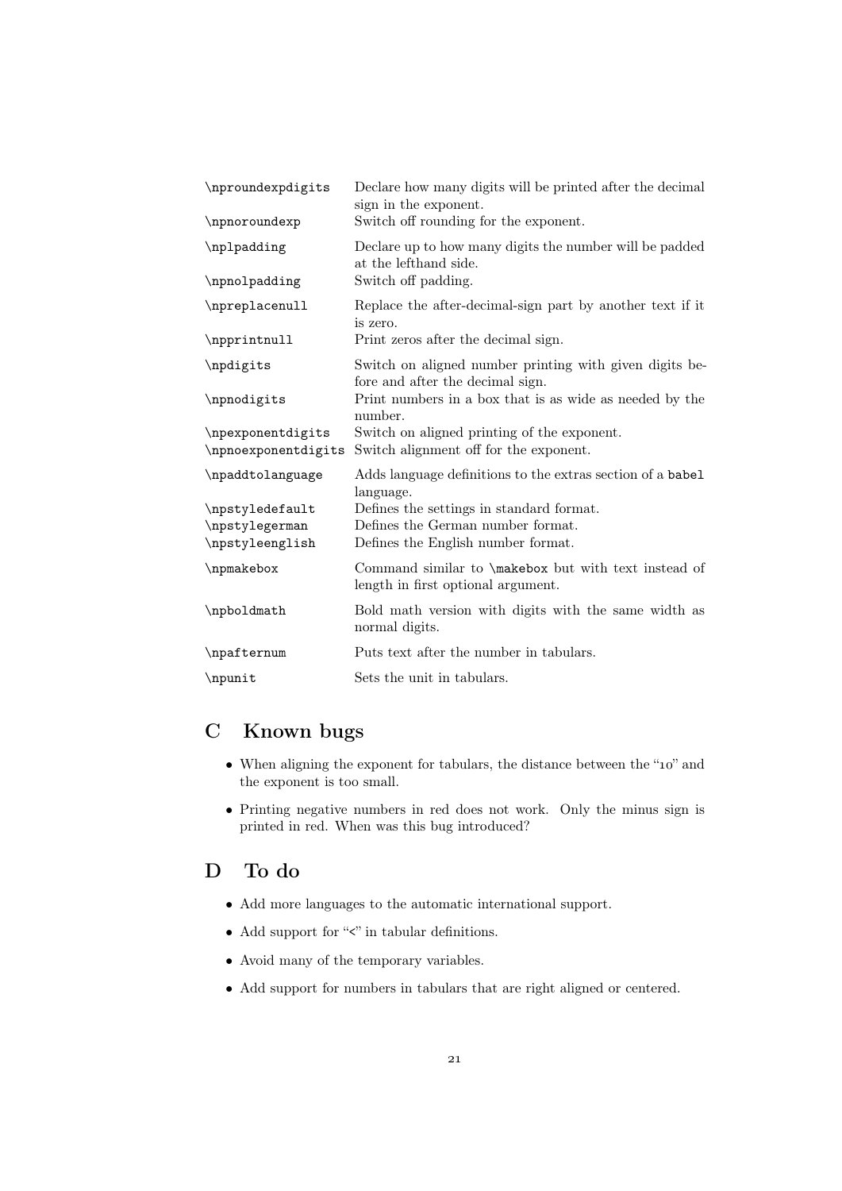| \nproundexpdigits                                    | Declare how many digits will be printed after the decimal<br>sign in the exponent.                                  |
|------------------------------------------------------|---------------------------------------------------------------------------------------------------------------------|
| \npnoroundexp                                        | Switch off rounding for the exponent.                                                                               |
| \nplpadding                                          | Declare up to how many digits the number will be padded<br>at the lefthand side.                                    |
| \npnolpadding                                        | Switch off padding.                                                                                                 |
| \npreplacenull                                       | Replace the after-decimal-sign part by another text if it<br>is zero.                                               |
| \npprintnull                                         | Print zeros after the decimal sign.                                                                                 |
| \npdigits                                            | Switch on aligned number printing with given digits be-<br>fore and after the decimal sign.                         |
| \npnodigits                                          | Print numbers in a box that is as wide as needed by the<br>number.                                                  |
| \npexponentdigits<br>\npnoexponentdigits             | Switch on aligned printing of the exponent.<br>Switch alignment off for the exponent.                               |
| \npaddtolanguage                                     | Adds language definitions to the extras section of a babel<br>language.                                             |
| \npstyledefault<br>\npstylegerman<br>\npstyleenglish | Defines the settings in standard format.<br>Defines the German number format.<br>Defines the English number format. |
|                                                      |                                                                                                                     |
| \npmakebox                                           | Command similar to \makebox but with text instead of<br>length in first optional argument.                          |
| \npboldmath                                          | Bold math version with digits with the same width as<br>normal digits.                                              |
| \npafternum                                          | Puts text after the number in tabulars.                                                                             |
| \npunit                                              | Sets the unit in tabulars.                                                                                          |

# C Known bugs

- When aligning the exponent for tabulars, the distance between the " $10$ " and the exponent is too small.
- Printing negative numbers in red does not work. Only the minus sign is printed in red. When was this bug introduced?

# D To do

- Add more languages to the automatic international support.
- Add support for " $\leq$ " in tabular definitions.
- Avoid many of the temporary variables.
- Add support for numbers in tabulars that are right aligned or centered.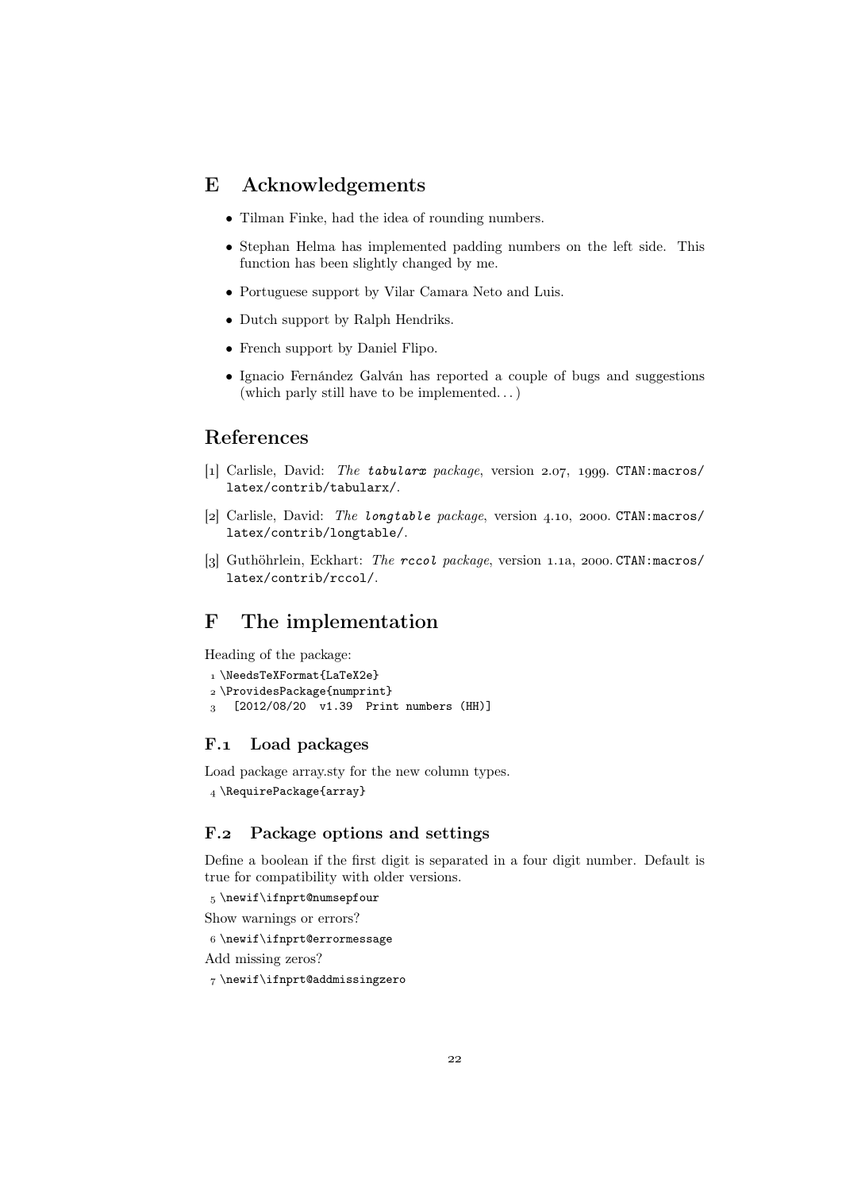# E Acknowledgements

- Tilman Finke, had the idea of rounding numbers.
- Stephan Helma has implemented padding numbers on the left side. This function has been slightly changed by me.
- Portuguese support by Vilar Camara Neto and Luis.
- Dutch support by Ralph Hendriks.
- French support by Daniel Flipo.
- Ignacio Fernández Galván has reported a couple of bugs and suggestions (which parly still have to be implemented. . . )

# References

- [1] Carlisle, David: The tabularx package, version 2.07, 1999. CTAN:macros/ latex/contrib/tabularx/.
- [2] Carlisle, David: The longtable package, version 4.10, 2000. CTAN: macros/ latex/contrib/longtable/.
- [3] Guthöhrlein, Eckhart: The rccol package, version 1.1a, 2000. CTAN: macros/ latex/contrib/rccol/.

# F The implementation

Heading of the package:

```
1 \NeedsTeXFormat{LaTeX2e}
 \ProvidesPackage{numprint}
 [2012/08/20 v1.39 Print numbers (HH)]
```
# F.1 Load packages

Load package array.sty for the new column types. 4 \RequirePackage{array}

# F.2 Package options and settings

Define a boolean if the first digit is separated in a four digit number. Default is true for compatibility with older versions.

```
 \newif\ifnprt@numsepfour
```
Show warnings or errors?

\newif\ifnprt@errormessage

```
Add missing zeros?
```
\newif\ifnprt@addmissingzero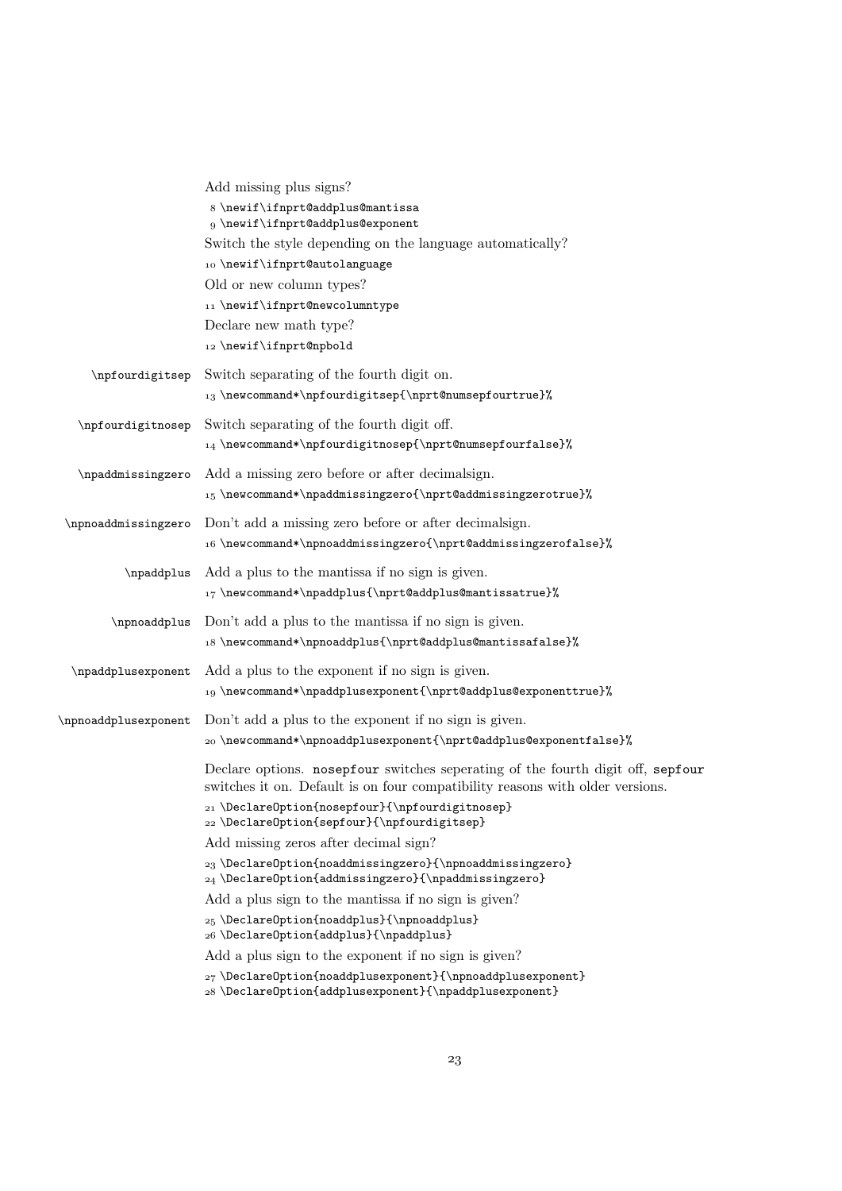|                      | Add missing plus signs?<br>8 \newif\ifnprt@addplus@mantissa<br>9 \newif\ifnprt@addplus@exponent<br>Switch the style depending on the language automatically?<br>10 \newif\ifnprt@autolanguage<br>Old or new column types?<br>11 \newif\ifnprt@newcolumntype<br>Declare new math type?<br>12 \newif\ifnprt@npbold                                                                                                                                                                                                 |
|----------------------|------------------------------------------------------------------------------------------------------------------------------------------------------------------------------------------------------------------------------------------------------------------------------------------------------------------------------------------------------------------------------------------------------------------------------------------------------------------------------------------------------------------|
| \npfourdigitsep      | Switch separating of the fourth digit on.<br>13 \newcommand*\npfourdigitsep{\nprt@numsepfourtrue}%                                                                                                                                                                                                                                                                                                                                                                                                               |
| \npfourdigitnosep    | Switch separating of the fourth digit off.<br>$_{14}$ \newcommand*\npfourdigitnosep{\nprt@numsepfourfalse}%                                                                                                                                                                                                                                                                                                                                                                                                      |
| \npaddmissingzero    | Add a missing zero before or after decimalign.<br>15 \newcommand*\npaddmissingzero{\nprt@addmissingzerotrue}%                                                                                                                                                                                                                                                                                                                                                                                                    |
| \npnoaddmissingzero  | Don't add a missing zero before or after decimalign.<br>16\newcommand*\npnoaddmissingzero{\nprt@addmissingzerofalse}%                                                                                                                                                                                                                                                                                                                                                                                            |
| \npaddplus           | Add a plus to the mantissa if no sign is given.<br>17\newcommand*\npaddplus{\nprt@addplus@mantissatrue}%                                                                                                                                                                                                                                                                                                                                                                                                         |
| \npnoaddplus         | Don't add a plus to the mantissa if no sign is given.<br>18 \newcommand*\npnoaddplus{\nprt@addplus@mantissafalse}%                                                                                                                                                                                                                                                                                                                                                                                               |
| \npaddplusexponent   | Add a plus to the exponent if no sign is given.<br>19 \newcommand*\npaddplusexponent{\nprt@addplus@exponenttrue}%                                                                                                                                                                                                                                                                                                                                                                                                |
| \npnoaddplusexponent | Don't add a plus to the exponent if no sign is given.<br>20 \newcommand*\npnoaddplusexponent{\nprt@addplus@exponentfalse}%                                                                                                                                                                                                                                                                                                                                                                                       |
|                      | Declare options. nosepfour switches seperating of the fourth digit off, sepfour<br>switches it on. Default is on four compatibility reasons with older versions.<br>21 \Declare0ption{nosepfour}{\npfourdigitnosep}                                                                                                                                                                                                                                                                                              |
|                      | 22 \DeclareOption{sepfour}{\npfourdigitsep}                                                                                                                                                                                                                                                                                                                                                                                                                                                                      |
|                      | Add missing zeros after decimal sign?<br>23 \DeclareOption{noaddmissingzero}{\npnoaddmissingzero}                                                                                                                                                                                                                                                                                                                                                                                                                |
|                      | 24 \DeclareOption{addmissingzero}{\npaddmissingzero}                                                                                                                                                                                                                                                                                                                                                                                                                                                             |
|                      | Add a plus sign to the mantissa if no sign is given?                                                                                                                                                                                                                                                                                                                                                                                                                                                             |
|                      | $_{25} \DeclareOption \{noaddplus\{\n    npnoaddplus\}$<br>26 \DeclareOption{addplus}{\npaddplus}                                                                                                                                                                                                                                                                                                                                                                                                                |
|                      | Add a plus sign to the exponent if no sign is given?                                                                                                                                                                                                                                                                                                                                                                                                                                                             |
|                      | 27\DeclareOption{noaddplusexponent}{\npnoaddplusexponent}<br>${\bf 28 \text{Declarelption} {alqplus exponent} {\n  pused {llpscale} {\n  pnew{llpblue} {\n  pnew{llpblue} {\n  pnew{llpblue} {\n  pnew{llpblue} {\n  pnew{llpblue} {\n  pnew{llpblue} {\n  pnew{llpblue} {\n  pnew{llpblue} {\n  pnew{llpblue} {\n  pnew{llpblue} {\n  pnew{llpblue} {\n  pnew{llpblue} {\n  pnew{llpblue} {\n  pnew{llpblue} {\n  pnew{llpblue} {\n  pnew{llpblue} {\n  pnew{llpblue} {\n  pnew{llpblue} {\n  pnew{llpblue} {\$ |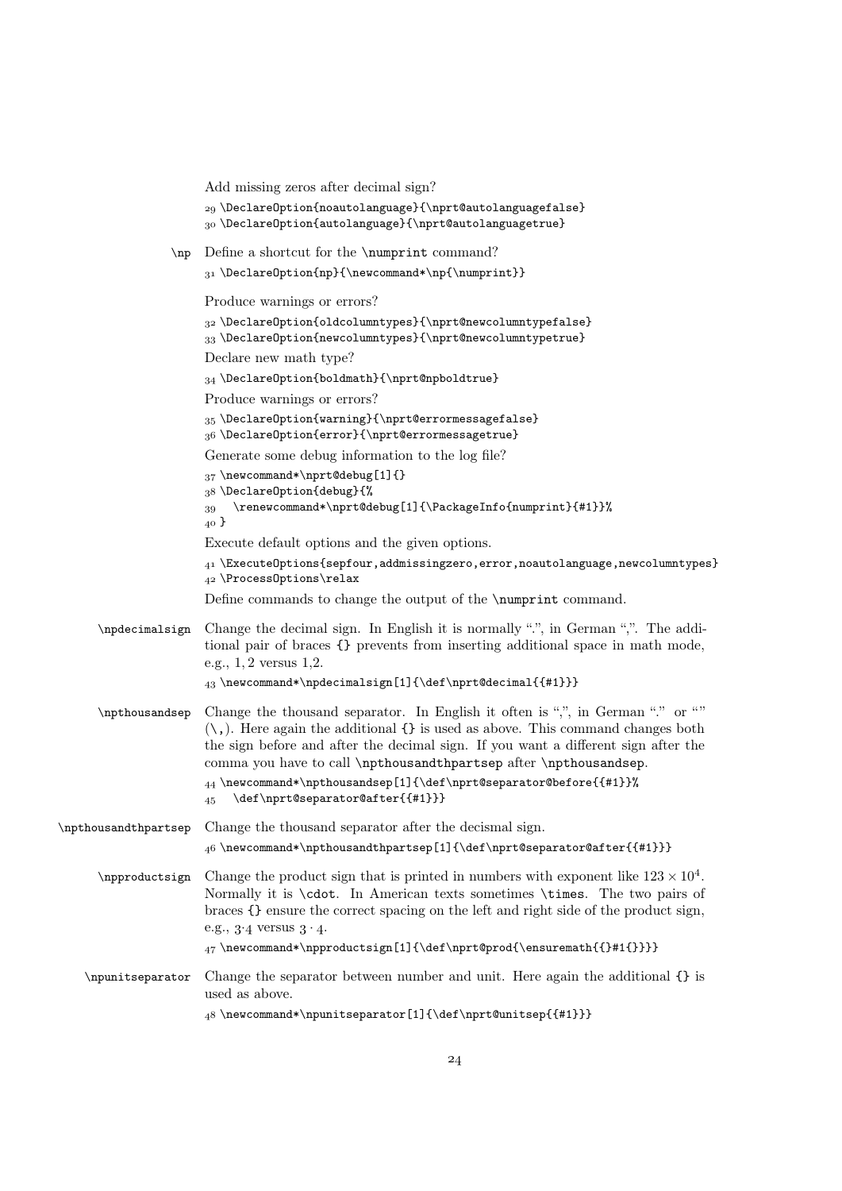|                      | Add missing zeros after decimal sign?                                                                                                                                                                                                                                                                                                                                                                                                                        |
|----------------------|--------------------------------------------------------------------------------------------------------------------------------------------------------------------------------------------------------------------------------------------------------------------------------------------------------------------------------------------------------------------------------------------------------------------------------------------------------------|
|                      | 29 \DeclareOption{noautolanguage}{\nprt@autolanguagefalse}<br>30 \Declare0ption{autolanguage}{\nprt@autolanguagetrue}                                                                                                                                                                                                                                                                                                                                        |
| $\n{\n  np$          | Define a shortcut for the \numprint command?                                                                                                                                                                                                                                                                                                                                                                                                                 |
|                      | 31 \Declare0ption{np}{\newcommand*\np{\numprint}}                                                                                                                                                                                                                                                                                                                                                                                                            |
|                      | Produce warnings or errors?                                                                                                                                                                                                                                                                                                                                                                                                                                  |
|                      | 32 \Declare0ption{oldcolumntypes}{\nprt@newcolumntypefalse}<br>$_{33}$ \Declare0ption{newcolumntypes}{\nprt@newcolumntypetrue}                                                                                                                                                                                                                                                                                                                               |
|                      | Declare new math type?                                                                                                                                                                                                                                                                                                                                                                                                                                       |
|                      | 34 \DeclareOption{boldmath}{\nprt@npboldtrue}                                                                                                                                                                                                                                                                                                                                                                                                                |
|                      | Produce warnings or errors?                                                                                                                                                                                                                                                                                                                                                                                                                                  |
|                      | 35\Declare0ption{warning}{\nprt@errormessagefalse}<br>36\Declare0ption{error}{\nprt@errormessagetrue}                                                                                                                                                                                                                                                                                                                                                        |
|                      | Generate some debug information to the log file?                                                                                                                                                                                                                                                                                                                                                                                                             |
|                      | $_{37} \neq \text{and*}\nprint@delay[1]{\}$                                                                                                                                                                                                                                                                                                                                                                                                                  |
|                      | 38 \Declare0ption{debug}{%<br>\renewcommand*\nprt@debug[1]{\PackageInfo{numprint}{#1}}%<br>39<br>40 <sup>3</sup>                                                                                                                                                                                                                                                                                                                                             |
|                      | Execute default options and the given options.                                                                                                                                                                                                                                                                                                                                                                                                               |
|                      | $_{41}$ \ExecuteOptions{sepfour,addmissingzero,error,noautolanguage,newcolumntypes}<br>$_{42}$ \Process0ptions\relax                                                                                                                                                                                                                                                                                                                                         |
|                      | Define commands to change the output of the \numprint command.                                                                                                                                                                                                                                                                                                                                                                                               |
| \npdecimalsign       | Change the decimal sign. In English it is normally ".", in German ",". The addi-<br>tional pair of braces {} prevents from inserting additional space in math mode,<br>e.g., $1, 2$ versus $1, 2$ .                                                                                                                                                                                                                                                          |
|                      | 43\newcommand*\npdecimalsign[1]{\def\nprt@decimal{{#1}}}                                                                                                                                                                                                                                                                                                                                                                                                     |
| \npthousandsep       | Change the thousand separator. In English it often is ",", in German "." or ""<br>$(\cdot, )$ . Here again the additional $\{\}$ is used as above. This command changes both<br>the sign before and after the decimal sign. If you want a different sign after the<br>comma you have to call \npthousandthpartsep after \npthousandsep.<br>$_{44}$ \newcommand*\npthousandsep[1]{\def\nprt@separator@before{{#1}}%<br>\def\nprt@separator@after{{#1}}}<br>45 |
| \npthousandthpartsep | Change the thousand separator after the decismal sign.                                                                                                                                                                                                                                                                                                                                                                                                       |
|                      | $46 \ne wcommand* \npthousandthpartsep[1]{\def\nprt@separator@after{{#1}}}$                                                                                                                                                                                                                                                                                                                                                                                  |
| \npproductsign       | Change the product sign that is printed in numbers with exponent like $123 \times 10^4$ .<br>Normally it is <b>\cdot</b> . In American texts sometimes <b>\times</b> . The two pairs of<br>braces $\{\}$ ensure the correct spacing on the left and right side of the product sign,<br>e.g., $3.4$ versus $3.4$ .                                                                                                                                            |
|                      | 47\newcommand*\npproductsign[1]{\def\nprt@prod{\ensuremath{{}#1{}}}}                                                                                                                                                                                                                                                                                                                                                                                         |
| \npunitseparator     | Change the separator between number and unit. Here again the additional {} is<br>used as above.                                                                                                                                                                                                                                                                                                                                                              |
|                      | 48\newcommand*\npunitseparator[1]{\def\nprt@unitsep{{#1}}}                                                                                                                                                                                                                                                                                                                                                                                                   |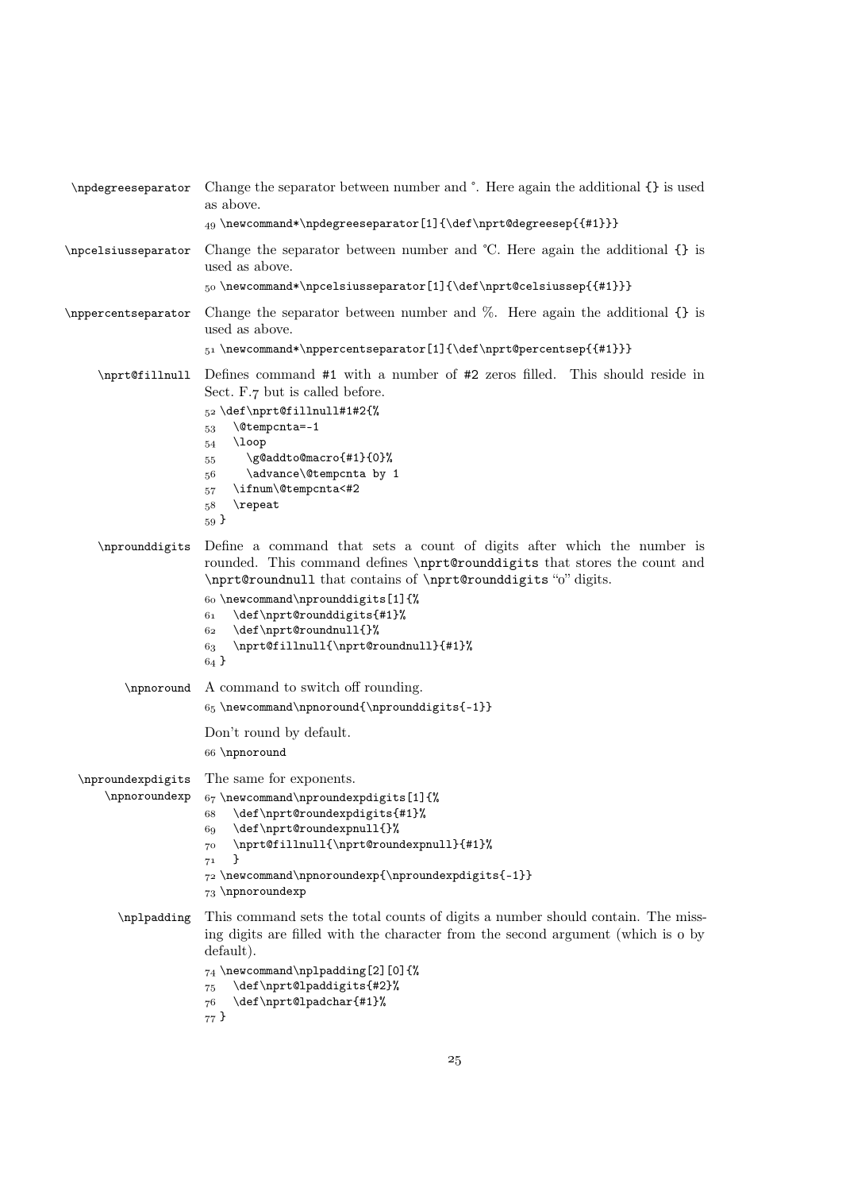```
\npdegreeseparator Change the separator between number and °. Here again the additional {} is used
                      as above.
                      _{49} \newcommand*\npdegreeseparator [1] {\def\nprt@degreesep{{#1}}}
\npcelsiusseparator Change the separator between number and ℃. Here again the additional {} is
                      used as above.
                       \newcommand*\npcelsiusseparator[1]{\def\nprt@celsiussep{{#1}}}
\nppercentseparator Change the separator between number and %. Here again the additional {} is
                      used as above.
                      51\newcommand*\nppercentseparator[1]{\def\nprt@percentsep{{#1}}}
     \nprt@fillnull Defines command #1 with a number of #2 zeros filled. This should reside in
                     Sect. F.7 but is called before.
                      \frac{52}{def\nuprt0fillnull#1#2^{\n}53 \@tempcnta=-1
                     54 \loop
                      \g@addto@macro{#1}{0}%
                     56 \advance\@tempcnta by 1
                      \ifnum\@tempcnta<#2
                     58 \repeat
                     59\nprounddigits Define a command that sets a count of digits after which the number is
                      rounded. This command defines \nprt@rounddigits that stores the count and
                      \nprt@roundnull that contains of \nprt@rounddigits "o" digits.
                     60 \neqcommand\nprounddigits[1]{%}61 \def\nprt@rounddigits{#1}%
                      \def\nprt@roundnull{}%
                      \nprt@fillnull{\nprt@roundnull}{#1}%
                     64 \}\npnoround A command to switch off rounding.
                     65 \newcommand{\nppnoround{\npprounddigits{-1}}Don't round by default.
                      \npnoround
  \nproundexpdigits
      \npnoroundexp
                     The same for exponents.
                     67 \neqwcommand\nproundexpdigits[1]{%
                      \def\nprt@roundexpdigits{#1}%
                     69 \def\nprt@roundexpnull{}%
                      \nprt@fillnull{\nprt@roundexpnull}{#1}%
                     _{71} }
                     \overline{72} \newcommand\npnoroundexp{\nproundexpdigits{-1}}
                     73 \npnoroundexp
        \nplpadding This command sets the total counts of digits a number should contain. The miss-
                     ing digits are filled with the character from the second argument (which is  by
                     default).
                     74 \neq \emptyset \newcommand\nplpadding[2][0]{%
                     \label{thm:main} $$ 75 \def\npt@lpaddigits{#2}", $$ 76 \def\npt@lpadchar{#1}", \def\nprt@lpadchar{#1}%
                     77}
```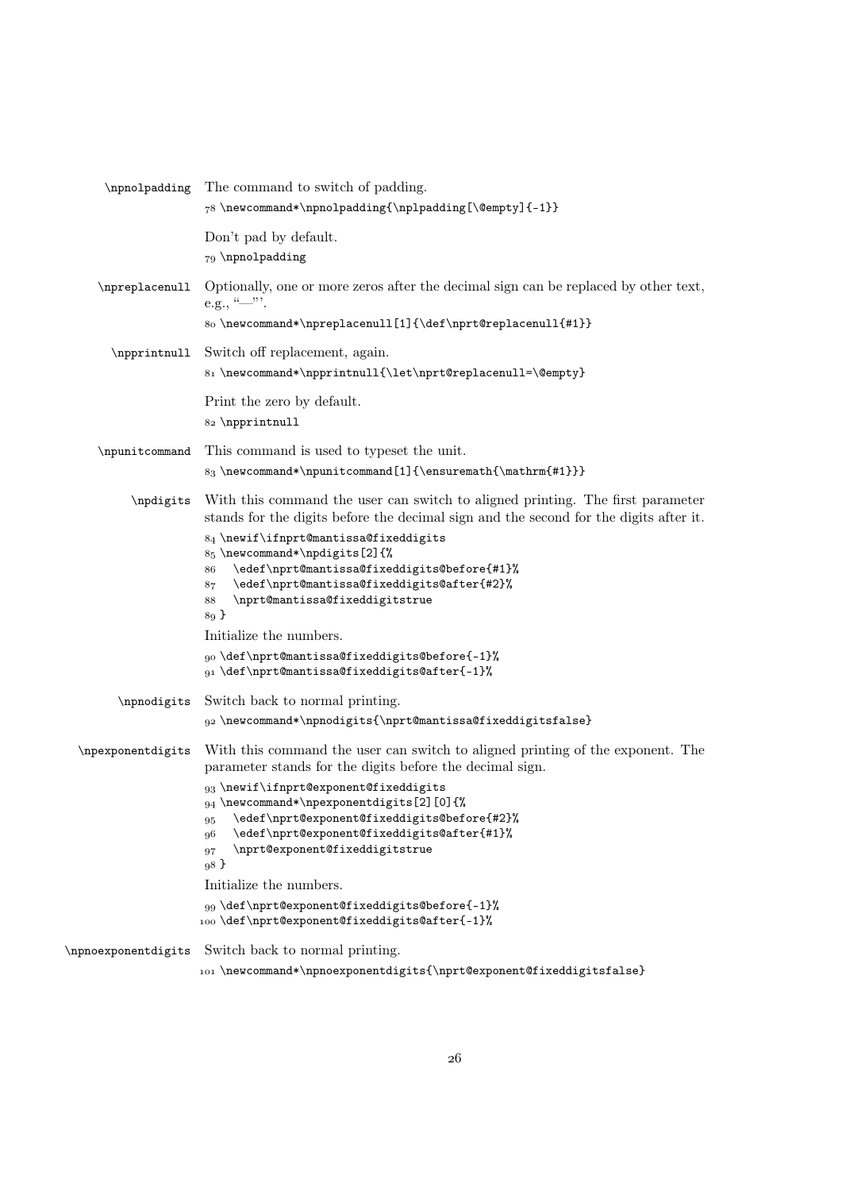| \npnolpadding       | The command to switch of padding.<br>78 \newcommand*\npnolpadding{\nplpadding[\@empty]{-1}}                                                                                                                                                                                                                                                                                                                                                                                                                                                      |
|---------------------|--------------------------------------------------------------------------------------------------------------------------------------------------------------------------------------------------------------------------------------------------------------------------------------------------------------------------------------------------------------------------------------------------------------------------------------------------------------------------------------------------------------------------------------------------|
|                     | Don't pad by default.<br>79 \npnolpadding                                                                                                                                                                                                                                                                                                                                                                                                                                                                                                        |
| \npreplacenull      | Optionally, one or more zeros after the decimal sign can be replaced by other text,<br>e.g., $\frac{(-1)^n}{n}$ .<br>80\newcommand*\npreplacenull[1]{\def\nprt@replacenull{#1}}                                                                                                                                                                                                                                                                                                                                                                  |
| \npprintnull        | Switch off replacement, again.<br>81 \newcommand*\npprintnull{\let\nprt@replacenull=\@empty}                                                                                                                                                                                                                                                                                                                                                                                                                                                     |
|                     | Print the zero by default.<br>82 \npprintnull                                                                                                                                                                                                                                                                                                                                                                                                                                                                                                    |
| \npunitcommand      | This command is used to typeset the unit.<br>83 \newcommand*\npunitcommand[1]{\ensuremath{\mathrm{#1}}}                                                                                                                                                                                                                                                                                                                                                                                                                                          |
| \npdigits           | With this command the user can switch to aligned printing. The first parameter<br>stands for the digits before the decimal sign and the second for the digits after it.<br>84 \newif\ifnprt@mantissa@fixeddigits<br>85 \newcommand*\npdigits[2]{%<br>\edef\nprt@mantissa@fixeddigits@before{#1}%<br>86<br>\edef\nprt@mantissa@fixeddigits@after{#2}%<br>87<br>\nprt@mantissa@fixeddigitstrue<br>88<br>89 <sup>3</sup><br>Initialize the numbers.<br>90\def\nprt@mantissa@fixeddigits@before{-1}%<br>91 \def\nprt@mantissa@fixeddigits@after{-1}% |
| \npnodigits         | Switch back to normal printing.<br>g2\newcommand*\npnodigits{\nprt@mantissa@fixeddigitsfalse}                                                                                                                                                                                                                                                                                                                                                                                                                                                    |
| \npexponentdigits   | With this command the user can switch to aligned printing of the exponent. The<br>parameter stands for the digits before the decimal sign.<br>93 \newif\ifnprt@exponent@fixeddigits<br>94 \newcommand*\npexponentdigits[2][0]{%<br>\edef\nprt@exponent@fixeddigits@before{#2}%<br>95<br>\edef\nprt@exponent@fixeddigits@after{#1}%<br>96<br>\nprt@exponent@fixeddigitstrue<br>97<br>98 }<br>Initialize the numbers.<br>99\def\nprt@exponent@fixeddigits@before{-1}%<br>100 \def\nprt@exponent@fixeddigits@after{-1}%                             |
| \npnoexponentdigits | Switch back to normal printing.<br>101\newcommand*\npnoexponentdigits{\nprt@exponent@fixeddigitsfalse}                                                                                                                                                                                                                                                                                                                                                                                                                                           |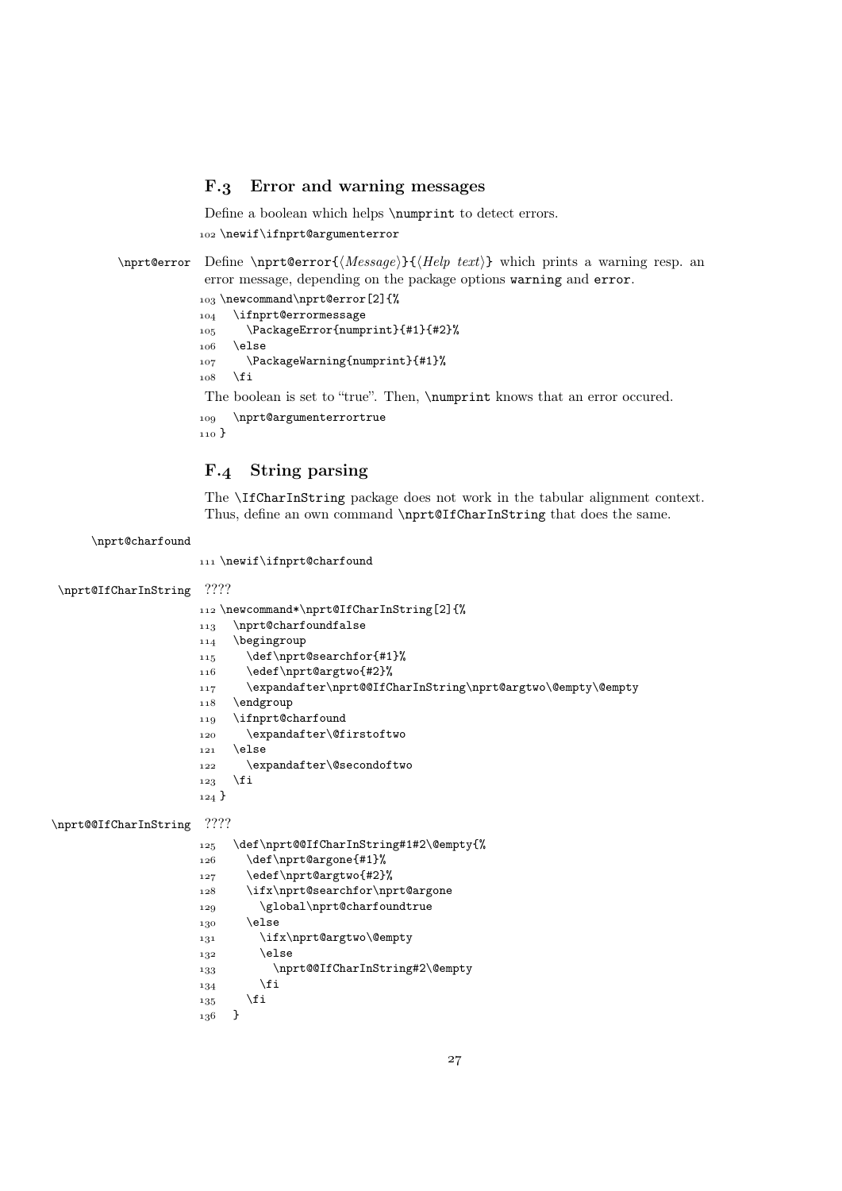## F.3 Error and warning messages

Define a boolean which helps \numprint to detect errors. 102 \newif\ifnprt@argumenterror

 $\partial$  \nprt@error Define \nprt@error{ $\{Message\}$ { $\{Help text\}$  which prints a warning resp. an error message, depending on the package options warning and error.

```
_{103} \newcommand\nprt@error[2]{%
104 \ifnprt@errormessage
 \PackageError{numprint}{#1}{#2}%
106 \else
107 \PackageWarning{numprint}{#1}%
108 \fi
The boolean is set to "true". Then, \numprint knows that an error occured.
```

```
109 \nprt@argumenterrortrue
110}
```
# F.4 String parsing

The \IfCharInString package does not work in the tabular alignment context. Thus, define an own command \nprt@IfCharInString that does the same.

\nprt@charfound

```
111 \newif\ifnprt@charfound
```

```
\nprt@IfCharInString ????
                     112\newcommand*\nprt@IfCharInString[2]{%
                     _{\tt\,113} \nprt@charfoundfalse
                     114 \begingroup
                     115 \def\nprt@searchfor{#1}%
                     116 \edef\nprt@argtwo{#2}%
                      \expandafter\nprt@@IfCharInString\nprt@argtwo\@empty\@empty
                     118 \endgroup
                     119 \ifnprt@charfound
                     120 \expandafter\@firstoftwo
                     _{121} \else
                     122 \expandafter\@secondoftwo
                     _{123} \fi
                     _{124} }
\nprt@@IfCharInString ????
                     125 \def\nprt@@IfCharInString#1#2\@empty{%
                     126 \def\nprt@argone{#1}%
                     127 \edef\nprt@argtwo{#2}%
                     128 \ifx\nprt@searchfor\nprt@argone
                     129 \global\nprt@charfoundtrue
                     _{130} \else
                     131 \ifx\nprt@argtwo\@empty
                     _{132} \else
                     133 \nprt@@IfCharInString#2\@empty
                     _{134} \fi
                     _{135} \fi
                     136 }
```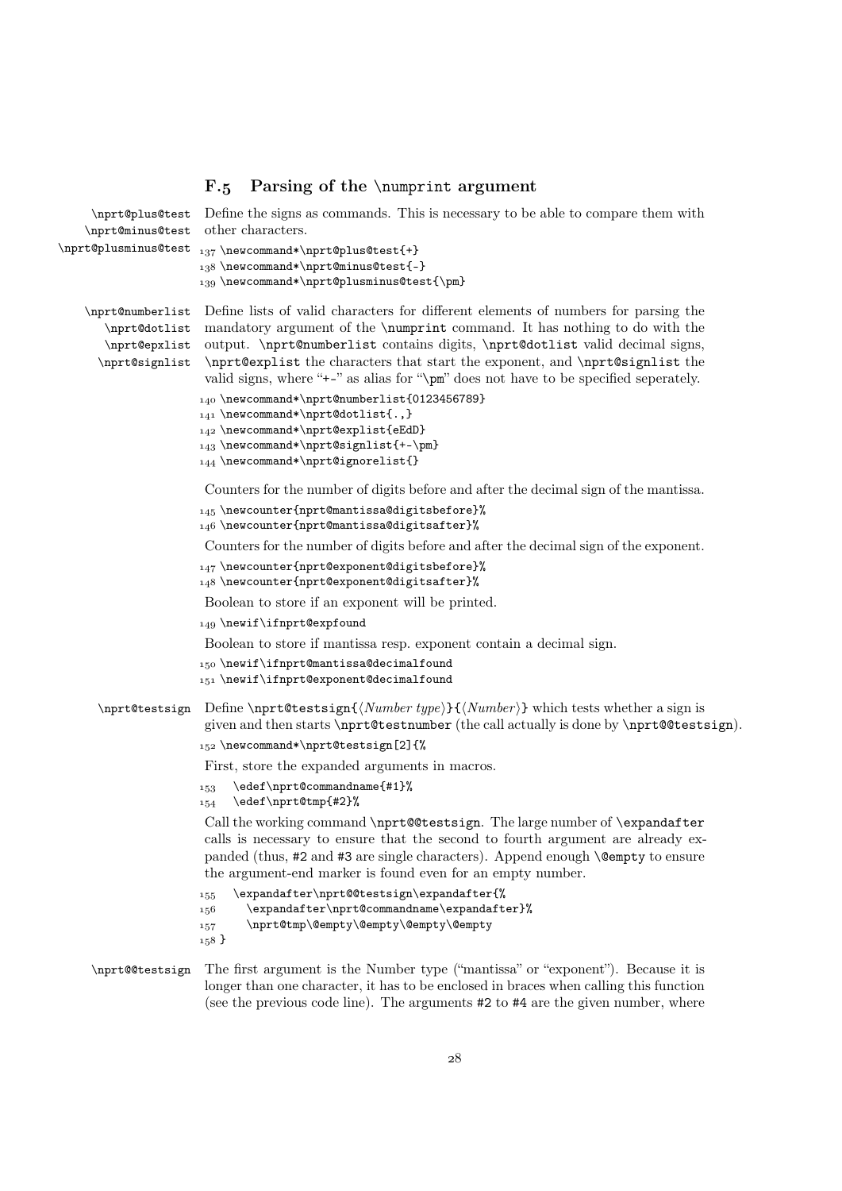## F.5 Parsing of the  $\text{number}$  argument

```
\nprt@plus@test
    \nprt@minus@test
\n\pi\Phiusminus@test <sub>137</sub> \newcommand*\nprt@plus@test{+}
                      Define the signs as commands. This is necessary to be able to compare them with
                      other characters.
                      138\newcommand*\nprt@minus@test{-}
                      139 \newcommand*\nprt@plusminus@test{\pm}
    \nprt@numberlist
Define lists of valid characters for different elements of numbers for parsing the
       \nprt@dotlist
       \nprt@epxlist
      \nprt@signlist
                      mandatory argument of the \numprint command. It has nothing to do with the
                      output. \nprt@numberlist contains digits, \nprt@dotlist valid decimal signs,
                      \nprt@explist the characters that start the exponent, and \nprt@signlist the
                       valid signs, where "+-" as alias for "\pm" does not have to be specified seperately.
                      _{140} \newcommand*\nprt@numberlist{0123456789}
                      141\newcommand*\nprt@dotlist{.,}
                      142\newcommand*\nprt@explist{eEdD}
                      _{143} \newcommand*\nput@signalist{+-\pm}144 \newcommand*\nprt@ignorelist{}
                       Counters for the number of digits before and after the decimal sign of the mantissa.
                      _{145} \newcounter{nprt@mantissa@digitsbefore}%
                      146 \newcounter{nprt@mantissa@digitsafter}%
                      Counters for the number of digits before and after the decimal sign of the exponent.
                      147\newcounter{nprt@exponent@digitsbefore}%
                      148 \newcounter{nprt@exponent@digitsafter}%
                      Boolean to store if an exponent will be printed.
                      149 \newif\ifnprt@expfound
                      Boolean to store if mantissa resp. exponent contain a decimal sign.
                      150\newif\ifnprt@mantissa@decimalfound
                      151 \newif\ifnprt@exponent@decimalfound
      \partial \nprt@testsign{\Mumberwhich tests whether a sign is
                      given and then starts \nprt@testnumber (the call actually is done by \nprt@@testsign).
                      152 \newcommand*\nprt@testsign[2]{%
                      First, store the expanded arguments in macros.
                      \text{153} \text{eder} \text{Ccommandname} {#1}%
                      _{154} \edef\nprt@tmp{#2}%
                      Call the working command \nprt@@testsign. The large number of \expandafter
                      calls is necessary to ensure that the second to fourth argument are already ex-
                       panded (thus, #2 and #3 are single characters). Append enough \@empty to ensure
                       the argument-end marker is found even for an empty number.
                      155 \expandafter\nprt@@testsign\expandafter{%
                      156 \expandafter\nprt@commandname\expandafter}%
                      157 \nprt@tmp\@empty\@empty\@empty\@empty\@empty
                      158 }
    \nprt@@testsign The first argument is the Number type ("mantissa" or "exponent"). Because it is
```
longer than one character, it has to be enclosed in braces when calling this function (see the previous code line). The arguments #2 to #4 are the given number, where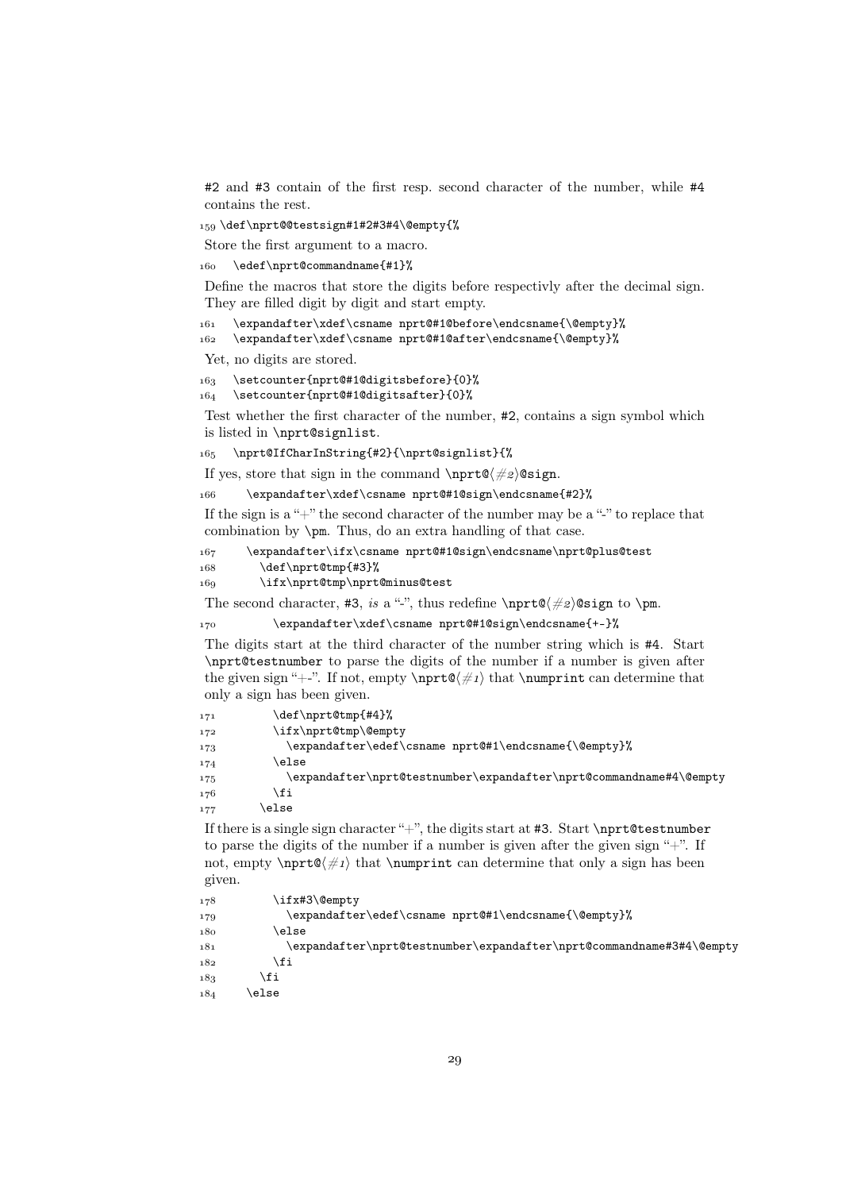#2 and #3 contain of the first resp. second character of the number, while #4 contains the rest.

159\def\nprt@@testsign#1#2#3#4\@empty{%

Store the first argument to a macro.

160 \edef\nprt@commandname{#1}%

Define the macros that store the digits before respectivly after the decimal sign. They are filled digit by digit and start empty.

161 \expandafter\xdef\csname nprt@#1@before\endcsname{\@empty}%

162 \expandafter\xdef\csname nprt@#1@after\endcsname{\@empty}%

Yet, no digits are stored.

 \setcounter{nprt@#1@digitsbefore}{0}% \setcounter{nprt@#1@digitsafter}{0}%

Test whether the first character of the number, #2, contains a sign symbol which is listed in \nprt@signlist.

165 \nprt@IfCharInString{#2}{\nprt@signlist}{%

If yes, store that sign in the command \nprt@h#i@sign.

\expandafter\xdef\csname nprt@#1@sign\endcsname{#2}%

If the sign is a "+" the second character of the number may be a "-" to replace that combination by \pm. Thus, do an extra handling of that case.

167 \expandafter\ifx\csname nprt@#1@sign\endcsname\nprt@plus@test 168 \def\nprt@tmp{#3}%

169 \ifx\nprt@tmp\nprt@minus@test

The second character, #3, is a "-", thus redefine \nprt  $\&\#2$  \esign to \pm.

170 \expandafter\xdef\csname nprt@#1@sign\endcsname{+-}%

The digits start at the third character of the number string which is #4. Start \nprt@testnumber to parse the digits of the number if a number is given after the given sign "+-". If not, empty  $\n\rightharpoonup \#1$  that  $\n\rightharpoonup \mathbb{C}$  that  $\n\rightharpoonup \mathbb{C}$ only a sign has been given.

| 171 | \def\nprt@tmp{#4}%                                                 |
|-----|--------------------------------------------------------------------|
| 172 | \ifx\nprt@tmp\@empty                                               |
| 173 | \expandafter\edef\csname nprt@#1\endcsname{\@empty}%               |
| 174 | else\                                                              |
| 175 | \expandafter\nprt@testnumber\expandafter\nprt@commandname#4\@empty |
| 176 | ∖fi                                                                |
| 177 | else                                                               |

If there is a single sign character " $+$ ", the digits start at #3. Start \nprt@testnumber to parse the digits of the number if a number is given after the given sign  $+$ ". If not, empty  $\n\rightharpoonup \mathbb{Q}(\#_1)$  that  $\text{number}$  can determine that only a sign has been given.

```
178 \ifx#3\@empty
179 \expandafter\edef\csname nprt@#1\endcsname{\@empty}%
\sqrt{180} \else
181 \expandafter\nprt@testnumber\expandafter\nprt@commandname#3#4\@empty
182 \quad \text{If}183 \fi
184 \else
```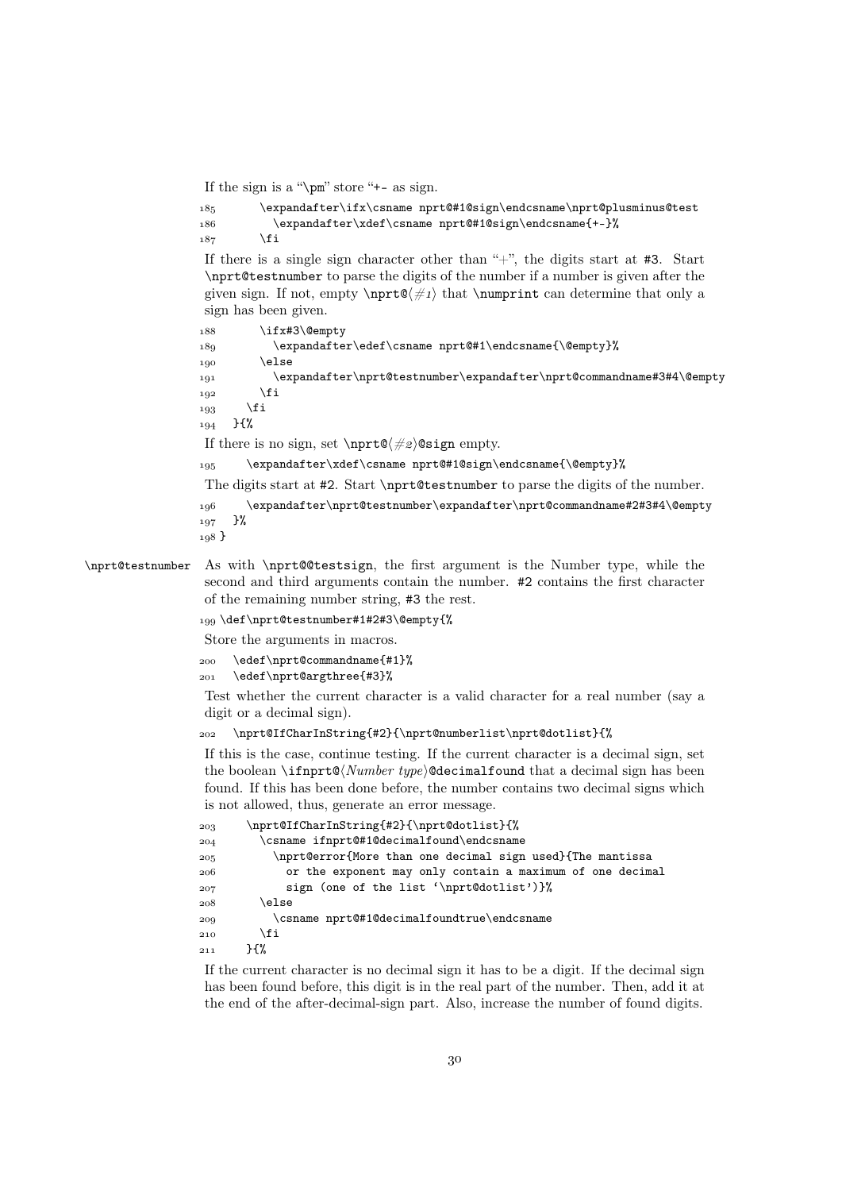If the sign is a "\pm" store "+- as sign.

```
\verb|185| \verb|expandafter\ifx\csname nprt@#1@sign\endcsname\npt@plusminus@test186 \expandafter\xdef\csname nprt@#1@sign\endcsname{+-}%
187 \fi
```
If there is a single sign character other than " $+$ ", the digits start at #3. Start \nprt@testnumber to parse the digits of the number if a number is given after the given sign. If not, empty  $\partial \#1$  that  $\text{component}$  can determine that only a sign has been given.

```
188 \ifx#3\@empty
189 \expandafter\edef\csname nprt@#1\endcsname{\@empty}%
190 \else
 \expandafter\nprt@testnumber\expandafter\nprt@commandname#3#4\@empty
_{192} \fi
193 \fi
194 }{%
If there is no sign, set \n{\nvert\phi\| \# \otimes \sigma} empty.
195 \expandafter\xdef\csname nprt@#1@sign\endcsname{\@empty}%
The digits start at #2. Start \nprt@testnumber to parse the digits of the number.
 \expandafter\nprt@testnumber\expandafter\nprt@commandname#2#3#4\@empty
_{197} }%
198 }
```
## \nprt@testnumber As with \nprt@@testsign, the first argument is the Number type, while the second and third arguments contain the number. #2 contains the first character of the remaining number string, #3 the rest.

\def\nprt@testnumber#1#2#3\@empty{%

Store the arguments in macros.

```
 \edef\nprt@commandname{#1}%
```

```
 \edef\nprt@argthree{#3}%
```
Test whether the current character is a valid character for a real number (say a digit or a decimal sign).

```
\nprt@IfCharInString{#2}{\nprt@numberlist\nprt@dotlist}{%
```
If this is the case, continue testing. If the current character is a decimal sign, set the boolean  $\if{m}{t@Number \, type}$  decimalfound that a decimal sign has been found. If this has been done before, the number contains two decimal signs which is not allowed, thus, generate an error message.

```
 \nprt@IfCharInString{#2}{\nprt@dotlist}{%
 \csname ifnprt@#1@decimalfound\endcsname
 \nprt@error{More than one decimal sign used}{The mantissa
 or the exponent may only contain a maximum of one decimal
 sign (one of the list '\nprt@dotlist')}%
208 \else
 \csname nprt@#1@decimalfoundtrue\endcsname
\overline{210} \fi
211 }{%
```
If the current character is no decimal sign it has to be a digit. If the decimal sign has been found before, this digit is in the real part of the number. Then, add it at the end of the after-decimal-sign part. Also, increase the number of found digits.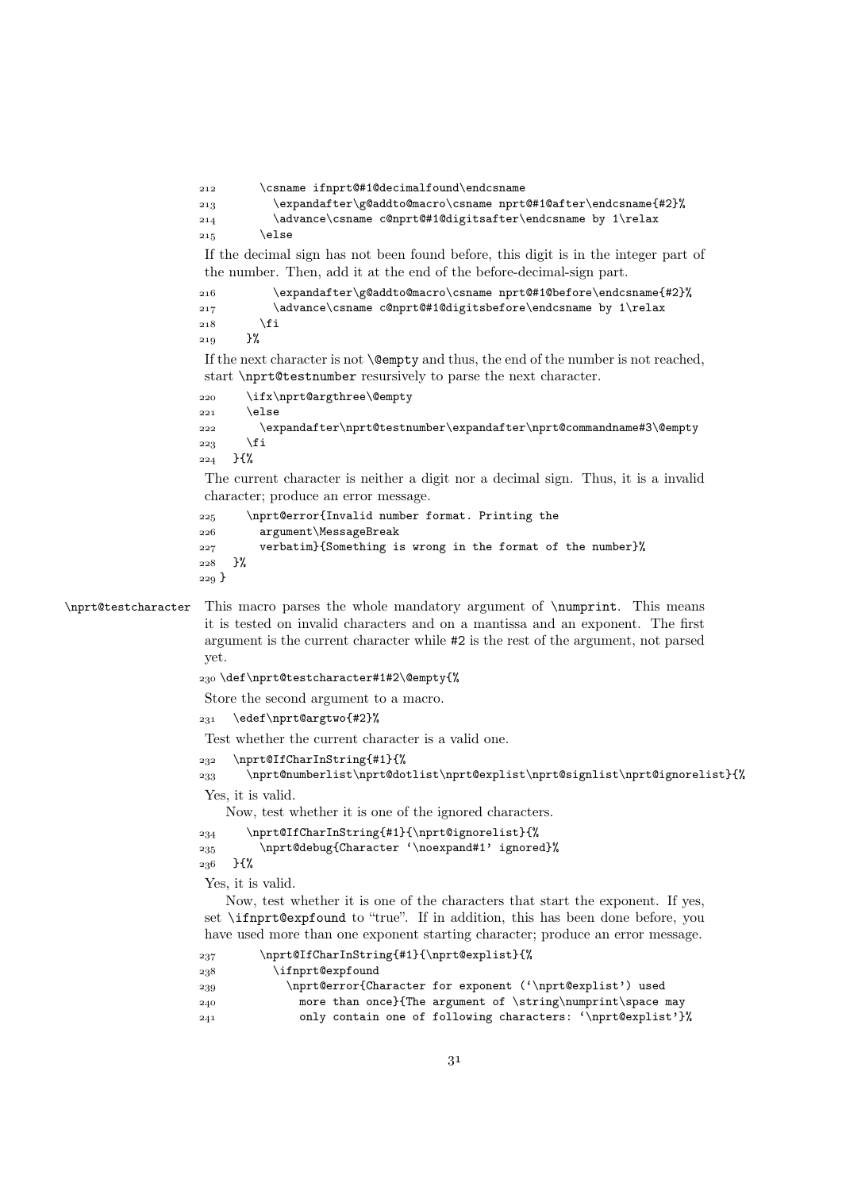```
 \csname ifnprt@#1@decimalfound\endcsname
                    \expandafter\g@addto@macro\csname nprt@#1@after\endcsname{#2}%
                    \advance\csname c@nprt@#1@digitsafter\endcsname by 1\relax
                   215 \else
                    If the decimal sign has not been found before, this digit is in the integer part of
                    the number. Then, add it at the end of the before-decimal-sign part.
                    \expandafter\g@addto@macro\csname nprt@#1@before\endcsname{#2}%
                    \advance\csname c@nprt@#1@digitsbefore\endcsname by 1\relax
                   218 \fi
                   210 }%
                    If the next character is not \emptysetempty and thus, the end of the number is not reached,
                    start \nprt@testnumber resursively to parse the next character.
                    \ifx\nprt@argthree\@empty
                   221 \else
                    \expandafter\nprt@testnumber\expandafter\nprt@commandname#3\@empty
                   \frac{223}{12} \fi
                   224 }{%
                    The current character is neither a digit nor a decimal sign. Thus, it is a invalid
                    character; produce an error message.
                    \nprt@error{Invalid number format. Printing the
                    argument\MessageBreak
                    verbatim}{Something is wrong in the format of the number}%
                    }%
                   229 }
\nprt@testcharacter This macro parses the whole mandatory argument of \numprint. This means
                    it is tested on invalid characters and on a mantissa and an exponent. The first
                    argument is the current character while #2 is the rest of the argument, not parsed
                    yet.
                    \def\nprt@testcharacter#1#2\@empty{%
                    Store the second argument to a macro.
                    \edef\nprt@argtwo{#2}%
                    Test whether the current character is a valid one.
                    \nprt@IfCharInString{#1}{%
                    \nprt@numberlist\nprt@dotlist\nprt@explist\nprt@signlist\nprt@ignorelist}{%
                    Yes, it is valid.
                       Now, test whether it is one of the ignored characters.
                    \nprt@IfCharInString{#1}{\nprt@ignorelist}{%
                    \nprt@debug{Character '\noexpand#1' ignored}%
```

```
236 }{%
```
Yes, it is valid.

Now, test whether it is one of the characters that start the exponent. If yes, set \ifnprt@expfound to "true". If in addition, this has been done before, you have used more than one exponent starting character; produce an error message.

| 237 | \nprt@IfCharInString{#1}{\nprt@explist}{%                   |
|-----|-------------------------------------------------------------|
| 238 | \ifnprt@expfound                                            |
| 239 | \nprt@error{Character for exponent ('\nprt@explist') used   |
| 240 | more than once}{The argument of \string\numprint\space may  |
| 241 | only contain one of following characters: '\nprt@explist'}% |
|     |                                                             |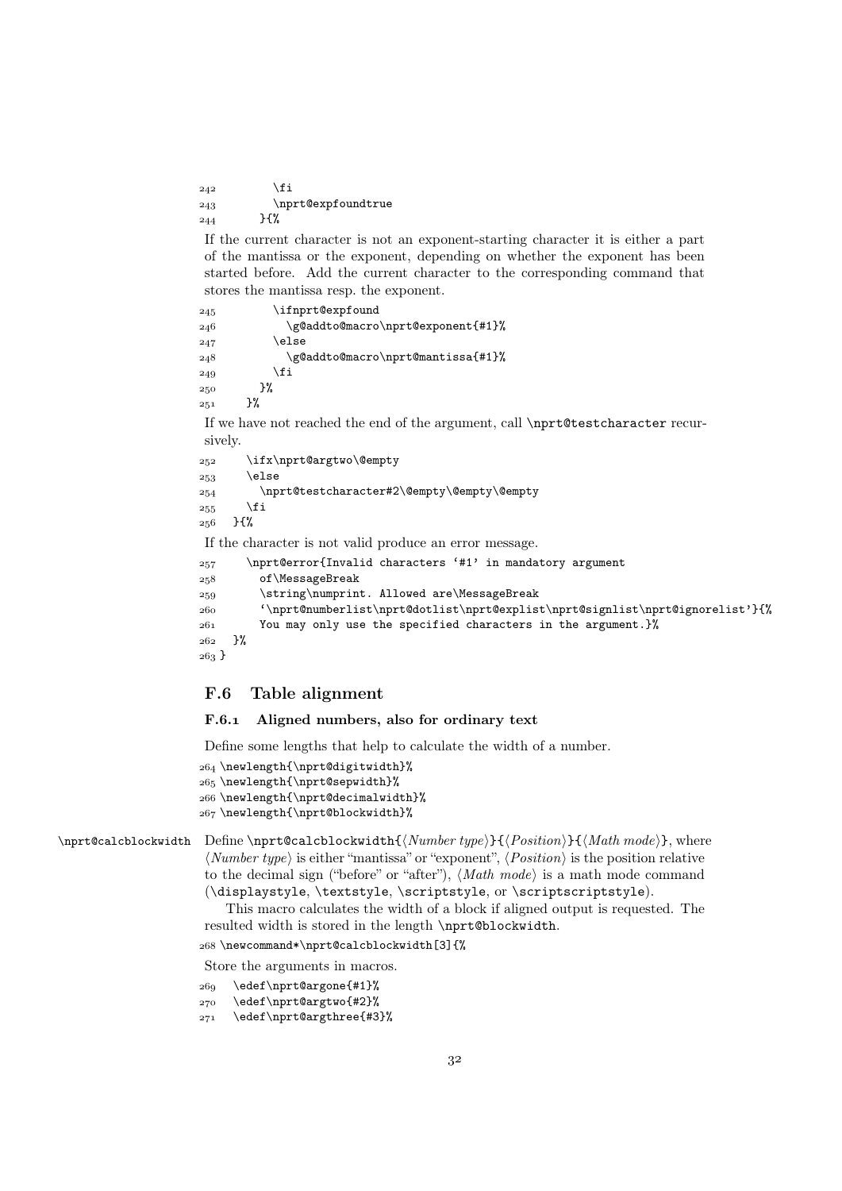$242$  \fi 243 \nprt@expfoundtrue  ${}_{244}$  }{%

If the current character is not an exponent-starting character it is either a part of the mantissa or the exponent, depending on whether the exponent has been started before. Add the current character to the corresponding command that stores the mantissa resp. the exponent.

| 245 | \ifnprt@expfound                  |
|-----|-----------------------------------|
| 246 | \g@addto@macro\nprt@exponent{#1}% |
| 247 | \else                             |
| 248 | \g@addto@macro\nprt@mantissa{#1}% |
| 249 | \fi                               |
| 250 | }‰                                |
| 251 | }%                                |

If we have not reached the end of the argument, call \nprt@testcharacter recursively.

```
 \ifx\nprt@argtwo\@empty
253 \else
 \nprt@testcharacter#2\@empty\@empty\@empty
255 \fi
256 }{%
If the character is not valid produce an error message.
```

```
 \nprt@error{Invalid characters '#1' in mandatory argument
 of\MessageBreak
 \string\numprint. Allowed are\MessageBreak
 '\nprt@numberlist\nprt@dotlist\nprt@explist\nprt@signlist\nprt@ignorelist'}{%
 You may only use the specified characters in the argument.}%
262 }%
263 \}
```
## F.6 Table alignment

## F.6.1 Aligned numbers, also for ordinary text

Define some lengths that help to calculate the width of a number.

```
 \newlength{\nprt@digitwidth}%
265 \newlength{\nprt@sepwidth}%
 \newlength{\nprt@decimalwidth}%
 \newlength{\nprt@blockwidth}%
```
 $\partial \phi$  \nprt@calcblockwidth Define \nprt@calcblockwidth{\Number type}}{\Position\}{\Math mode}}, where  $\langle Number\ type \rangle$  is either "mantissa" or "exponent",  $\langle Position \rangle$  is the position relative to the decimal sign ("before" or "after"),  $\langle Math \ mode \rangle$  is a math mode command (\displaystyle, \textstyle, \scriptstyle, or \scriptscriptstyle).

> This macro calculates the width of a block if aligned output is requested. The resulted width is stored in the length \nprt@blockwidth.

\newcommand\*\nprt@calcblockwidth[3]{%

Store the arguments in macros.

```
 \edef\nprt@argone{#1}%
```

```
 \edef\nprt@argtwo{#2}%
```

```
 \edef\nprt@argthree{#3}%
```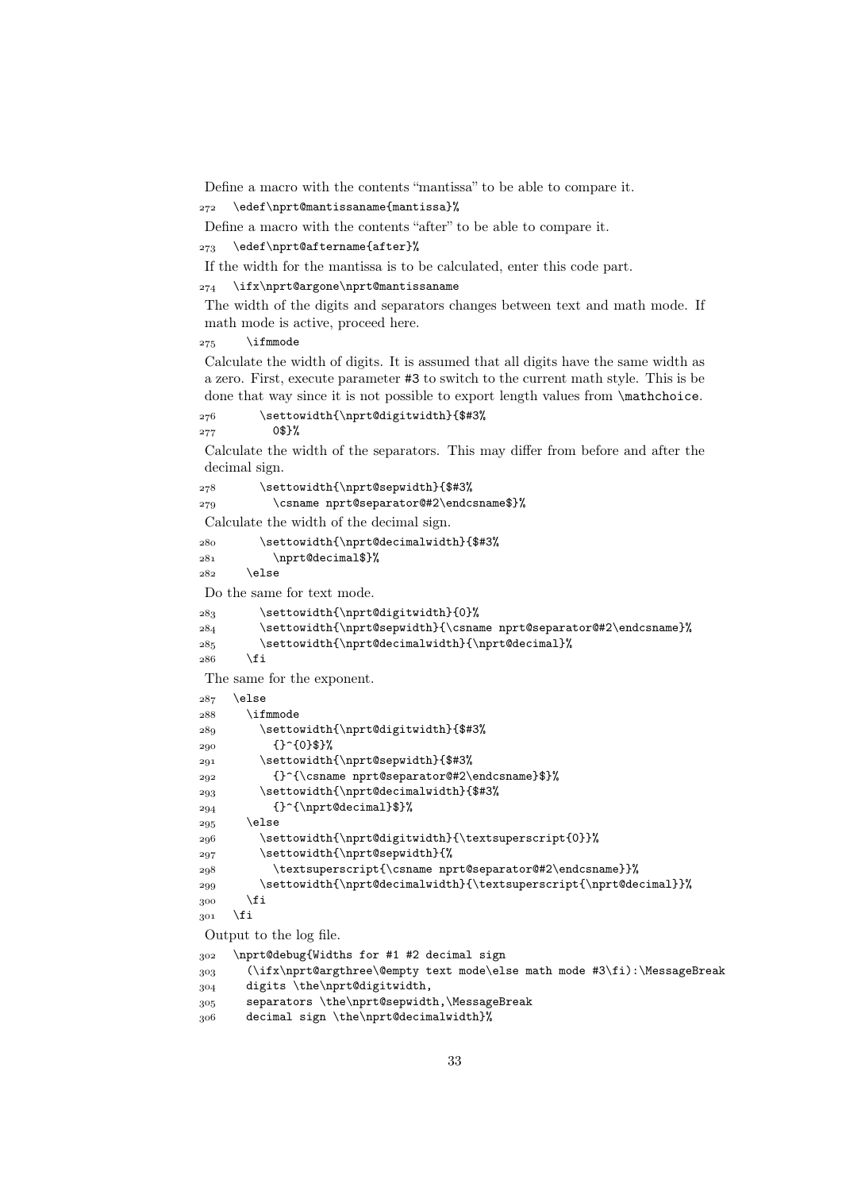Define a macro with the contents "mantissa" to be able to compare it.

```
272 \edef\nprt@mantissaname{mantissa}%
```
Define a macro with the contents "after" to be able to compare it.

 $273$  \edef\nprt@aftername{after}%

If the width for the mantissa is to be calculated, enter this code part.

\ifx\nprt@argone\nprt@mantissaname

The width of the digits and separators changes between text and math mode. If math mode is active, proceed here.

 $275$  \ifmmode

Calculate the width of digits. It is assumed that all digits have the same width as a zero. First, execute parameter #3 to switch to the current math style. This is be done that way since it is not possible to export length values from  $\mathcal{L}$  mathchoice.

\settowidth{\nprt@digitwidth}{\$#3%

 $277$  0\$}%

Calculate the width of the separators. This may differ from before and after the decimal sign.

\settowidth{\nprt@sepwidth}{\$#3%

\csname nprt@separator@#2\endcsname\$}%

Calculate the width of the decimal sign.

 \settowidth{\nprt@decimalwidth}{\$#3% \nprt@decimal\$}%

```
\frac{282}{282} \else
```
Do the same for text mode.

```
283 \settowidth{\nprt@digitwidth}{0}%
```

```
 \settowidth{\nprt@sepwidth}{\csname nprt@separator@#2\endcsname}%
285 \settowidth{\nprt@decimalwidth}{\nprt@decimal}%
```

```
286 \fi
```
The same for the exponent.

```
287 \else
288 \ifmmode
 \settowidth{\nprt@digitwidth}{$#3%
_{290} {}<sup>^</sup>{0}$}%
 \settowidth{\nprt@sepwidth}{$#3%
 {}^{\csname nprt@separator@#2\endcsname}$}%
 \settowidth{\nprt@decimalwidth}{$#3%
_{294} {}^{\nprt@decimal}$}%
295 \else
 \settowidth{\nprt@digitwidth}{\textsuperscript{0}}%
 \settowidth{\nprt@sepwidth}{%
 \textsuperscript{\csname nprt@separator@#2\endcsname}}%
 \settowidth{\nprt@decimalwidth}{\textsuperscript{\nprt@decimal}}%
\frac{300}{100} \fi
301 \quad \text{if}Output to the log file.
 \nprt@debug{Widths for #1 #2 decimal sign
```

```
 (\ifx\nprt@argthree\@empty text mode\else math mode #3\fi):\MessageBreak
 digits \the\nprt@digitwidth,
```

```
 separators \the\nprt@sepwidth,\MessageBreak
```

```
 decimal sign \the\nprt@decimalwidth}%
```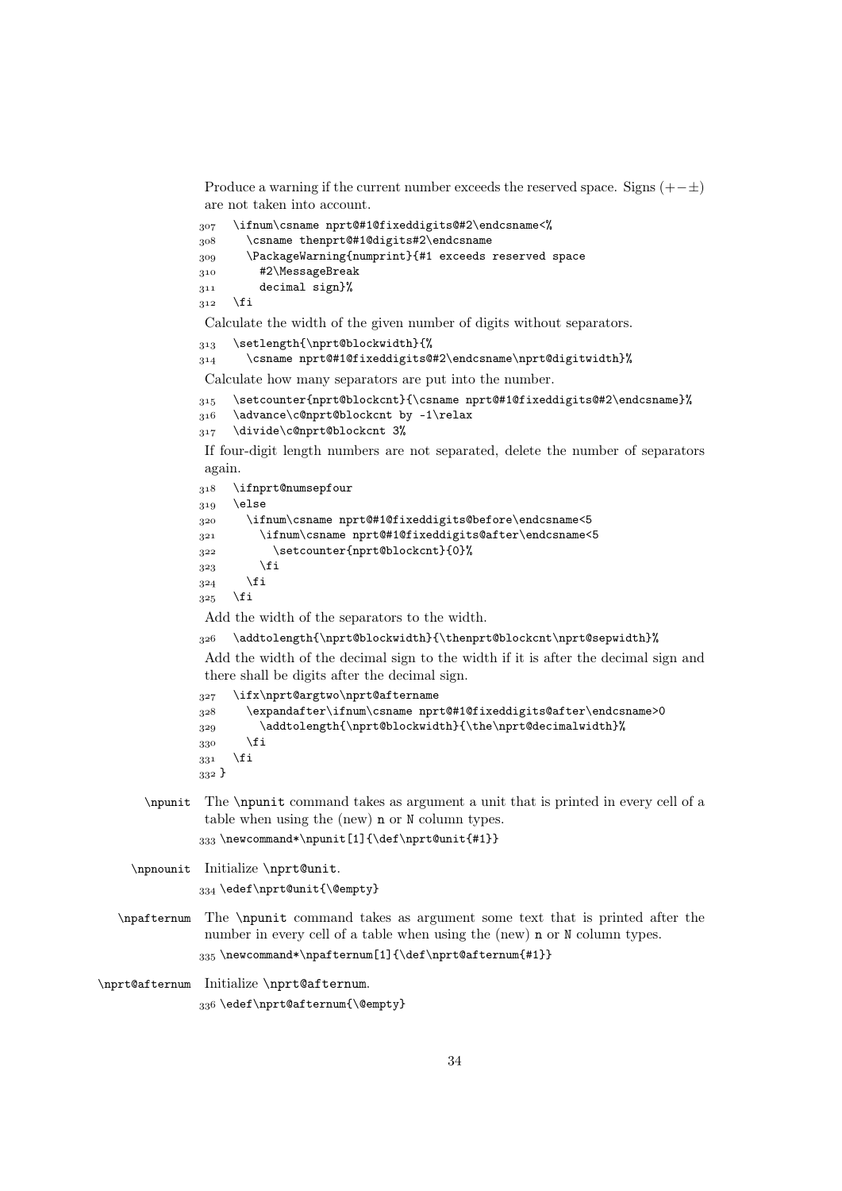Produce a warning if the current number exceeds the reserved space. Signs  $(+-\pm)$ are not taken into account.

```
 \ifnum\csname nprt@#1@fixeddigits@#2\endcsname<%
 \csname thenprt@#1@digits#2\endcsname
 \PackageWarning{numprint}{#1 exceeds reserved space
 #2\MessageBreak
 decimal sign}%
312 \fi
```
Calculate the width of the given number of digits without separators.

```
313 \setlength{\nprt@blockwidth}{%
```

```
\verb|314| \verb|\csname nprt@#1@fixeddigits@#2\endcsname\npt@digital}\%
```
Calculate how many separators are put into the number.

```
 \setcounter{nprt@blockcnt}{\csname nprt@#1@fixeddigits@#2\endcsname}%
```

```
316 \advance\c@nprt@blockcnt by -1\relax
```
317 \divide\c@nprt@blockcnt 3%

If four-digit length numbers are not separated, delete the number of separators again.

```
 \ifnprt@numsepfour
319 \else
 \ifnum\csname nprt@#1@fixeddigits@before\endcsname<5
 \ifnum\csname nprt@#1@fixeddigits@after\endcsname<5
 \setcounter{nprt@blockcnt}{0}%
3^{23} \fi
324 \fi
325 \fi
```
Add the width of the separators to the width.

\addtolength{\nprt@blockwidth}{\thenprt@blockcnt\nprt@sepwidth}%

Add the width of the decimal sign to the width if it is after the decimal sign and there shall be digits after the decimal sign.

```
 \ifx\nprt@argtwo\nprt@aftername
 \expandafter\ifnum\csname nprt@#1@fixeddigits@after\endcsname>0
329 \addtolength{\nprt@blockwidth}{\the\nprt@decimalwidth}%
\frac{330}{11}331 \fi
332 }
```
\npunit The \npunit command takes as argument a unit that is printed in every cell of a table when using the (new) n or N column types.

333\newcommand\*\npunit[1]{\def\nprt@unit{#1}}

\npnounit Initialize \nprt@unit.

```
334 \edef\nprt@unit{\@empty}
```
\npafternum The \npunit command takes as argument some text that is printed after the number in every cell of a table when using the (new) n or N column types. 335\newcommand\*\npafternum[1]{\def\nprt@afternum{#1}}

\nprt@afternum Initialize \nprt@afternum.

336\edef\nprt@afternum{\@empty}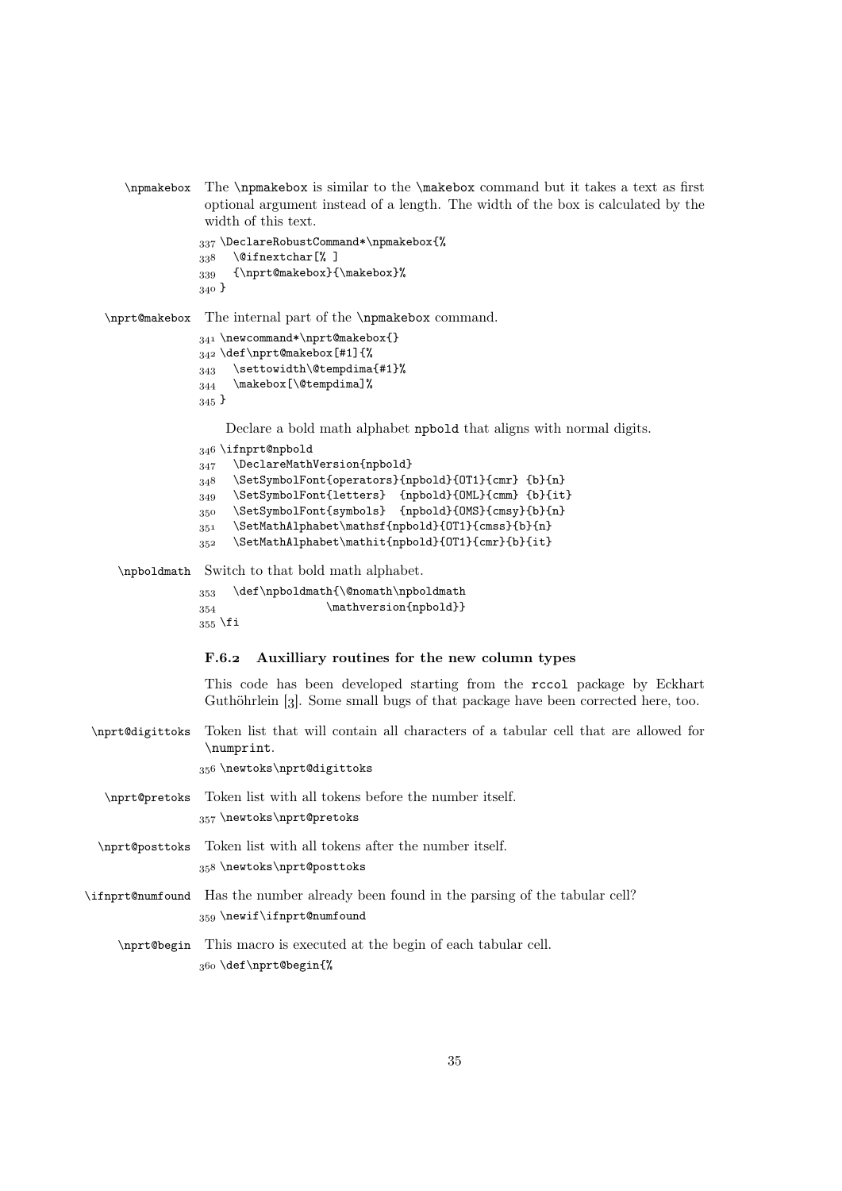\npmakebox The \npmakebox is similar to the \makebox command but it takes a text as first optional argument instead of a length. The width of the box is calculated by the width of this text.

```
 \DeclareRobustCommand*\npmakebox{%
338 \@ifnextchar[%]
 {\nprt@makebox}{\makebox}%
340 \}
```
\nprt@makebox The internal part of the \npmakebox command.

```
 \newcommand*\nprt@makebox{}
\frac{342}{def\mbox{0}}343 \settowidth\@tempdima{#1}%
344 \makebox[\@tempdima]%
345}
```
Declare a bold math alphabet npbold that aligns with normal digits.

```
 \ifnprt@npbold
347 \DeclareMathVersion{npbold}
 \SetSymbolFont{operators}{npbold}{OT1}{cmr} {b}{n}
349 \SetSymbolFont{letters} {npbold}{OML}{cmm} {b}{it}
 \SetSymbolFont{symbols} {npbold}{OMS}{cmsy}{b}{n}
351 \SetMathAlphabet\mathsf{npbold}{OT1}{cmss}{b}{n}
 \SetMathAlphabet\mathit{npbold}{OT1}{cmr}{b}{it}
```
\npboldmath Switch to that bold math alphabet.

```
353 \def\npboldmath{\@nomath\npboldmath
354 \mathversion{npbold}}
355 \fi
```
#### F.6.2 Auxilliary routines for the new column types

This code has been developed starting from the rccol package by Eckhart Guthöhrlein [3]. Some small bugs of that package have been corrected here, too.

\nprt@digittoks Token list that will contain all characters of a tabular cell that are allowed for \numprint.

356 \newtoks\nprt@digittoks

- \nprt@pretoks Token list with all tokens before the number itself. 357 \newtoks\nprt@pretoks
- \nprt@posttoks Token list with all tokens after the number itself. 358 \newtoks\nprt@posttoks
- \ifnprt@numfound Has the number already been found in the parsing of the tabular cell? 359 \newif\ifnprt@numfound
	- \nprt@begin This macro is executed at the begin of each tabular cell. \def\nprt@begin{%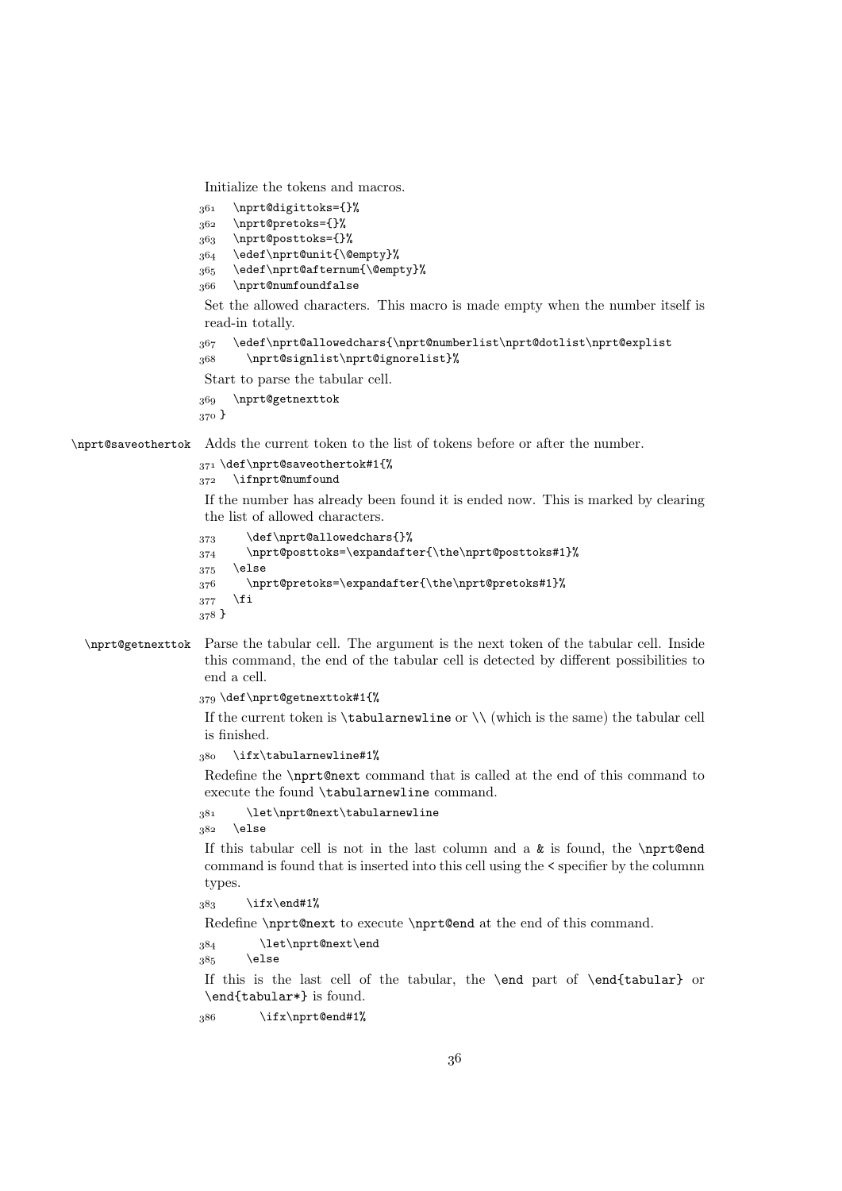Initialize the tokens and macros.

```
 \nprt@digittoks={}%
 \nprt@pretoks={}%
 \nprt@posttoks={}%
364 \edef\nprt@unit{\@empty}%
 \edef\nprt@afternum{\@empty}%
 \nprt@numfoundfalse
Set the allowed characters. This macro is made empty when the number itself is
read-in totally.
 \edef\nprt@allowedchars{\nprt@numberlist\nprt@dotlist\nprt@explist
 \nprt@signlist\nprt@ignorelist}%
Start to parse the tabular cell.
 \nprt@getnexttok
370}
```
\nprt@saveothertok Adds the current token to the list of tokens before or after the number.

```
371 \def\nprt@saveothertok#1{%
```
372 \ifnprt@numfound

If the number has already been found it is ended now. This is marked by clearing the list of allowed characters.

```
373 \def\nprt@allowedchars{}%
 \nprt@posttoks=\expandafter{\the\nprt@posttoks#1}%
375 \else
 \nprt@pretoks=\expandafter{\the\nprt@pretoks#1}%
377 \fi
378 }
```
## \nprt@getnexttok Parse the tabular cell. The argument is the next token of the tabular cell. Inside this command, the end of the tabular cell is detected by different possibilities to end a cell.

379 \def\nprt@getnexttok#1{%

If the current token is  $\tau$  tabularnewline or  $\setminus$  (which is the same) the tabular cell is finished.

380 \ifx\tabularnewline#1%

Redefine the \nprt@next command that is called at the end of this command to execute the found \tabularnewline command.

\let\nprt@next\tabularnewline

 $382$  \else

If this tabular cell is not in the last column and a  $\&$  is found, the \nprt@end command is found that is inserted into this cell using the < specifier by the columnn types.

 $383$  \ifx\end#1%

Redefine \nprt@next to execute \nprt@end at the end of this command.

384 \let\nprt@next\end

 $385$  \else

If this is the last cell of the tabular, the \end part of \end{tabular} or \end{tabular\*} is found.

386 \ifx\nprt@end#1%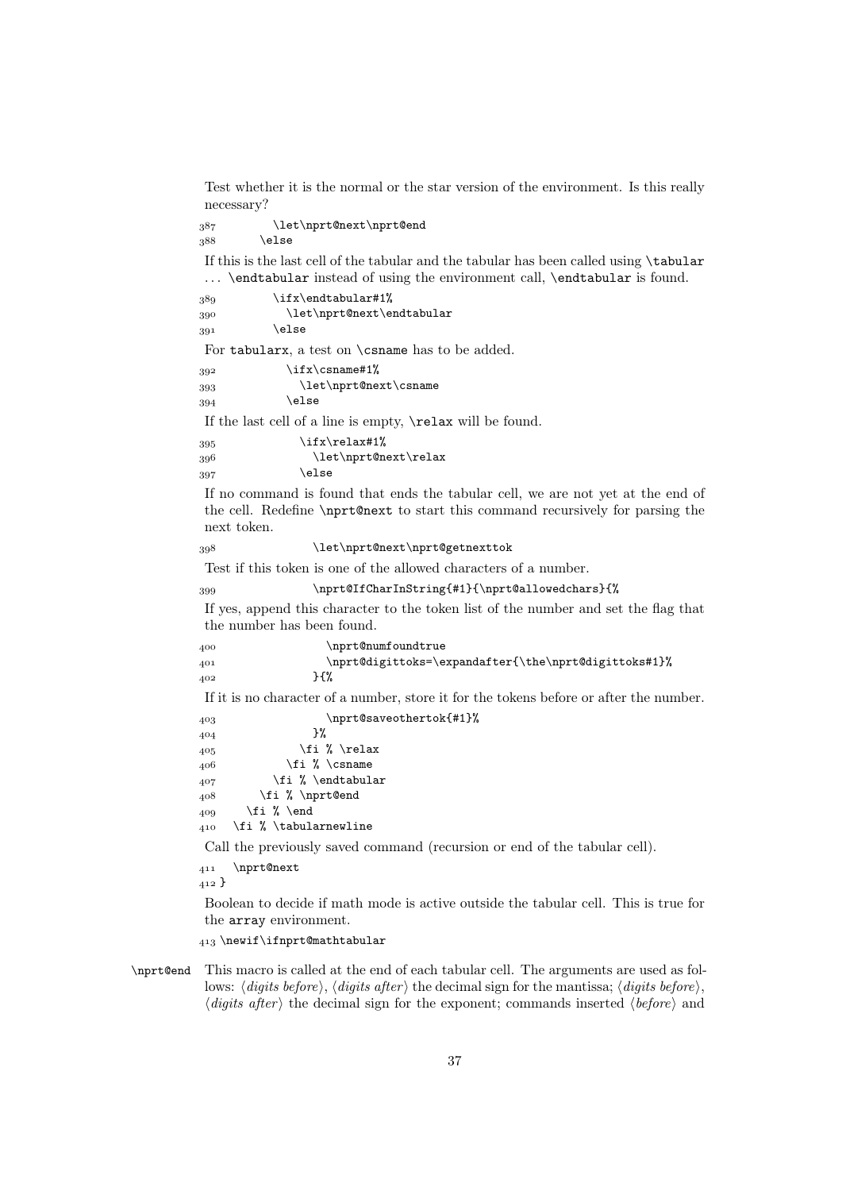Test whether it is the normal or the star version of the environment. Is this really necessary?

 \let\nprt@next\nprt@end  $388$  \else

If this is the last cell of the tabular and the tabular has been called using \tabular ... \endtabular instead of using the environment call, \endtabular is found.

```
389 \it \ifx\end{tabular} 1%
390 \let\nprt@next\endtabular
\overline{391} \else
```
For tabularx, a test on \csname has to be added.

| 392 | $\iint x \cos n$      |
|-----|-----------------------|
| 393 | \let\nprt@next\csname |
| 394 | \else                 |

If the last cell of a line is empty, \relax will be found.

```
395 \frac{\text{ifx}\text{1}}{n}396 \let\nprt@next\relax
397 \else
```
If no command is found that ends the tabular cell, we are not yet at the end of the cell. Redefine \nprt@next to start this command recursively for parsing the next token.

```
 \let\nprt@next\nprt@getnexttok
```
Test if this token is one of the allowed characters of a number.

```
 \nprt@IfCharInString{#1}{\nprt@allowedchars}{%
```
If yes, append this character to the token list of the number and set the flag that the number has been found.

| 400 | \nprt@numfoundtrue                                   |
|-----|------------------------------------------------------|
| 401 | \nprt@digittoks=\expandafter{\the\nprt@digittoks#1}% |
| 402 | ን {%                                                 |

If it is no character of a number, store it for the tokens before or after the number.

 \nprt@saveothertok{#1}% }% \fi % \relax  $406$  \fi % \csname  $407$  \fi % \endtabular  $408$  \fi % \nprt@end  $409 \qquad \text{if } \% \text{ } end$ 410 \fi % \tabularnewline

Call the previously saved command (recursion or end of the tabular cell).

411 \nprt@next

 $_{412}$  }

Boolean to decide if math mode is active outside the tabular cell. This is true for the array environment.

 $413$  \newif\ifnprt@mathtabular

\nprt@end This macro is called at the end of each tabular cell. The arguments are used as follows:  $\langle \text{digits before} \rangle$ ,  $\langle \text{digits after} \rangle$  the decimal sign for the mantissa;  $\langle \text{digits before} \rangle$ ,  $\langle \text{digits after} \rangle$  the decimal sign for the exponent; commands inserted  $\langle \text{before} \rangle$  and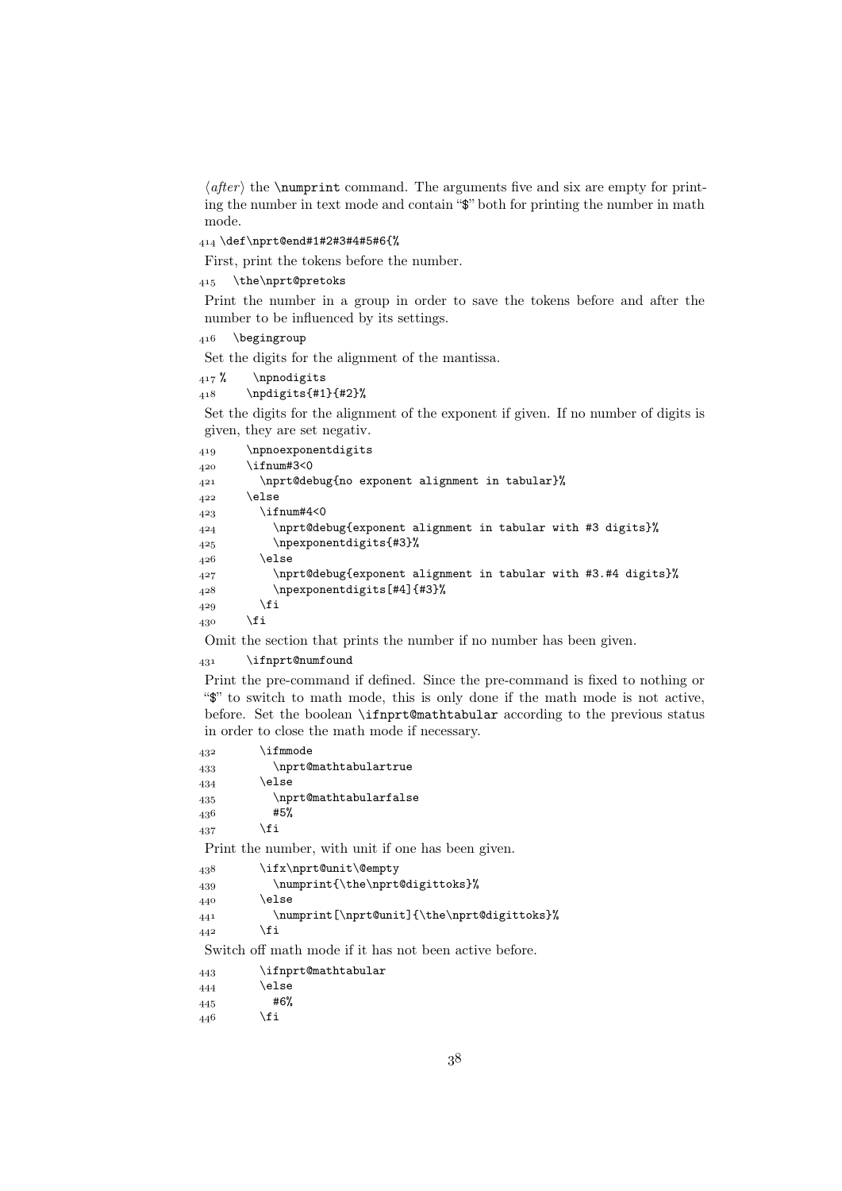$\langle after \rangle$  the \numprint command. The arguments five and six are empty for printing the number in text mode and contain "\$" both for printing the number in math mode.

\def\nprt@end#1#2#3#4#5#6{%

First, print the tokens before the number.

415 \the\nprt@pretoks

Print the number in a group in order to save the tokens before and after the number to be influenced by its settings.

416 \begingroup

Set the digits for the alignment of the mantissa.

417 % \npnodigits  $_{418}$  \npdigits{#1}{#2}%

Set the digits for the alignment of the exponent if given. If no number of digits is given, they are set negativ.

```
 \npnoexponentdigits
420 \ifnum#3<0
 \nprt@debug{no exponent alignment in tabular}%
422 \else
423 \ifnum#4<0
 \nprt@debug{exponent alignment in tabular with #3 digits}%
 \npexponentdigits{#3}%
426 \else
 \nprt@debug{exponent alignment in tabular with #3.#4 digits}%
 \npexponentdigits[#4]{#3}%
429 \fi
430 \fi
```
Omit the section that prints the number if no number has been given.

\ifnprt@numfound

Print the pre-command if defined. Since the pre-command is fixed to nothing or "\$" to switch to math mode, this is only done if the math mode is not active, before. Set the boolean \ifnprt@mathtabular according to the previous status in order to close the math mode if necessary.

```
432 \ifmmode
 \nprt@mathtabulartrue
434 \else
 \nprt@mathtabularfalse
436 #5%
437 \fi
```
Print the number, with unit if one has been given.

```
438 \ifx\nprt@unit\@empty
439 \numprint{\the\nprt@digittoks}%
440 \else
 \numprint[\nprt@unit]{\the\nprt@digittoks}%
\frac{442}{11}
```
Switch off math mode if it has not been active before.

| 443 | \ifnprt@mathtabular |
|-----|---------------------|
| 444 | \else               |
|     |                     |

#6%

 $\angle 446$  \fi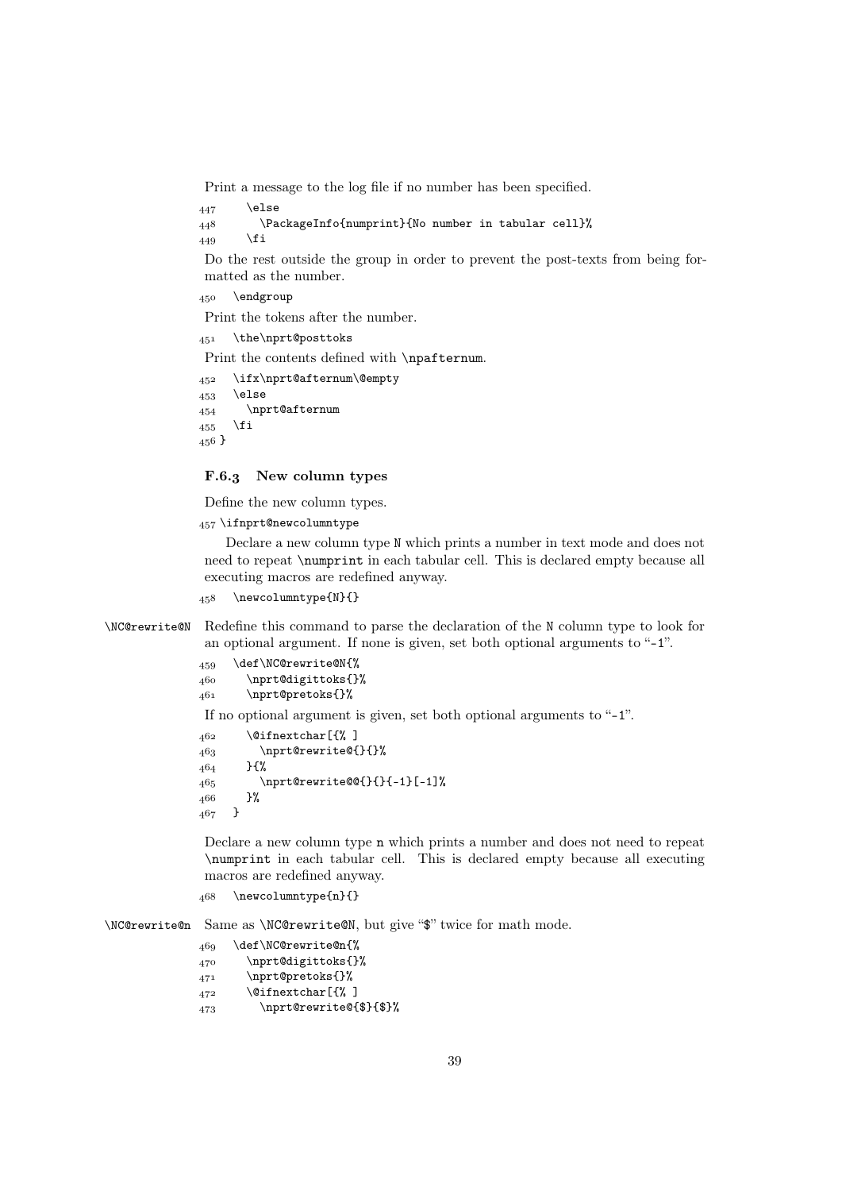Print a message to the log file if no number has been specified.

```
447 \else
 \PackageInfo{numprint}{No number in tabular cell}%
449 \setminusfi
```
Do the rest outside the group in order to prevent the post-texts from being formatted as the number.

450 \endgroup

Print the tokens after the number.

```
451 \the\nprt@posttoks
```
Print the contents defined with **\npafternum**.

```
 \ifx\nprt@afternum\@empty
453 \else
 \nprt@afternum
455 \fi
456}
```
## F.6.3 New column types

Define the new column types.

457 \ifnprt@newcolumntype

Declare a new column type N which prints a number in text mode and does not need to repeat \numprint in each tabular cell. This is declared empty because all executing macros are redefined anyway.

```
458 \newcolumntype{N}{}
```
\NC@rewrite@N Redefine this command to parse the declaration of the N column type to look for an optional argument. If none is given, set both optional arguments to "-1".

```
 \def\NC@rewrite@N{%
 \nprt@digittoks{}%
 \nprt@pretoks{}%
If no optional argument is given, set both optional arguments to "-1".
462 \@ifnextchar[{%]
463 \nprt@rewrite@{}{}%
464 }{%
465 \nprt@rewrite@@{}{}{-1}[-1]%
466 }%
467 }
```
Declare a new column type n which prints a number and does not need to repeat \numprint in each tabular cell. This is declared empty because all executing macros are redefined anyway.

```
468 \newcolumntype{n}{}
```
\NC@rewrite@n Same as \NC@rewrite@N, but give "\$" twice for math mode.

\def\NC@rewrite@n{%

- 470 \nprt@digittoks{}%
- \nprt@pretoks{}%
- $472$  \@ifnextchar[{%]
- 473 \nprt@rewrite@{\$}{\$}%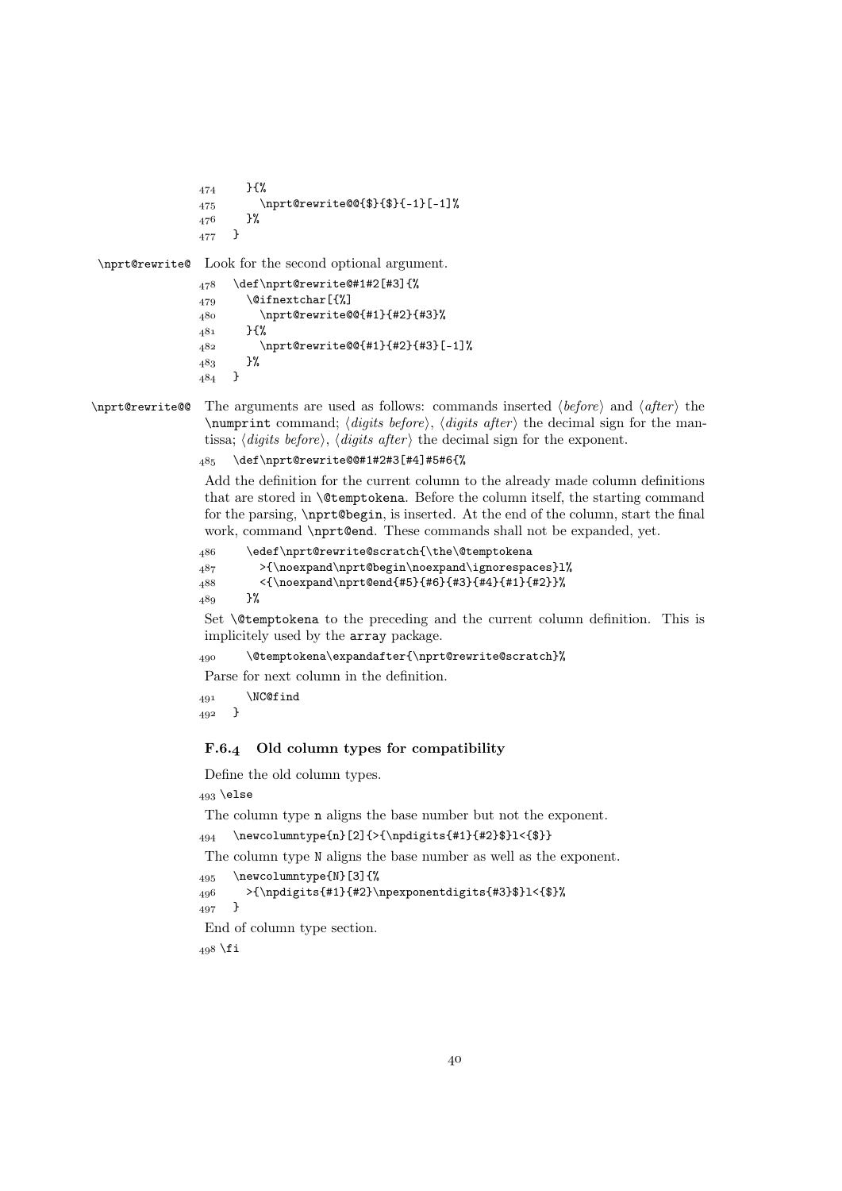```
474 }{%
              475 \nprt@rewrite@@{$}{$}{-1}[-1]%<br>476 }%
              476
              _{477} }
\nprt@rewrite@ Look for the second optional argument.
               478 \def\nprt@rewrite@#1#2[#3]{%
               479 \@ifnextchar[{%]
                \nprt@rewrite@@{#1}{#2}{#3}%
```

```
_{481} }{%
 \nprt@rewrite@@{#1}{#2}{#3}[-1]%
483 }%
484 }
```

```
\nprt@rewrite@@ The arguments are used as follows: commands inserted \langle before \rangle and \langle after \rangle the
                         \numprint command; \langle digits\ before \rangle, \langle digits\ after \rangle the decimal sign for the man-
                         tissa; \langle \text{digits before} \rangle, \langle \text{digits after} \rangle the decimal sign for the exponent.
```

```
 \def\nprt@rewrite@@#1#2#3[#4]#5#6{%
```
Add the definition for the current column to the already made column definitions that are stored in \@temptokena. Before the column itself, the starting command for the parsing, \nprt@begin, is inserted. At the end of the column, start the final work, command \nprt@end. These commands shall not be expanded, yet.

```
 \edef\nprt@rewrite@scratch{\the\@temptokena
_{487} >{\noexpand\nprt@begin\noexpand\ignorespaces}l%
488 <{\noexpand\nprt@end{#5}{#6}{#3}{#4}{#1}{#2}}%
489 }%
```
Set \@temptokena to the preceding and the current column definition. This is implicitely used by the array package.

```
 \@temptokena\expandafter{\nprt@rewrite@scratch}%
```
Parse for next column in the definition.

```
491 \NC@find
492 \frac{}{}
```
## F.6.4 Old column types for compatibility

Define the old column types.

```
493 \else
```
The column type n aligns the base number but not the exponent.

 $_{494}$  \newcolumntype{n}[2]{>{\npdigits{#1}{#2}\$}l<{\$}}

The column type N aligns the base number as well as the exponent.

```
495 \newcolumntype{N}[3]{%
```

```
_{496} >{\npdigits{#1}{#2}\npexponentdigits{#3}$}l<{$}%<br>_{497} }
```
497

End of column type section.

 $498$  \fi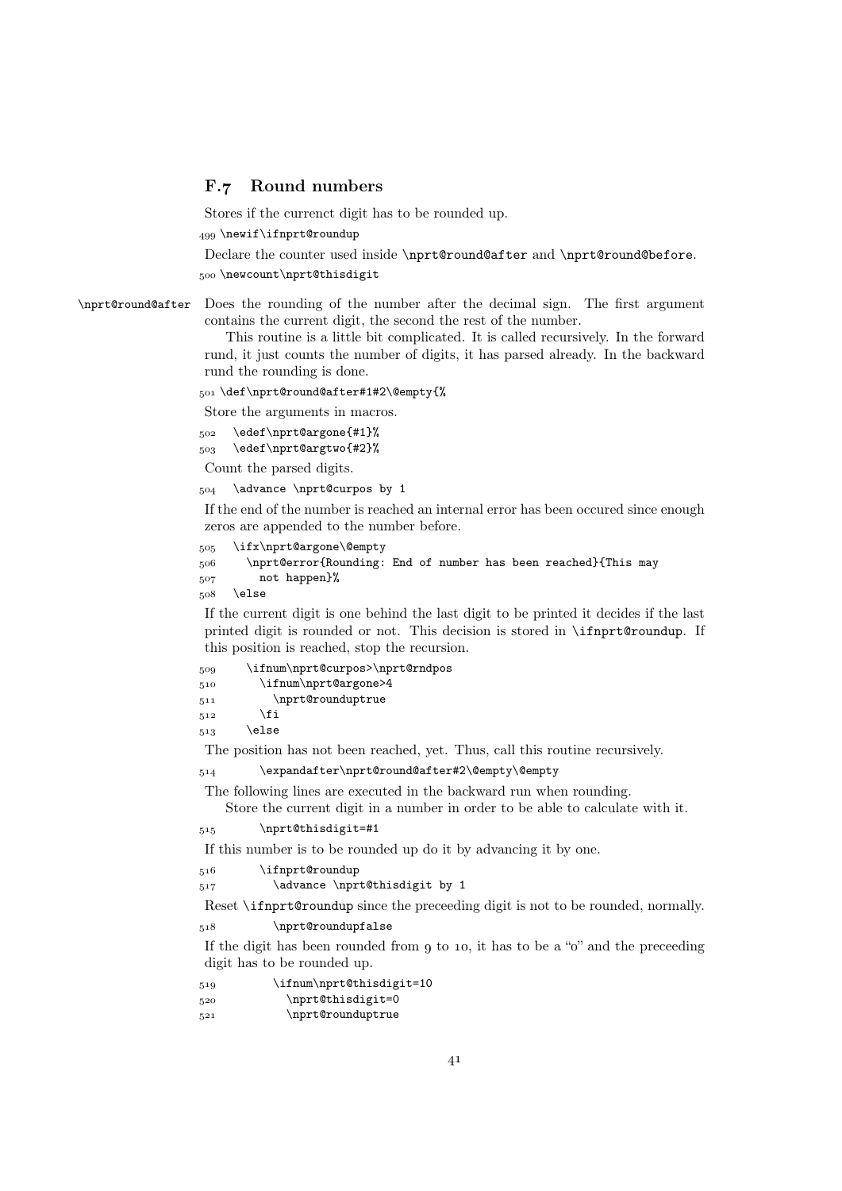## F.7 Round numbers

Stores if the currenct digit has to be rounded up.

499 \newif\ifnprt@roundup

Declare the counter used inside \nprt@round@after and \nprt@round@before. 500 \newcount\nprt@thisdigit

\nprt@round@after Does the rounding of the number after the decimal sign. The first argument contains the current digit, the second the rest of the number.

> This routine is a little bit complicated. It is called recursively. In the forward rund, it just counts the number of digits, it has parsed already. In the backward rund the rounding is done.

501 \def\nprt@round@after#1#2\@empty{%

Store the arguments in macros.

```
502 \edef\nprt@argone{#1}%
 \edef\nprt@argtwo{#2}%
```

```
Count the parsed digits.
```
 $_{504}$  \advance \nprt@curpos by 1

If the end of the number is reached an internal error has been occured since enough zeros are appended to the number before.

```
505 \ifx\nprt@argone\@empty
 \nprt@error{Rounding: End of number has been reached}{This may
 not happen}%
```
508 \else

If the current digit is one behind the last digit to be printed it decides if the last printed digit is rounded or not. This decision is stored in \ifnprt@roundup. If this position is reached, stop the recursion.

| 509 | \ifnum\nprt@curpos>\nprt@rndpos |
|-----|---------------------------------|
| 510 | \ifnum\nprt@argone>4            |
| 511 | \nprt@rounduptrue               |
| 512 | \fi                             |
| 513 | \else                           |

The position has not been reached, yet. Thus, call this routine recursively.

\expandafter\nprt@round@after#2\@empty\@empty

The following lines are executed in the backward run when rounding.

Store the current digit in a number in order to be able to calculate with it.

515 \nprt@thisdigit=#1

If this number is to be rounded up do it by advancing it by one.

516 \ifnprt@roundup

517 \advance \nprt@thisdigit by 1

Reset \ifnprt@roundup since the preceeding digit is not to be rounded, normally.

518 \nprt@roundupfalse

If the digit has been rounded from  $g$  to 10, it has to be a " $o$ " and the preceeding digit has to be rounded up.

| 519 | \ifnum\nprt@thisdigit=10 |
|-----|--------------------------|
| 520 | \nprt@thisdigit=0        |
| 521 | \nprt@rounduptrue        |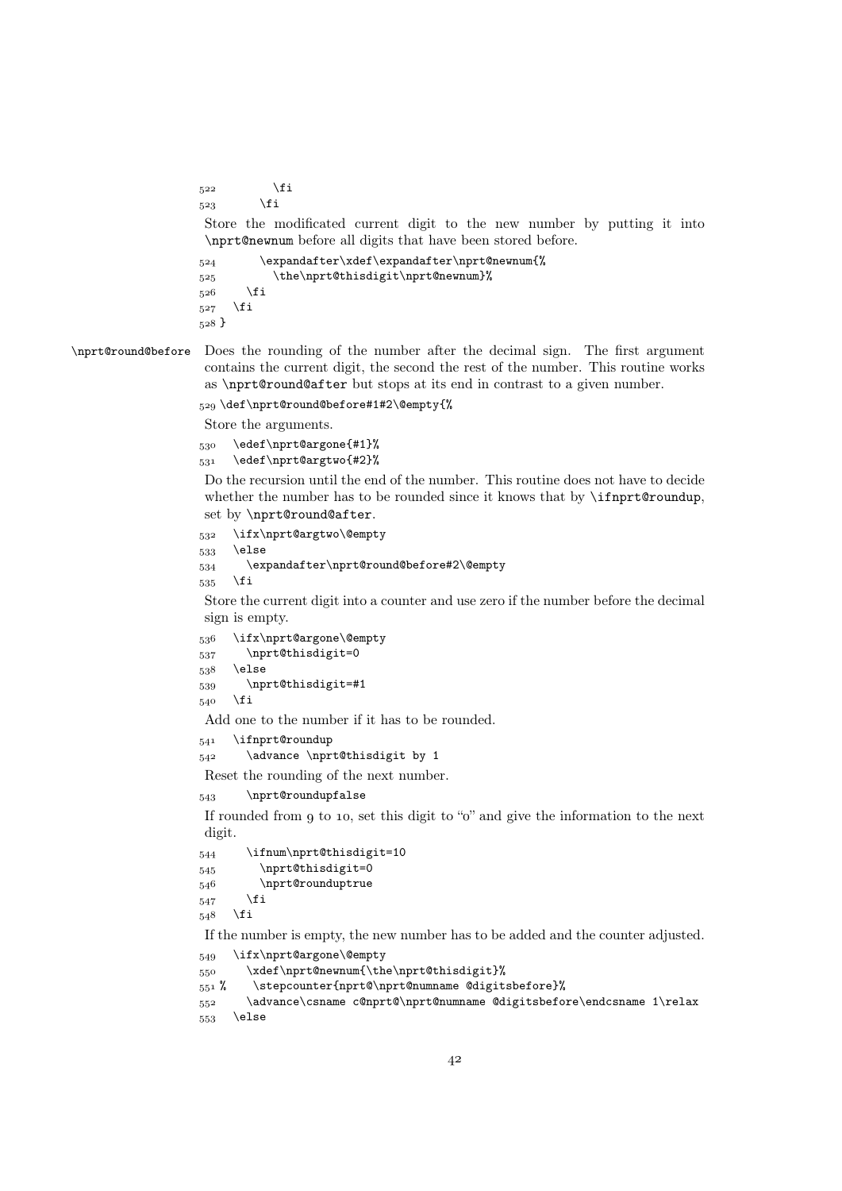$5^{22}$  \fi  $5^23$  \fi

Store the modificated current digit to the new number by putting it into \nprt@newnum before all digits that have been stored before.

```
 \expandafter\xdef\expandafter\nprt@newnum{%
525 \the\nprt@thisdigit\nprt@newnum}%
526 \fi
527 \fi
_{528} }
```
\nprt@round@before Does the rounding of the number after the decimal sign. The first argument contains the current digit, the second the rest of the number. This routine works as \nprt@round@after but stops at its end in contrast to a given number.

```
529 \def\nprt@round@before#1#2\@empty{%
```
Store the arguments.

```
530 \edef\nprt@argone{#1}%
```

```
531 \edef\nprt@argtwo{#2}%
```
Do the recursion until the end of the number. This routine does not have to decide whether the number has to be rounded since it knows that by **\ifnprt@roundup**, set by \nprt@round@after.

```
532 \ifx\nprt@argtwo\@empty
533 \else
 \expandafter\nprt@round@before#2\@empty
```
 $535$  \fi

Store the current digit into a counter and use zero if the number before the decimal sign is empty.

```
536 \ifx\nprt@argone\@empty
537 \nprt@thisdigit=0
538 \else
 \nprt@thisdigit=#1
540 \fi
```
Add one to the number if it has to be rounded.

```
\mathfrak{c}_{41} \ifnprt@roundup
```
542 \advance \nprt@thisdigit by 1

Reset the rounding of the next number.

543 \nprt@roundupfalse

If rounded from  $g$  to 10, set this digit to " $o$ " and give the information to the next digit.

```
544 \ifnum\nprt@thisdigit=10
545 \nprt@thisdigit=0
546 \nprt@rounduptrue
547 \fi
548 \fi
```
If the number is empty, the new number has to be added and the counter adjusted.

```
549 \ifx\nprt@argone\@empty
```

```
 \xdef\nprt@newnum{\the\nprt@thisdigit}%
```

```
 % \stepcounter{nprt@\nprt@numname @digitsbefore}%
```

```
 \advance\csname c@nprt@\nprt@numname @digitsbefore\endcsname 1\relax
553 \else
```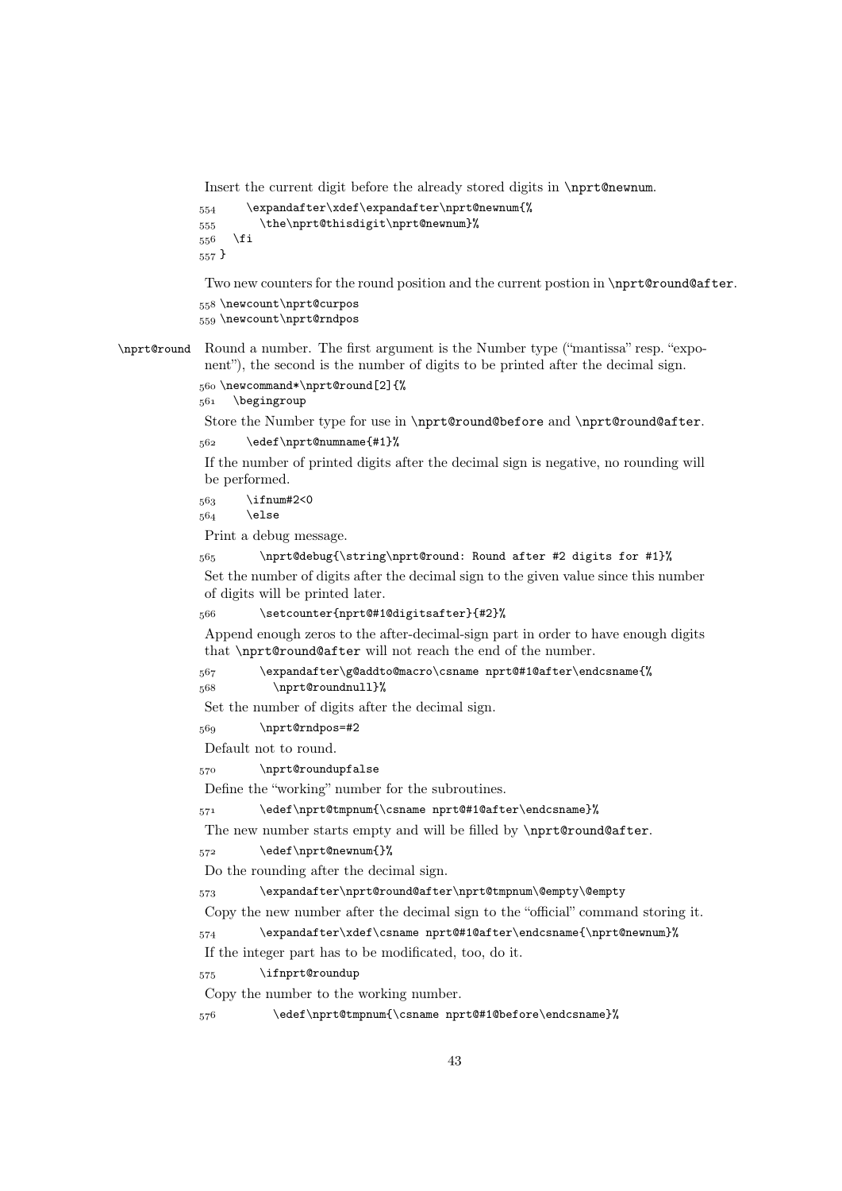Insert the current digit before the already stored digits in \nprt@newnum.

```
 \expandafter\xdef\expandafter\nprt@newnum{%
 \the\nprt@thisdigit\nprt@newnum}%
556 \fi
_{557} \}
```
Two new counters for the round position and the current postion in \nprt@round@after.

558\newcount\nprt@curpos 559 \newcount\nprt@rndpos

\nprt@round Round a number. The first argument is the Number type ("mantissa" resp. "exponent"), the second is the number of digits to be printed after the decimal sign. 560\newcommand\*\nprt@round[2]{%

561 \begingroup

Store the Number type for use in \nprt@round@before and \nprt@round@after. 562 \edef\nprt@numname{#1}%

If the number of printed digits after the decimal sign is negative, no rounding will be performed.

 $563$  \ifnum#2<0

 $564$  \else

Print a debug message.

\nprt@debug{\string\nprt@round: Round after #2 digits for #1}%

Set the number of digits after the decimal sign to the given value since this number of digits will be printed later.

\setcounter{nprt@#1@digitsafter}{#2}%

Append enough zeros to the after-decimal-sign part in order to have enough digits that \nprt@round@after will not reach the end of the number.

```
 \expandafter\g@addto@macro\csname nprt@#1@after\endcsname{%
```

```
568 \nprt@roundnull}%
```
Set the number of digits after the decimal sign.

```
 \nprt@rndpos=#2
```
Default not to round.

570 \nprt@roundupfalse

Define the "working" number for the subroutines.

\edef\nprt@tmpnum{\csname nprt@#1@after\endcsname}%

The new number starts empty and will be filled by \nprt@round@after.

572 \edef\nprt@newnum{}%

Do the rounding after the decimal sign.

\expandafter\nprt@round@after\nprt@tmpnum\@empty\@empty

Copy the new number after the decimal sign to the "official" command storing it.

\expandafter\xdef\csname nprt@#1@after\endcsname{\nprt@newnum}%

If the integer part has to be modificated, too, do it.

575 \ifnprt@roundup

Copy the number to the working number.

\edef\nprt@tmpnum{\csname nprt@#1@before\endcsname}%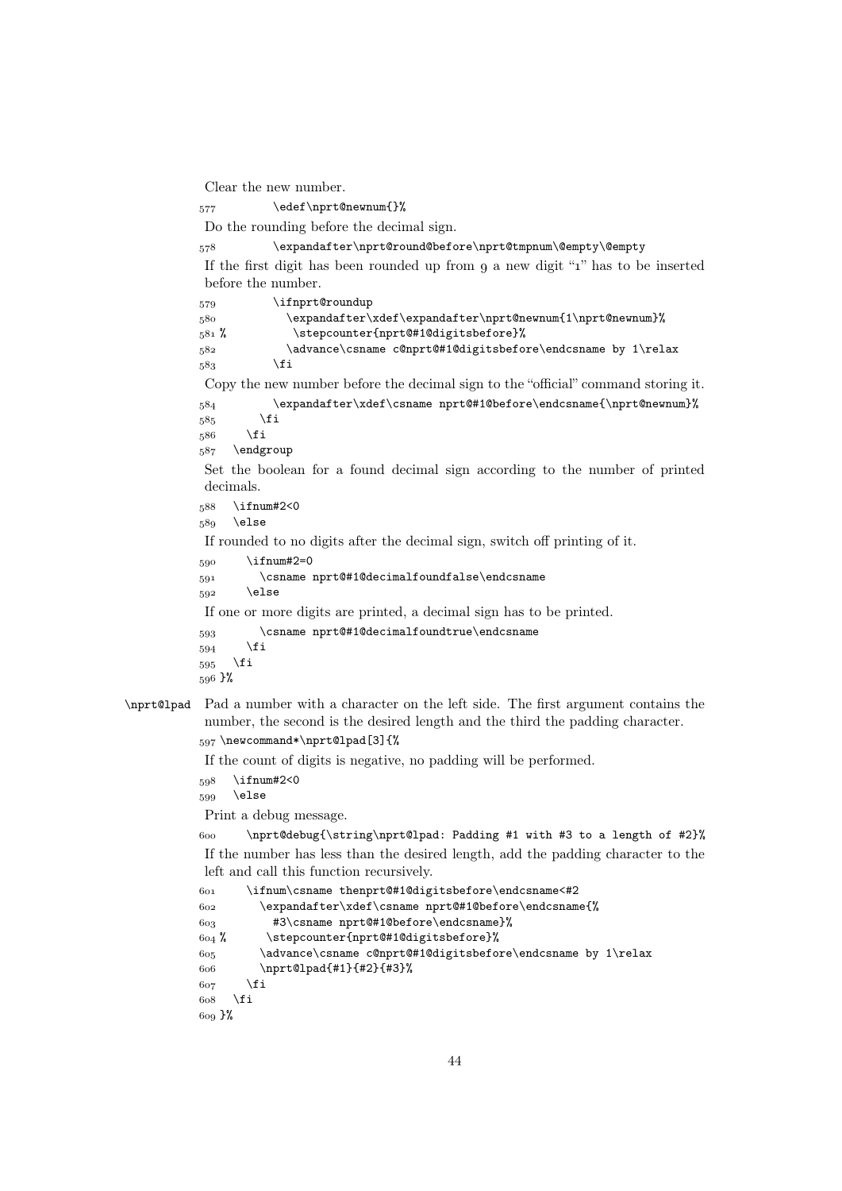Clear the new number.

\edef\nprt@newnum{}%

Do the rounding before the decimal sign.

\expandafter\nprt@round@before\nprt@tmpnum\@empty\@empty

If the first digit has been rounded up from  $q$  a new digit " $1$ " has to be inserted before the number.

579 \ifnprt@roundup \expandafter\xdef\expandafter\nprt@newnum{1\nprt@newnum}% 581 % \stepcounter{nprt@#1@digitsbefore}% \advance\csname c@nprt@#1@digitsbefore\endcsname by 1\relax  $583$  \fi Copy the new number before the decimal sign to the "official" command storing it. \expandafter\xdef\csname nprt@#1@before\endcsname{\nprt@newnum}%  $585$  \fi

 $586$  \fi

587 \endgroup

Set the boolean for a found decimal sign according to the number of printed decimals.

 $588$  \ifnum#2<0

589 \else

If rounded to no digits after the decimal sign, switch off printing of it.

590 \ifnum#2=0

```
 \csname nprt@#1@decimalfoundfalse\endcsname
```

```
592 \else
```
If one or more digits are printed, a decimal sign has to be printed.

```
 \csname nprt@#1@decimalfoundtrue\endcsname
594 \fi
595 \fi
596 }%
```
# \nprt@lpad Pad a number with a character on the left side. The first argument contains the number, the second is the desired length and the third the padding character.

597 \newcommand\*\nprt@lpad[3]{%

If the count of digits is negative, no padding will be performed.

```
598 \ifnum#2<0
```

```
599 \else
```
Print a debug message.

 \nprt@debug{\string\nprt@lpad: Padding #1 with #3 to a length of #2}% If the number has less than the desired length, add the padding character to the left and call this function recursively.

```
 \ifnum\csname thenprt@#1@digitsbefore\endcsname<#2
 \expandafter\xdef\csname nprt@#1@before\endcsname{%
 #3\csname nprt@#1@before\endcsname}%
 % \stepcounter{nprt@#1@digitsbefore}%
 \advance\csname c@nprt@#1@digitsbefore\endcsname by 1\relax
 \nprt@lpad{#1}{#2}{#3}%
607 \fi
608 \fi
 }%
```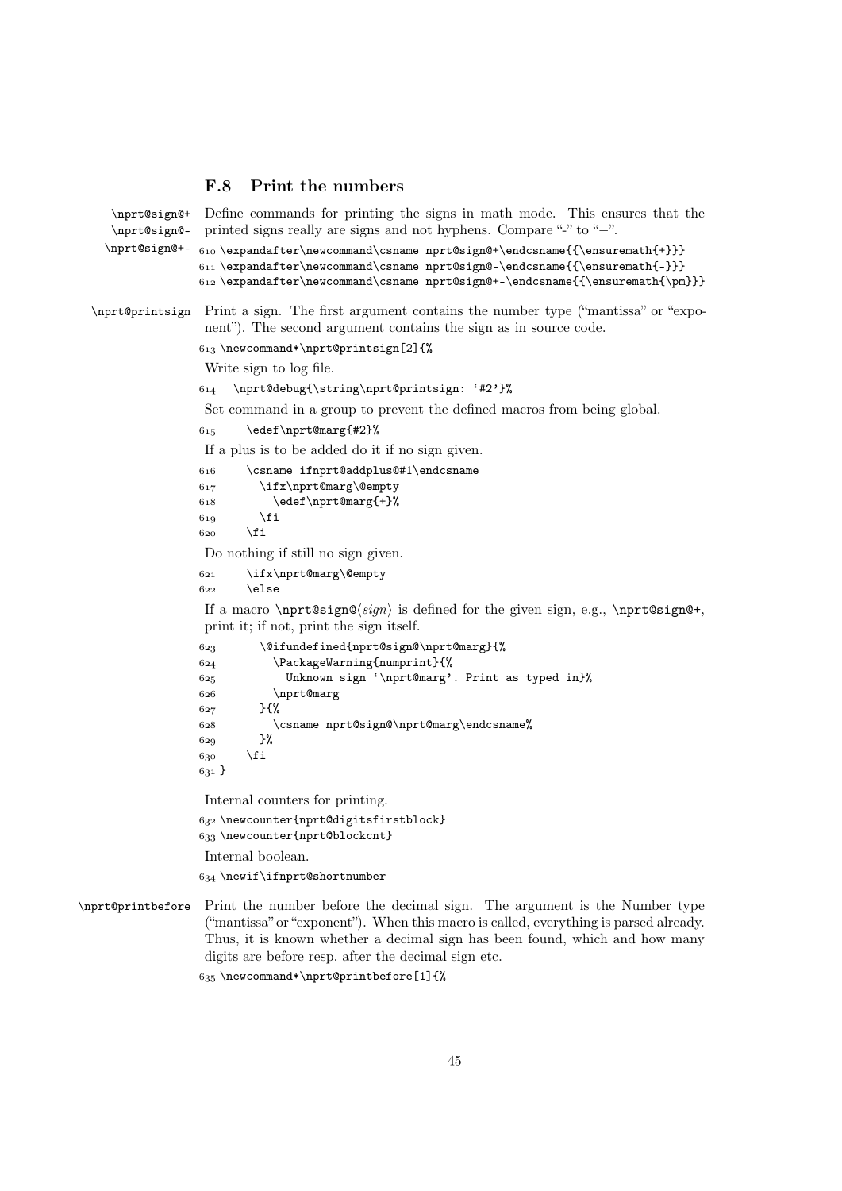## F.8 Print the numbers

```
\nprt@sign@+
    \nprt@sign@-
    \nprt@sign@+- \frac{\exp{t}{\epsilon} \expandafter\newcommand\csname nprt@sign@+\endcsname{{\ensuremath{+}}}
                   Define commands for printing the signs in math mode. This ensures that the
                   printed signs really are signs and not hyphens. Compare "-" to "−".
                  611 \text{expandafter}\newcommand\csname nprt@sign@-\endcsname({\enskip\ncmath{-}}\}612 \expandafter\newcommand{\csname nprt@sign@+-\endsname{{\enskip \verb|cmath{{\pm} }\}}\nprt@printsign Print a sign. The first argument contains the number type ("mantissa" or "expo-
                   nent"). The second argument contains the sign as in source code.
                  613 \newcommand*\nprt@printsign[2]{%
                   Write sign to log file.
                   \nprt@debug{\string\nprt@printsign: '#2'}%
                   Set command in a group to prevent the defined macros from being global.
                  615 \edef\nprt@marg{#2}%
                   If a plus is to be added do it if no sign given.
                   \csname ifnprt@addplus@#1\endcsname
                   \ifx\nprt@marg\@empty
                  618 \edef\nprt@marg{+}%
                  610 \fi
                  620 \fi
                   Do nothing if still no sign given.
                   \ifx\nprt@marg\@empty
                  622 \else
                   If a macro \n{\n  <math>\n of <math>\n</math> is defined for the given sign, e.g., \n  <math>\n</math> for the given sign.
                   print it; if not, print the sign itself.
                   \@ifundefined{nprt@sign@\nprt@marg}{%
                   \PackageWarning{numprint}{%
                   Unknown sign '\nprt@marg'. Print as typed in}%
                  626 \nprt@marg
                  627 }{%
                   \csname nprt@sign@\nprt@marg\endcsname%
                  620 }%
                  630 \forallfi
                  631Internal counters for printing.
                  632 \newcounter{nprt@digitsfirstblock}
                  633 \newcounter{nprt@blockcnt}
                   Internal boolean.
                  634 \newif\ifnprt@shortnumber
\nprt@printbefore Print the number before the decimal sign. The argument is the Number type
                   ("mantissa" or "exponent"). When this macro is called, everything is parsed already.
                   Thus, it is known whether a decimal sign has been found, which and how many
                   digits are before resp. after the decimal sign etc.
                  635 \newcommand*\nprt@printbefore[1]{%
```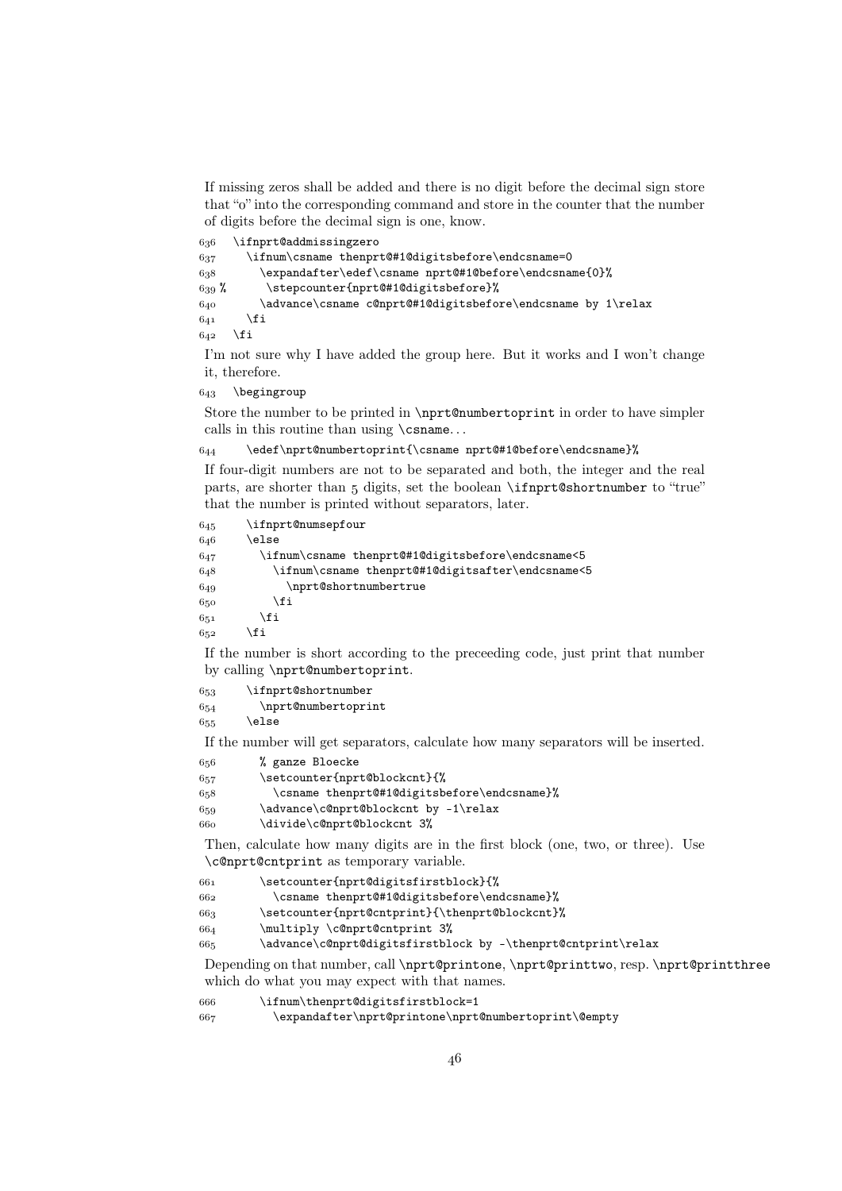If missing zeros shall be added and there is no digit before the decimal sign store that """ into the corresponding command and store in the counter that the number of digits before the decimal sign is one, know.

 \ifnprt@addmissingzero  $637$  \ifnum\csname thenprt@#1@digitsbefore\endcsname=0 \expandafter\edef\csname nprt@#1@before\endcsname{0}%  $639$  % \stepcounter{nprt@#1@digitsbefore}%  $640$  \advance\csname c@nprt@#1@digitsbefore\endcsname by 1\relax  $641$  \fi  $642$  \fi

I'm not sure why I have added the group here. But it works and I won't change it, therefore.

 $643$  \begingroup

Store the number to be printed in \nprt@numbertoprint in order to have simpler calls in this routine than using \csname. . .

 $644$  \edef\nprt@numbertoprint{\csname nprt@#1@before\endcsname}%

If four-digit numbers are not to be separated and both, the integer and the real parts, are shorter than  $5$  digits, set the boolean  $\ifmmode\big\vert\else\fi$  \ifnprt@shortnumber to "true" that the number is printed without separators, later.

| 645 | \ifnprt@numsepfour                                |
|-----|---------------------------------------------------|
| 646 | \else                                             |
| 647 | \ifnum\csname thenprt@#1@digitsbefore\endcsname<5 |
| 648 | \ifnum\csname thenprt@#1@digitsafter\endcsname<5\ |
| 649 | \nprt@shortnumbertrue                             |
| 650 | \fi                                               |
| 651 | \fi                                               |
| 652 | ∖fi                                               |
|     |                                                   |

If the number is short according to the preceeding code, just print that number by calling \nprt@numbertoprint.

| 653     | \ifnprt@shortnumber |
|---------|---------------------|
| 654     | \nprt@numbertoprint |
| $C - C$ | $\sqrt{220}$        |

 $655$ 

If the number will get separators, calculate how many separators will be inserted.

- % ganze Bloecke
- \setcounter{nprt@blockcnt}{%
- \csname thenprt@#1@digitsbefore\endcsname}%
- \advance\c@nprt@blockcnt by -1\relax
- \divide\c@nprt@blockcnt 3%

Then, calculate how many digits are in the first block (one, two, or three). Use \c@nprt@cntprint as temporary variable.

- \setcounter{nprt@digitsfirstblock}{%
- \csname thenprt@#1@digitsbefore\endcsname}%

\setcounter{nprt@cntprint}{\thenprt@blockcnt}%

- \multiply \c@nprt@cntprint 3%
- \advance\c@nprt@digitsfirstblock by -\thenprt@cntprint\relax

Depending on that number, call \nprt@printone, \nprt@printtwo, resp. \nprt@printthree which do what you may expect with that names.

\ifnum\thenprt@digitsfirstblock=1

\expandafter\nprt@printone\nprt@numbertoprint\@empty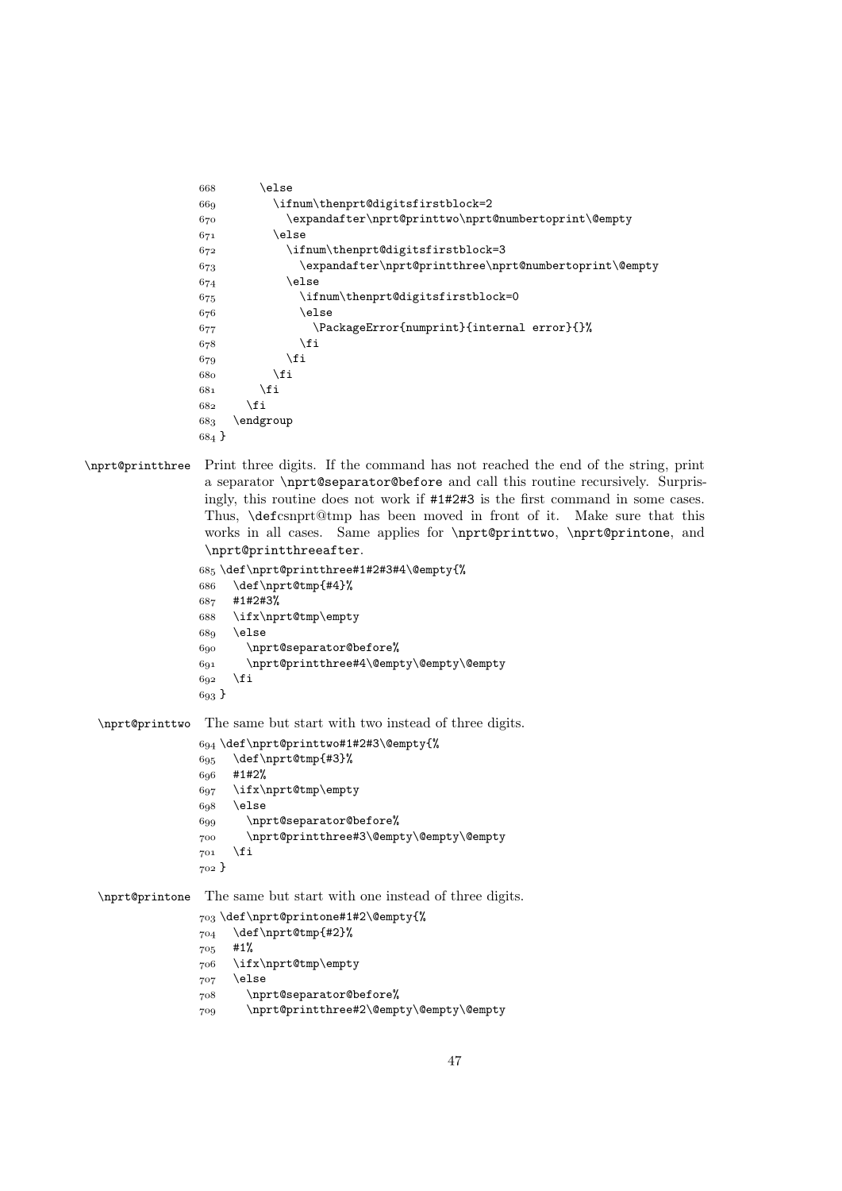```
668 \leq \leq \leq \leq \leq \leq \leq \leq \leq \leq \leq \leq \leq \leq \leq \leq \leq \leq \leq \leq \leq \leq \leq \leq \leq \leq \leq \leq \leq \leq \leq \leq \leq \leq \leq \leq \ifnum\thenprt@digitsfirstblock=2
 \expandafter\nprt@printtwo\nprt@numbertoprint\@empty
671 \else
 \ifnum\thenprt@digitsfirstblock=3
 \expandafter\nprt@printthree\nprt@numbertoprint\@empty
674 \else
 \ifnum\thenprt@digitsfirstblock=0
676 \else
 \PackageError{numprint}{internal error}{}%
678 \fi
679 \fi
680 \quad \text{tri}681 \fi
682 \fi
683 \qquad \text{endgroup}684 }
```
\nprt@printthree Print three digits. If the command has not reached the end of the string, print a separator \nprt@separator@before and call this routine recursively. Surprisingly, this routine does not work if #1#2#3 is the first command in some cases. Thus, \defcsnprt@tmp has been moved in front of it. Make sure that this works in all cases. Same applies for \nprt@printtwo, \nprt@printone, and \nprt@printthreeafter.

```
 \def\nprt@printthree#1#2#3#4\@empty{%
 \def\nprt@tmp{#4}%
687 #1#2#3%
 \ifx\nprt@tmp\empty
68<sub>9</sub> \else
 \nprt@separator@before%
 \nprt@printthree#4\@empty\@empty\@empty
692 \fi
693 }
```
\nprt@printtwo The same but start with two instead of three digits.

```
 \def\nprt@printtwo#1#2#3\@empty{%
695 \def\nprt@tmp{#3}%
 #1#2%
 \ifx\nprt@tmp\empty
698 \else
 \nprt@separator@before%
 \nprt@printthree#3\@empty\@empty\@empty
701 \fi
702}
```
\nprt@printone The same but start with one instead of three digits.

```
 \def\nprt@printone#1#2\@empty{%
 \def\nprt@tmp{#2}%
705 #1%
 \ifx\nprt@tmp\empty
707 \else
 \nprt@separator@before%
 \nprt@printthree#2\@empty\@empty\@empty
```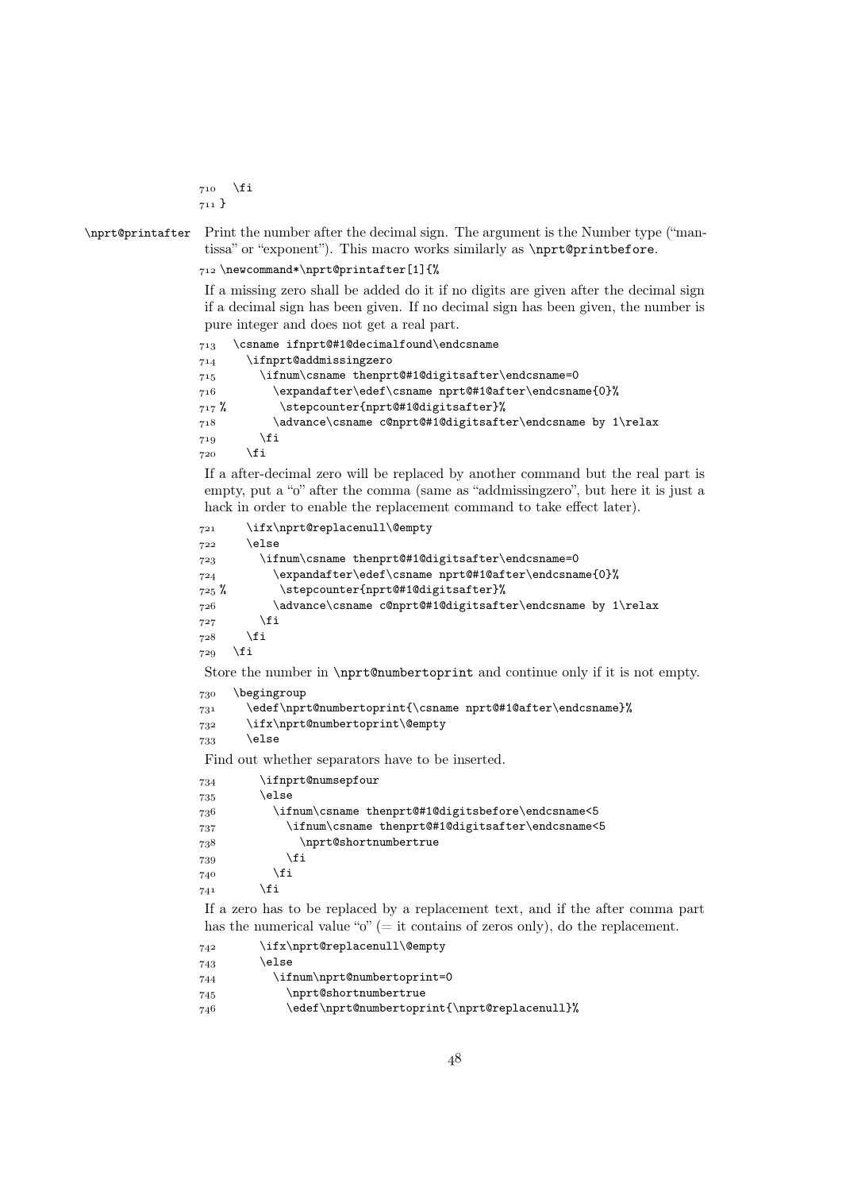$710$  \fi  $711$ }

\nprt@printafter Print the number after the decimal sign. The argument is the Number type ("mantissa" or "exponent"). This macro works similarly as \nprt@printbefore.

\newcommand\*\nprt@printafter[1]{%

If a missing zero shall be added do it if no digits are given after the decimal sign if a decimal sign has been given. If no decimal sign has been given, the number is pure integer and does not get a real part.

```
 \csname ifnprt@#1@decimalfound\endcsname
 \ifnprt@addmissingzero
 \ifnum\csname thenprt@#1@digitsafter\endcsname=0
 \expandafter\edef\csname nprt@#1@after\endcsname{0}%
 % \stepcounter{nprt@#1@digitsafter}%
 \advance\csname c@nprt@#1@digitsafter\endcsname by 1\relax
719 \fi
\gamma_{20} \fi
```
If a after-decimal zero will be replaced by another command but the real part is empty, put a "o" after the comma (same as "addmissingzero", but here it is just a hack in order to enable the replacement command to take effect later).

```
 \ifx\nprt@replacenull\@empty
722 \else
\ifnum\csname thenprt@#1@digitsafter\endcsname=0
 \expandafter\edef\csname nprt@#1@after\endcsname{0}%
 % \stepcounter{nprt@#1@digitsafter}%
 \advance\csname c@nprt@#1@digitsafter\endcsname by 1\relax
727 \fi
728 \fi
729 \fi
Store the number in \nprt@numbertoprint and continue only if it is not empty.
730 \begingroup
\edef\nprt@numbertoprint{\csname nprt@#1@after\endcsname}%
 \ifx\nprt@numbertoprint\@empty
733 \else
Find out whether separators have to be inserted.
```

| 734 | \ifnprt@numsepfour                                 |
|-----|----------------------------------------------------|
| 735 | \else                                              |
| 736 | \ifnum\csname thenprt@#1@digitsbefore\endcsname<5\ |
| 737 | \ifnum\csname thenprt@#1@digitsafter\endcsname<5   |
| 738 | \nprt@shortnumbertrue                              |
| 739 | \fi                                                |
| 740 | \fi                                                |
| 741 | ∖fi                                                |
|     |                                                    |

If a zero has to be replaced by a replacement text, and if the after comma part has the numerical value " $o$ " (= it contains of zeros only), do the replacement.

| 742 | \ifx\nprt@replacenull\@empty                 |
|-----|----------------------------------------------|
| 743 | else\                                        |
| 744 | \ifnum\nprt@numbertoprint=0                  |
| 745 | \nprt@shortnumbertrue                        |
| 746 | \edef\nprt@numbertoprint{\nprt@replacenull}% |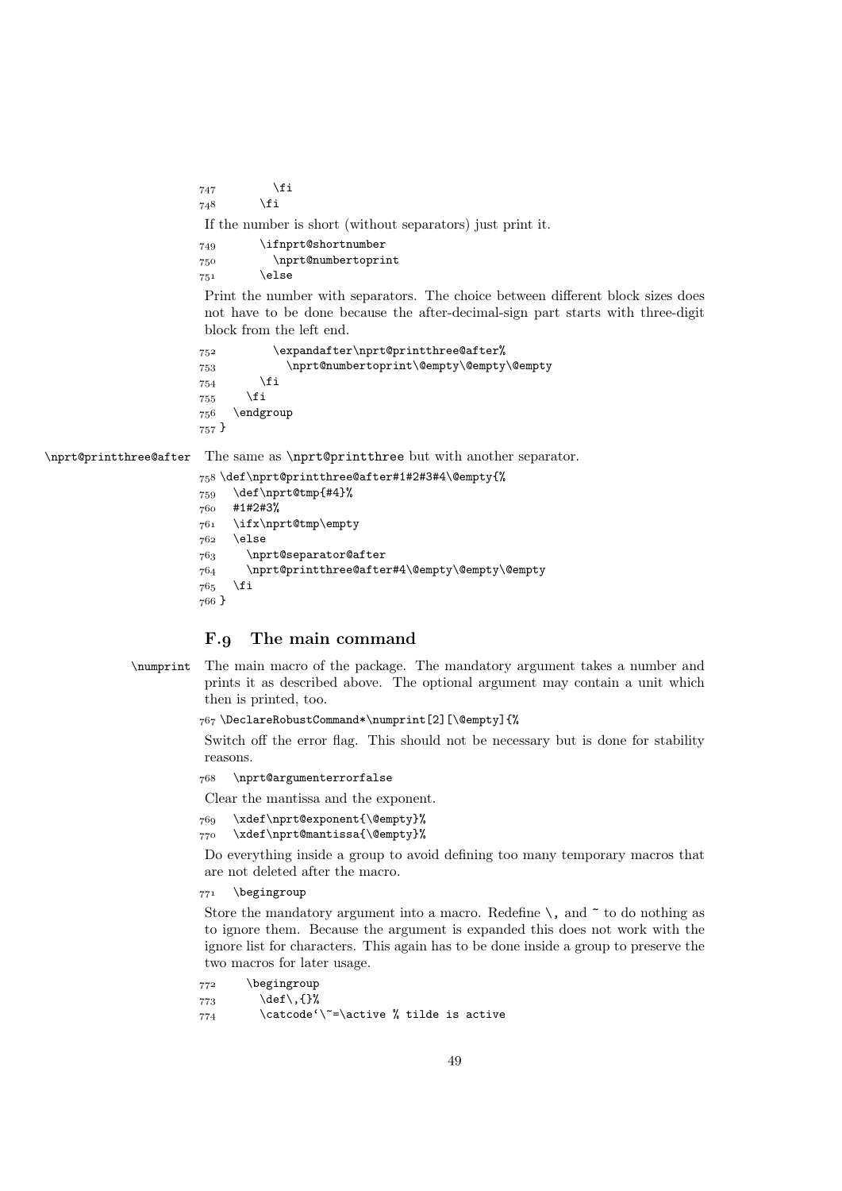$747$  \fi  $748$  \fi

If the number is short (without separators) just print it.

| 749 | \ifnprt@shortnumber |  |  |
|-----|---------------------|--|--|
| 750 | \nprt@numbertoprint |  |  |
| 751 | \else               |  |  |

Print the number with separators. The choice between different block sizes does not have to be done because the after-decimal-sign part starts with three-digit block from the left end.

```
752 \expandafter\nprt@printthree@after%
 \nprt@numbertoprint\@empty\@empty\@empty
754 \fi
755 \fi
756 \quad \text{endgroup}757 }
```
\nprt@printthree@after The same as \nprt@printthree but with another separator.

```
 \def\nprt@printthree@after#1#2#3#4\@empty{%
759 \def\nprt@tmp{#4}%
 #1#2#3%
 \ifx\nprt@tmp\empty
762 \else
 \nprt@separator@after
 \nprt@printthree@after#4\@empty\@empty\@empty
765 \fi
766 }
```
## F.g The main command

```
\numprint The main macro of the package. The mandatory argument takes a number and
           prints it as described above. The optional argument may contain a unit which
           then is printed, too.
```
\DeclareRobustCommand\*\numprint[2][\@empty]{%

Switch off the error flag. This should not be necessary but is done for stability reasons.

\nprt@argumenterrorfalse

Clear the mantissa and the exponent.

```
 \xdef\nprt@exponent{\@empty}%
```

```
 \xdef\nprt@mantissa{\@empty}%
```
Do everything inside a group to avoid defining too many temporary macros that are not deleted after the macro.

771 \begingroup

Store the mandatory argument into a macro. Redefine  $\setminus$ , and  $\tilde{\phantom{a}}$  to do nothing as to ignore them. Because the argument is expanded this does not work with the ignore list for characters. This again has to be done inside a group to preserve the two macros for later usage.

772 \begingroup

```
773 \def\,{}%
```
 $\frac{774}{274}$  \catcode'\<sup>~=</sup>\active % tilde is active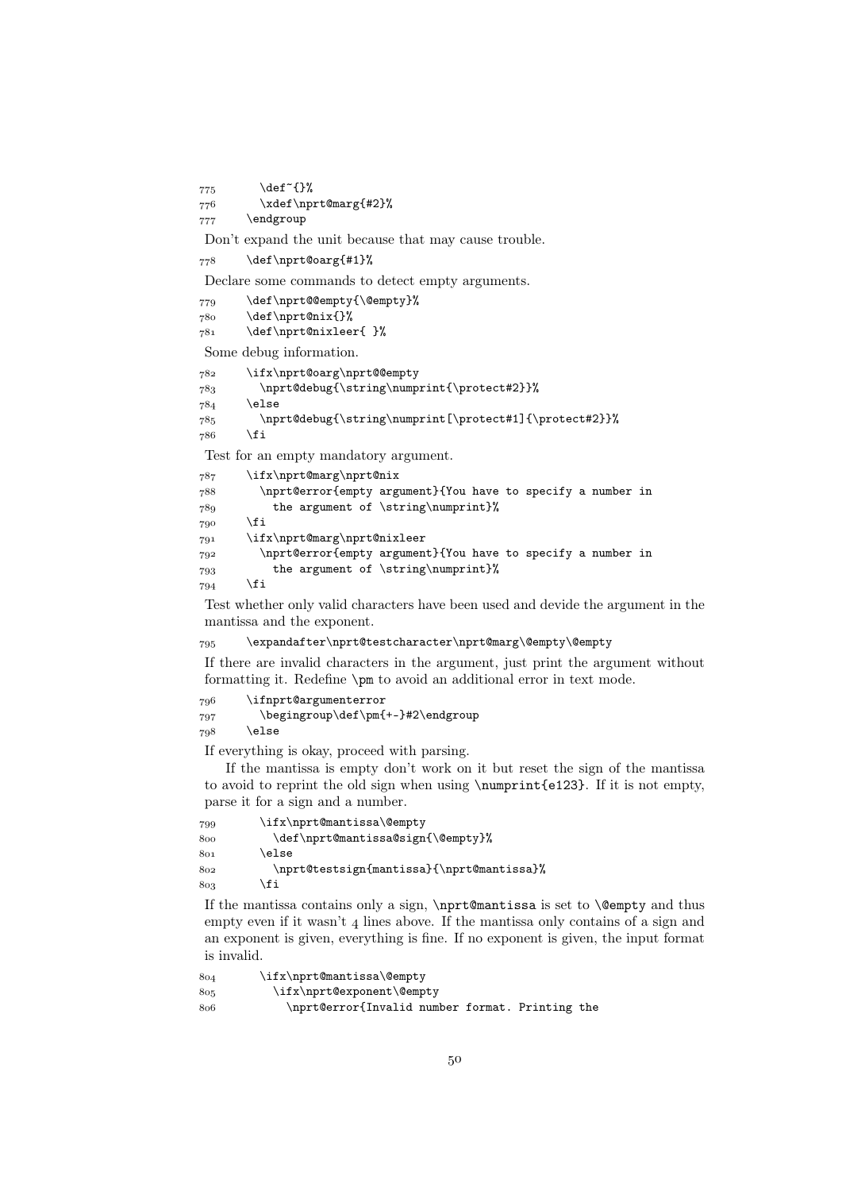775 \def<sup>~{}</sup>%

\xdef\nprt@marg{#2}%

777 \endgroup

Don't expand the unit because that may cause trouble.

```
778 \def\nprt@oarg{#1}%
```
Declare some commands to detect empty arguments.

```
779 \def\nprt@@empty{\@empty}%
```

```
 \def\nprt@nix{}%
```
\def\nprt@nixleer{ }%

Some debug information.

```
 \ifx\nprt@oarg\nprt@@empty
783 \nprt@debug{\string\numprint{\protect#2}}%
784 \else
 \nprt@debug{\string\numprint[\protect#1]{\protect#2}}%
786 \fi
```
Test for an empty mandatory argument.

```
 \ifx\nprt@marg\nprt@nix
 \nprt@error{empty argument}{You have to specify a number in
 the argument of \string\numprint}%
790 \fi
 \ifx\nprt@marg\nprt@nixleer
\gamma_{92} \nprt@error{empty argument}{You have to specify a number in
 the argument of \string\numprint}%
794 \fi
```
Test whether only valid characters have been used and devide the argument in the mantissa and the exponent.

\expandafter\nprt@testcharacter\nprt@marg\@empty\@empty

If there are invalid characters in the argument, just print the argument without formatting it. Redefine \pm to avoid an additional error in text mode.

```
 \ifnprt@argumenterror
 \begingroup\def\pm{+-}#2\endgroup
798 \else
```
If everything is okay, proceed with parsing.

If the mantissa is empty don't work on it but reset the sign of the mantissa to avoid to reprint the old sign when using \numprint{e123}. If it is not empty, parse it for a sign and a number.

```
 \ifx\nprt@mantissa\@empty
 \def\nprt@mantissa@sign{\@empty}%
801 \else
 \nprt@testsign{mantissa}{\nprt@mantissa}%
803 \fi
```
If the mantissa contains only a sign, \nprt@mantissa is set to \@empty and thus empty even if it wasn't  $\alpha$  lines above. If the mantissa only contains of a sign and an exponent is given, everything is fine. If no exponent is given, the input format is invalid.

```
 \ifx\nprt@mantissa\@empty
 \ifx\nprt@exponent\@empty
 \nprt@error{Invalid number format. Printing the
```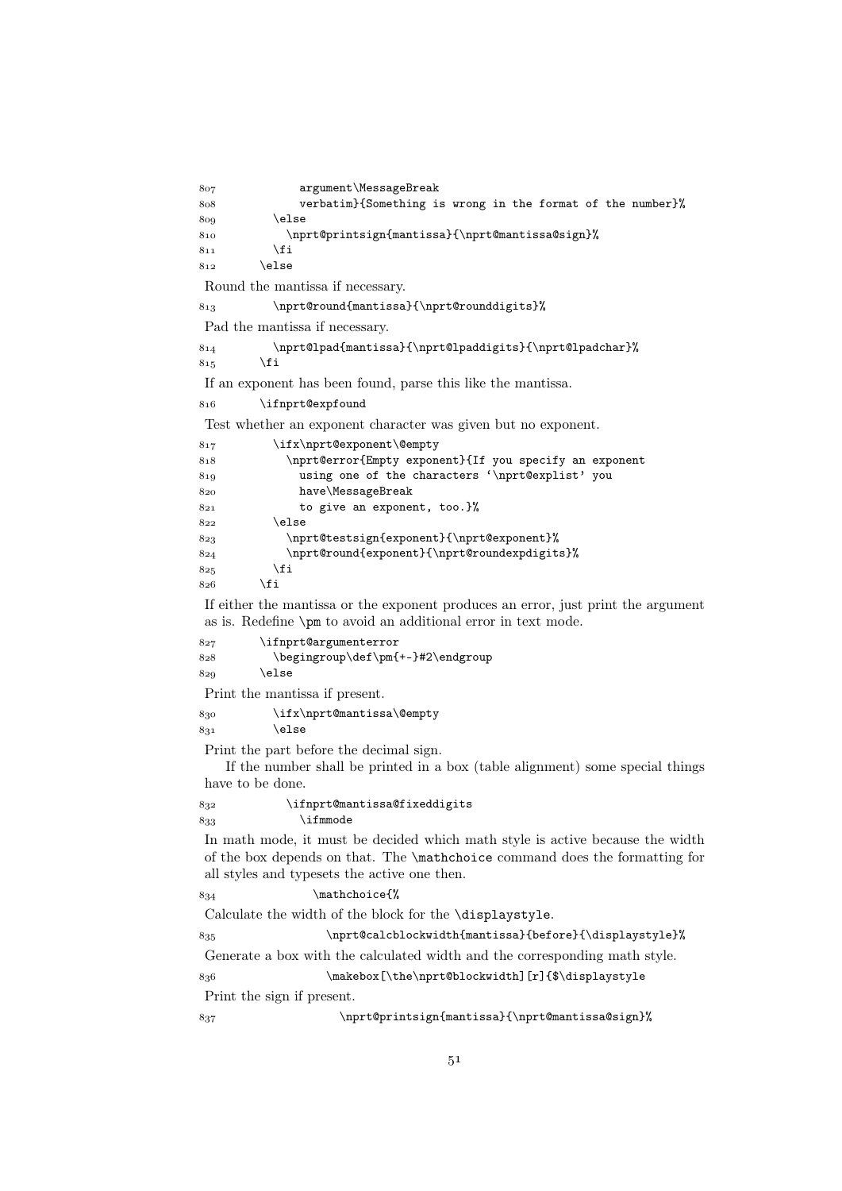| 807        | argument\MessageBreak                                                              |
|------------|------------------------------------------------------------------------------------|
| 808        | verbatim}{Something is wrong in the format of the number}%                         |
| 809        | \else                                                                              |
| 810        | \nprt@printsign{mantissa}{\nprt@mantissa@sign}%                                    |
| 811<br>812 | \fi<br>\else                                                                       |
|            |                                                                                    |
|            | Round the mantissa if necessary.                                                   |
| 813        | \nprt@round{mantissa}{\nprt@rounddigits}%                                          |
|            | Pad the mantissa if necessary.                                                     |
| 814<br>815 | \nprt@lpad{mantissa}{\nprt@lpaddigits}{\nprt@lpadchar}%<br>\fi                     |
|            | If an exponent has been found, parse this like the mantissa.                       |
| 816        | \ifnprt@expfound                                                                   |
|            | Test whether an exponent character was given but no exponent.                      |
| 817        | \ifx\nprt@exponent\@empty                                                          |
| 818        | \nprt@error{Empty exponent}{If you specify an exponent                             |
| 819        | using one of the characters '\nprt@explist' you                                    |
| 820        | have\MessageBreak                                                                  |
| 821        | to give an exponent, too.}%                                                        |
| 822        | \else<br>\nprt@testsign{exponent}{\nprt@exponent}%                                 |
| 823<br>824 | \nprt@round{exponent}{\nprt@roundexpdigits}%                                       |
| 825        | \fi                                                                                |
| 826        | \fi                                                                                |
|            | If either the mantissa or the exponent produces an error, just print the argument  |
|            | as is. Redefine \pm to avoid an additional error in text mode.                     |
| 827        | \ifnprt@argumenterror                                                              |
| 828        | \begingroup\def\pm{+-}#2\endgroup                                                  |
| 829        | \else                                                                              |
|            | Print the mantissa if present.                                                     |
| 830        | \ifx\nprt@mantissa\@empty                                                          |
| 831        | \else                                                                              |
|            | Print the part before the decimal sign.                                            |
|            | If the number shall be printed in a box (table alignment) some special things      |
|            | have to be done.                                                                   |
| 832        | \ifnprt@mantissa@fixeddigits\                                                      |
| 833        | $\infty$                                                                           |
|            | In math mode, it must be decided which math style is active because the width      |
|            | of the box depends on that. The <i>\mathchoice</i> command does the formatting for |
|            | all styles and typesets the active one then.                                       |
| 834        | \mathchoice{%                                                                      |
|            | Calculate the width of the block for the <i>displaystyle</i> .                     |
| $8_{35}$   | \nprt@calcblockwidth{mantissa}{before}{\displaystyle}%                             |
|            | Generate a box with the calculated width and the corresponding math style.         |
| 836        | \makebox[\the\nprt@blockwidth][r]{\$\displaystyle                                  |
|            | Print the sign if present.                                                         |
| 837        | \nprt@printsign{mantissa}{\nprt@mantissa@sign}%                                    |
|            |                                                                                    |
|            |                                                                                    |

 $5<sup>1</sup>$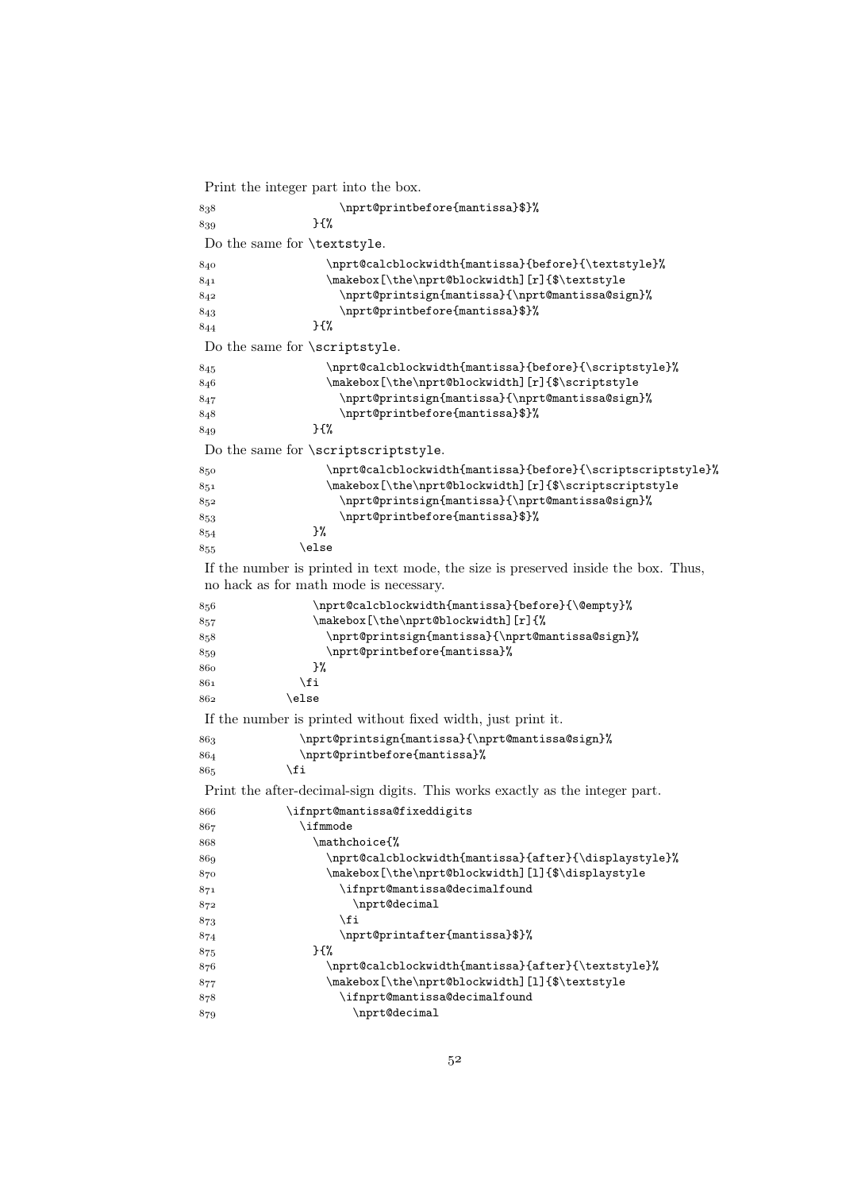```
Print the integer part into the box.
```

```
 \nprt@printbefore{mantissa}$}%
839 } {%
Do the same for \textstyle.
 \nprt@calcblockwidth{mantissa}{before}{\textstyle}%
841 \makebox[\the\nprt@blockwidth][r]{$\textstyle
 \nprt@printsign{mantissa}{\nprt@mantissa@sign}%
 \nprt@printbefore{mantissa}$}%
8<sup>44</sup> }{%
Do the same for \scriptstyle.
 \nprt@calcblockwidth{mantissa}{before}{\scriptstyle}%
 \makebox[\the\nprt@blockwidth][r]{$\scriptstyle
 \nprt@printsign{mantissa}{\nprt@mantissa@sign}%
 \nprt@printbefore{mantissa}$}%
\frac{8}{40} }\frac{19}{4}Do the same for \scriptscriptstyle.
 \nprt@calcblockwidth{mantissa}{before}{\scriptscriptstyle}%
 \makebox[\the\nprt@blockwidth][r]{$\scriptscriptstyle
 \nprt@printsign{mantissa}{\nprt@mantissa@sign}%
853<br>853<br>854<br>854854855 \else
If the number is printed in text mode, the size is preserved inside the box. Thus,
no hack as for math mode is necessary.
 \nprt@calcblockwidth{mantissa}{before}{\@empty}%
 \makebox[\the\nprt@blockwidth][r]{%
 \nprt@printsign{mantissa}{\nprt@mantissa@sign}%
 \nprt@printbefore{mantissa}%
860     }%
861 \fi
862 \else
If the number is printed without fixed width, just print it.
 \nprt@printsign{mantissa}{\nprt@mantissa@sign}%
 \nprt@printbefore{mantissa}%
865 \fi
Print the after-decimal-sign digits. This works exactly as the integer part.
 \ifnprt@mantissa@fixeddigits
867 \ifmmode
 \mathchoice{%
 \nprt@calcblockwidth{mantissa}{after}{\displaystyle}%
 \makebox[\the\nprt@blockwidth][l]{$\displaystyle
 \ifnprt@mantissa@decimalfound
872 \nprt@decimal
873 \fi
 \nprt@printafter{mantissa}$}%
 }{%
876 \makebox[\the\nprt@blockwidth][l]{$\textstyle
 \ifnprt@mantissa@decimalfound
879 \nprt@decimal
```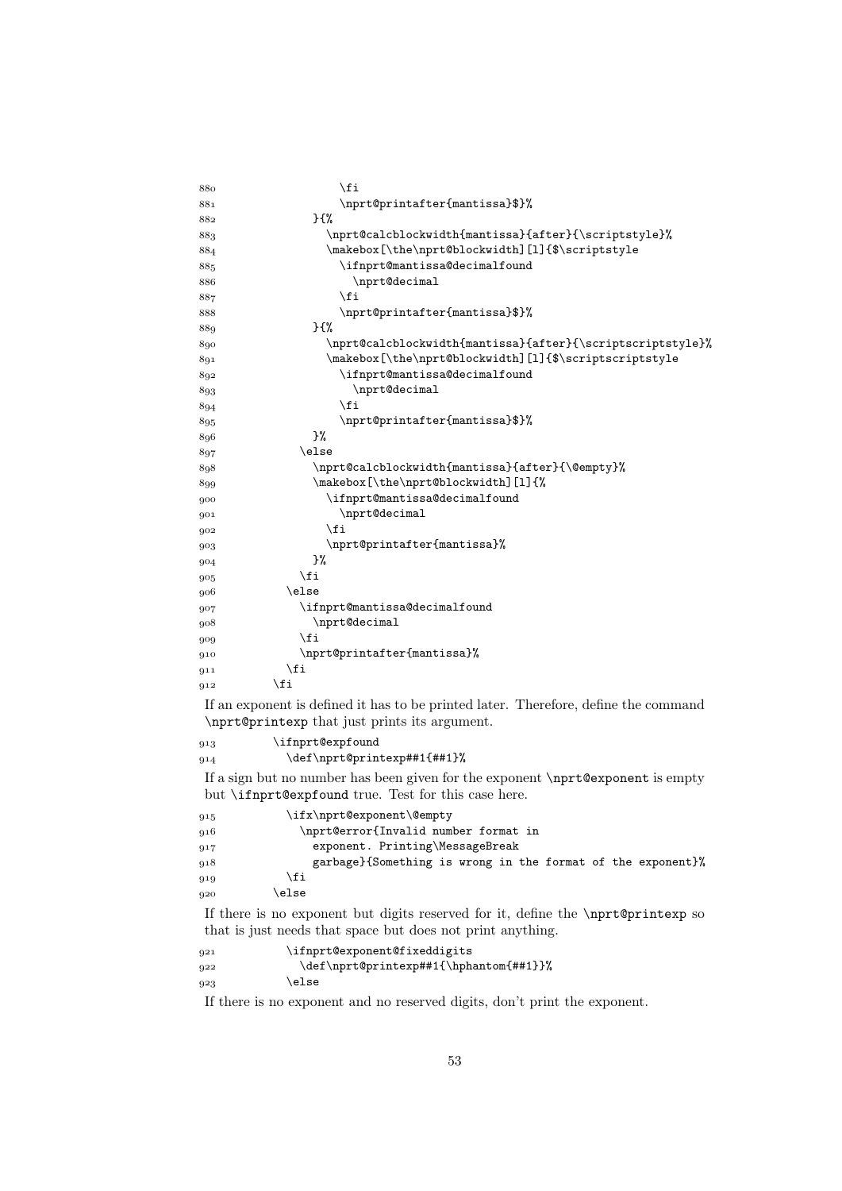| 880        | \fi                                                                                                                                  |
|------------|--------------------------------------------------------------------------------------------------------------------------------------|
| 881        | \nprt@printafter{mantissa}\$}%                                                                                                       |
| 882        | }{%                                                                                                                                  |
| 883        | \nprt@calcblockwidth{mantissa}{after}{\scriptstyle}%                                                                                 |
| 884        | \makebox[\the\nprt@blockwidth][1]{\$\scriptstyle                                                                                     |
| 885        | \ifnprt@mantissa@decimalfound                                                                                                        |
| 886        | \nprt@decimal                                                                                                                        |
| 887        | \fi                                                                                                                                  |
| 888        | \nprt@printafter{mantissa}\$}%                                                                                                       |
| 889        | }{%                                                                                                                                  |
| 890        | \nprt@calcblockwidth{mantissa}{after}{\scriptscriptstyle}%                                                                           |
| 891        | \makebox[\the\nprt@blockwidth][1]{\$\scriptscriptstyle                                                                               |
| 892        | \ifnprt@mantissa@decimalfound                                                                                                        |
| 893        | \nprt@decimal                                                                                                                        |
| 894        | \fi                                                                                                                                  |
| 895        | \nprt@printafter{mantissa}\$}%                                                                                                       |
| 896        | }‰                                                                                                                                   |
| 897        | \else                                                                                                                                |
| 898        | \nprt@calcblockwidth{mantissa}{after}{\@empty}%                                                                                      |
| 899        | \makebox[\the\nprt@blockwidth][1]{%                                                                                                  |
| 900        | \ifnprt@mantissa@decimalfound                                                                                                        |
| 901        | \nprt@decimal                                                                                                                        |
| 902        | \fi                                                                                                                                  |
| 903        | \nprt@printafter{mantissa}%<br>}%                                                                                                    |
| 904        | \fi                                                                                                                                  |
| 905        | \else                                                                                                                                |
| 906        |                                                                                                                                      |
| 907<br>908 | \ifnprt@mantissa@decimalfound<br>\nprt@decimal                                                                                       |
| 909        | \fi                                                                                                                                  |
| 910        | \nprt@printafter{mantissa}%                                                                                                          |
| 911        | \fi                                                                                                                                  |
| 912        | \fi                                                                                                                                  |
|            |                                                                                                                                      |
|            | If an exponent is defined it has to be printed later. Therefore, define the command<br>\nprt@printexp that just prints its argument. |
| 913        | \ifnprt@expfound                                                                                                                     |
| 914        | \def\nprt@printexp##1{##1}%                                                                                                          |
|            | If a sign but no number has been given for the exponent \nprt@exponent is empty                                                      |
|            | but <b>\ifprt@expfound</b> true. Test for this case here.                                                                            |
| 915        | \ifx\nprt@exponent\@empty                                                                                                            |
| 916        | \nprt@error{Invalid number format in                                                                                                 |
| 917        | exponent. Printing\MessageBreak                                                                                                      |
| 918        | garbage}{Something is wrong in the format of the exponent}%                                                                          |
| 919        | \fi                                                                                                                                  |
| 920        | \else                                                                                                                                |

If there is no exponent but digits reserved for it, define the \nprt@printexp so that is just needs that space but does not print anything.

```
 \ifnprt@exponent@fixeddigits
 \def\nprt@printexp##1{\hphantom{##1}}%
923 \else
```
If there is no exponent and no reserved digits, don't print the exponent.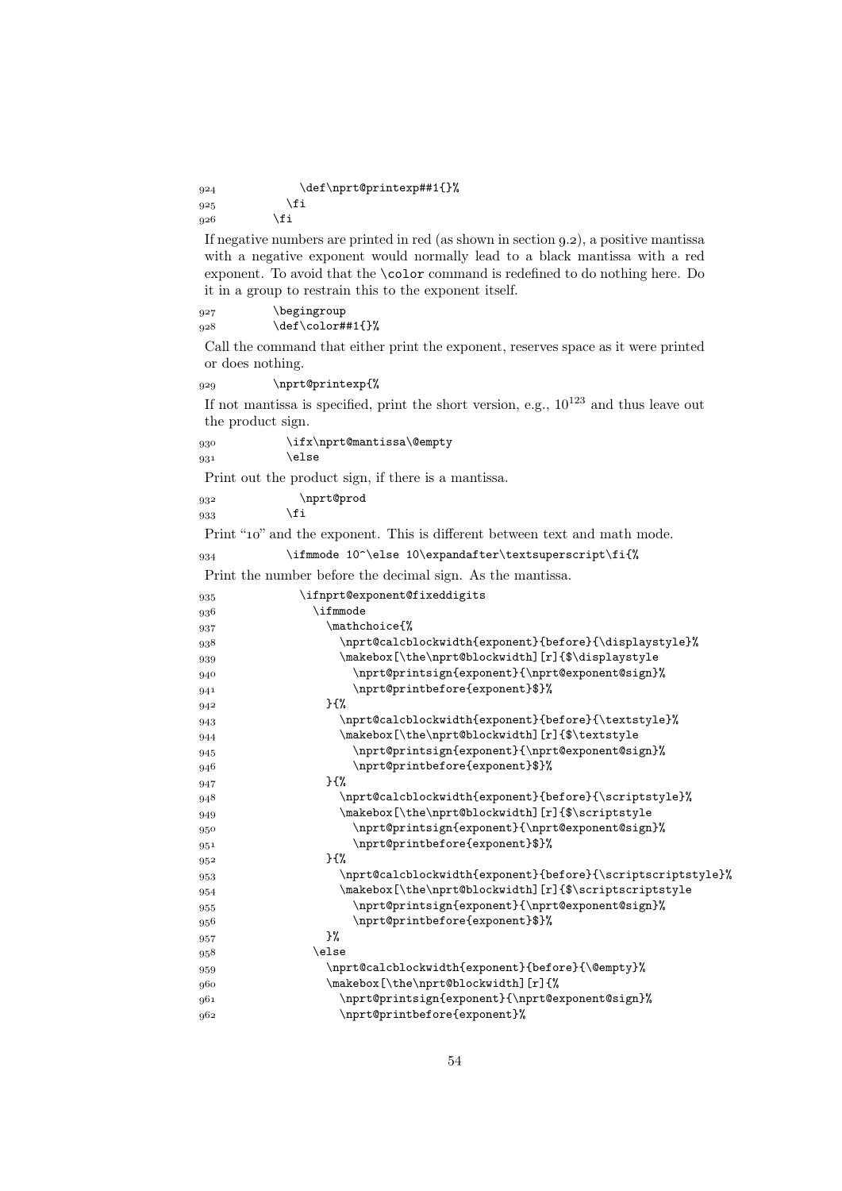\def\nprt@printexp##1{}%  $925$  \fi  $\alpha$ <sup>26</sup> \fi

If negative numbers are printed in red (as shown in section  $(9.2)$ , a positive mantissa with a negative exponent would normally lead to a black mantissa with a red exponent. To avoid that the \color command is redefined to do nothing here. Do it in a group to restrain this to the exponent itself.

927 \begingroup  $928$  \def\color##1{}%

Call the command that either print the exponent, reserves space as it were printed or does nothing.

\nprt@printexp{%

If not mantissa is specified, print the short version, e.g.,  $10^{123}$  and thus leave out the product sign.

\ifx\nprt@mantissa\@empty

 $931$  \else

Print out the product sign, if there is a mantissa.

932 \nprt@prod

 $933$  \fi

Print "10" and the exponent. This is different between text and math mode.

\ifmmode 10^\else 10\expandafter\textsuperscript\fi{%

Print the number before the decimal sign. As the mantissa.

| 935 | \ifnprt@exponent@fixeddigits                                |
|-----|-------------------------------------------------------------|
| 936 | \ifmmode                                                    |
| 937 | \mathchoice{%                                               |
| 938 | \nprt@calcblockwidth{exponent}{before}{\displaystyle}%      |
| 939 | \makebox[\the\nprt@blockwidth][r]{\$\displaystyle           |
| 940 | \nprt@printsign{exponent}{\nprt@exponent@sign}%             |
| 941 | \nprt@printbefore{exponent}\$}%                             |
| 942 | H                                                           |
| 943 | \nprt@calcblockwidth{exponent}{before}{\textstyle}%         |
| 944 | \makebox[\the\nprt@blockwidth][r]{\$\textstyle              |
| 945 | \nprt@printsign{exponent}{\nprt@exponent@sign}%             |
| 946 | \nprt@printbefore{exponent}\$}%                             |
| 947 | $}$                                                         |
| 948 | \nprt@calcblockwidth{exponent}{before}{\scriptstyle}%       |
| 949 | \makebox[\the\nprt@blockwidth][r]{\$\scriptstyle            |
| 950 | \nprt@printsign{exponent}{\nprt@exponent@sign}%             |
| 951 | \nprt@printbefore{exponent}\$}%                             |
| 952 | $H^{\prime}$                                                |
| 953 | \nprt@calcblockwidth{exponent}{before}{\scriptscriptstyle}% |
| 954 | \makebox[\the\nprt@blockwidth][r]{\$\scriptscriptstyle      |
| 955 | \nprt@printsign{exponent}{\nprt@exponent@sign}%             |
| 956 | \nprt@printbefore{exponent}\$}%                             |
| 957 | }‰                                                          |
| 958 | \else                                                       |
| 959 | \nprt@calcblockwidth{exponent}{before}{\@empty}%            |
| 960 | \makebox[\the\nprt@blockwidth][r]{%                         |
| 961 | \nprt@printsign{exponent}{\nprt@exponent@sign}%             |
| 962 | \nprt@printbefore{exponent}%                                |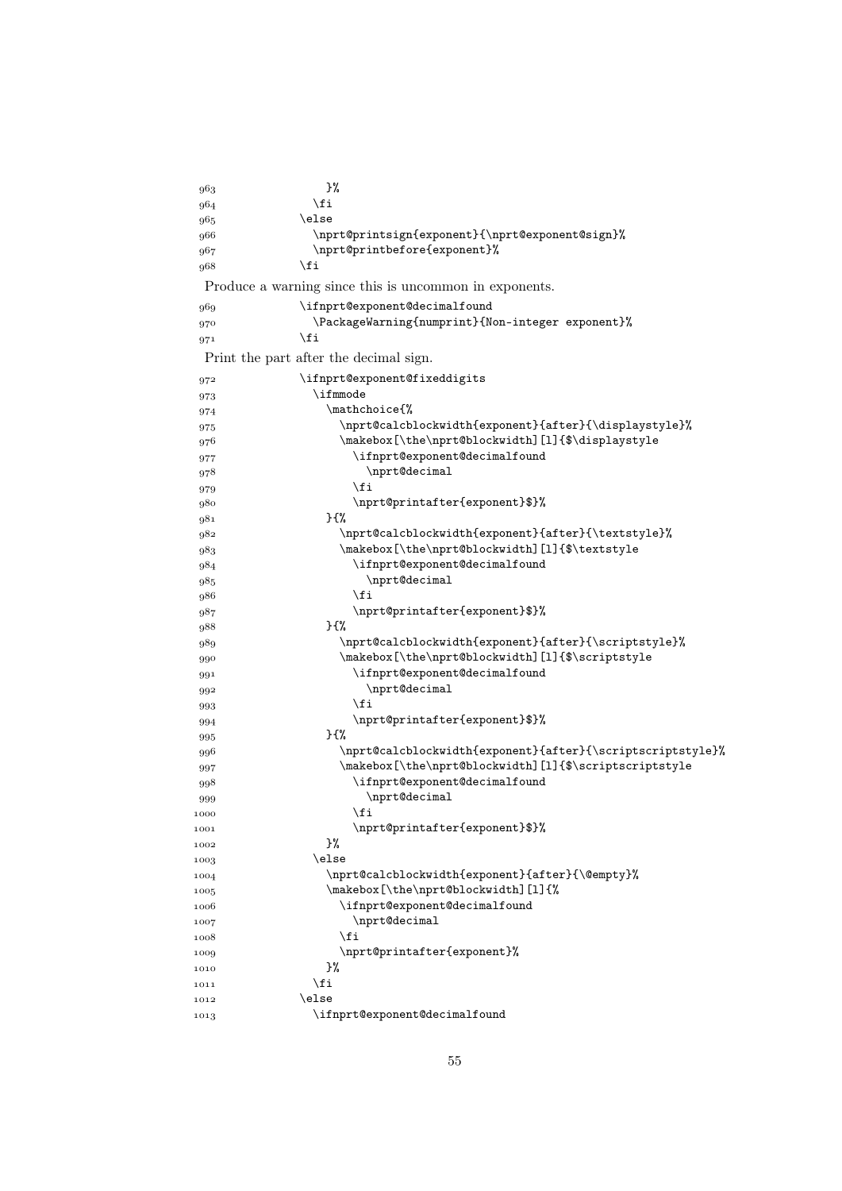| 963  | }%                                                         |
|------|------------------------------------------------------------|
| 964  | \fi                                                        |
| 965  | \else                                                      |
| 966  | \nprt@printsign{exponent}{\nprt@exponent@sign}%            |
| 967  | \nprt@printbefore{exponent}%                               |
| 968  | \fi                                                        |
|      | Produce a warning since this is uncommon in exponents.     |
| 969  | \ifnprt@exponent@decimalfound                              |
| 970  | \PackageWarning{numprint}{Non-integer exponent}%           |
| 971  | \fi                                                        |
|      | Print the part after the decimal sign.                     |
| 972  | \ifnprt@exponent@fixeddigits                               |
| 973  | \ifmmode                                                   |
| 974  | \mathchoicef%                                              |
| 975  | \nprt@calcblockwidth{exponent}{after}{\displaystyle}%      |
| 976  | \makebox[\the\nprt@blockwidth][1]{\$\displaystyle          |
| 977  | \ifnprt@exponent@decimalfound                              |
| 978  | \nprt@decimal                                              |
| 979  | \fi                                                        |
| 980  | \nprt@printafter{exponent}\$}%                             |
| 981  | }{%                                                        |
| 982  | \nprt@calcblockwidth{exponent}{after}{\textstyle}%         |
| 983  | \makebox[\the\nprt@blockwidth][1]{\$\textstyle             |
| 984  | \ifnprt@exponent@decimalfound                              |
| 985  | \nprt@decimal                                              |
| 986  | \fi                                                        |
| 987  | \nprt@printafter{exponent}\$}%                             |
| 988  | $}$                                                        |
| 989  | \nprt@calcblockwidth{exponent}{after}{\scriptstyle}%       |
| 990  | \makebox[\the\nprt@blockwidth][1]{\$\scriptstyle           |
| 991  | \ifnprt@exponent@decimalfound                              |
| 992  | \nprt@decimal                                              |
| 993  | \fi                                                        |
| 994  | \nprt@printafter{exponent}\$}%                             |
| 995  | } {%                                                       |
| 996  | \nprt@calcblockwidth{exponent}{after}{\scriptscriptstyle}% |
| 997  | \makebox[\the\nprt@blockwidth][1]{\$\scriptscriptstyle     |
| 998  | \ifnprt@exponent@decimalfound                              |
| 999  | \nprt@decimal                                              |
| 1000 | \fi                                                        |
| 1001 | \nprt@printafter{exponent}\$}%                             |
| 1002 | }‰                                                         |
| 1003 | \else                                                      |
| 1004 | \nprt@calcblockwidth{exponent}{after}{\@empty}%            |
| 1005 | \makebox[\the\nprt@blockwidth][1]{%                        |
| 1006 | \ifnprt@exponent@decimalfound                              |
| 1007 | \nprt@decimal                                              |
| 1008 | \fi                                                        |
| 1009 | \nprt@printafter{exponent}%                                |
| 1010 | }%                                                         |
| 1011 | \fi                                                        |
| 1012 | \else                                                      |
|      | \ifnprt@exponent@decimalfound                              |
| 1013 |                                                            |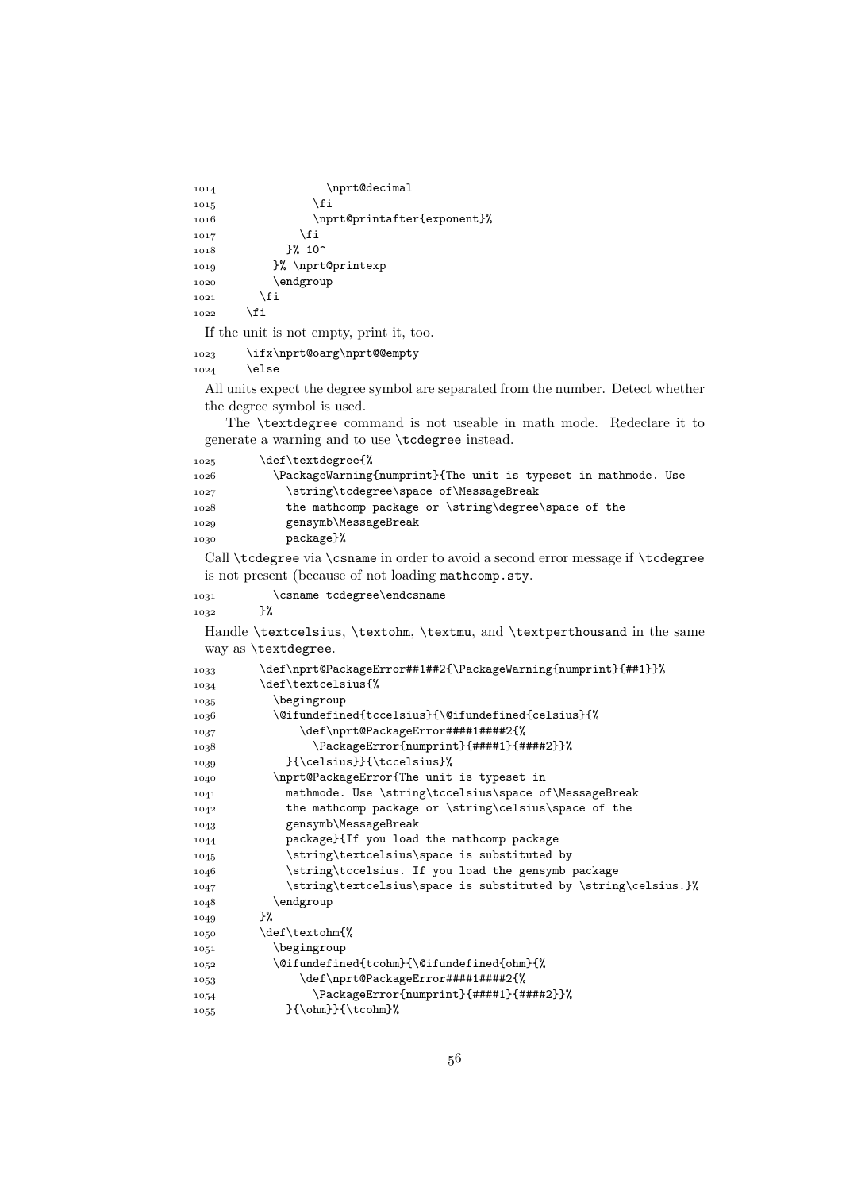| 1014 | \nprt@decimal               |
|------|-----------------------------|
| 1015 | \fi                         |
| 1016 | \nprt@printafter{exponent}% |
| 1017 | \fi                         |
| 1018 | $3%10^{-}$                  |
| 1019 | }% \nprt@printexp           |
| 1020 | \endgroup                   |
| 1021 | \fi                         |
| 1022 | \fi                         |

If the unit is not empty, print it, too.

```
1023 \ifx\nprt@oarg\nprt@@empty
1024 \else
```
All units expect the degree symbol are separated from the number. Detect whether the degree symbol is used.

The \textdegree command is not useable in math mode. Redeclare it to generate a warning and to use \tcdegree instead.

| 1025 | \def\textdegree{%                                              |  |
|------|----------------------------------------------------------------|--|
| 1026 | \PackageWarning{numprint}{The unit is typeset in mathmode. Use |  |
| 1027 | \string\tcdegree\space of\MessageBreak                         |  |
| 1028 | the mathcomp package or \string\degree\space of the            |  |
| 1029 | gensymb\MessageBreak                                           |  |
| 1030 | package}%                                                      |  |

Call \tcdegree via \csname in order to avoid a second error message if \tcdegree is not present (because of not loading mathcomp.sty.

| 1031 |    | \csname tcdegree\endcsname |
|------|----|----------------------------|
| 1032 | }‰ |                            |

Handle \textcelsius, \textohm, \textmu, and \textperthousand in the same way as \textdegree.

| 1033 | \def\nprt@PackageError##1##2{\PackageWarning{numprint}{##1}}%\ |
|------|----------------------------------------------------------------|
| 1034 | \def\textcelsius{%                                             |
| 1035 | \begingroup                                                    |
| 1036 | \@ifundefined{tccelsius}{\@ifundefined{celsius}{%              |
| 1037 | \def\nprt@PackageError####1####2{%                             |
| 1038 | \PackageError{numprint}{####1}{####2}}%                        |
| 1039 | }{\celsius}}{\tccelsius}%                                      |
| 1040 | \nprt@PackageError{The unit is typeset in                      |
| 1041 | mathmode. Use \string\tccelsius\space of\MessageBreak          |
| 1042 | the mathcomp package or \string\celsius\space of the           |
| 1043 | gensymb\MessageBreak                                           |
| 1044 | package}{If you load the mathcomp package                      |
| 1045 | \string\textcelsius\space is substituted by                    |
| 1046 | \string\tccelsius. If you load the gensymb package             |
| 1047 | \string\textcelsius\space is substituted by \string\celsius.}% |
| 1048 | \endgroup                                                      |
| 1049 | }‰                                                             |
| 1050 | \def\textohm{%                                                 |
| 1051 | \begingroup                                                    |
| 1052 | \@ifundefined{tcohm}{\@ifundefined{ohm}{%                      |
| 1053 | \def\nprt@PackageError#####1####2{%                            |
| 1054 | \PackageError{numprint}{####1}{####2}}%                        |
| 1055 | $\{\phi\}$ {\cohm}}{\tcohm}%                                   |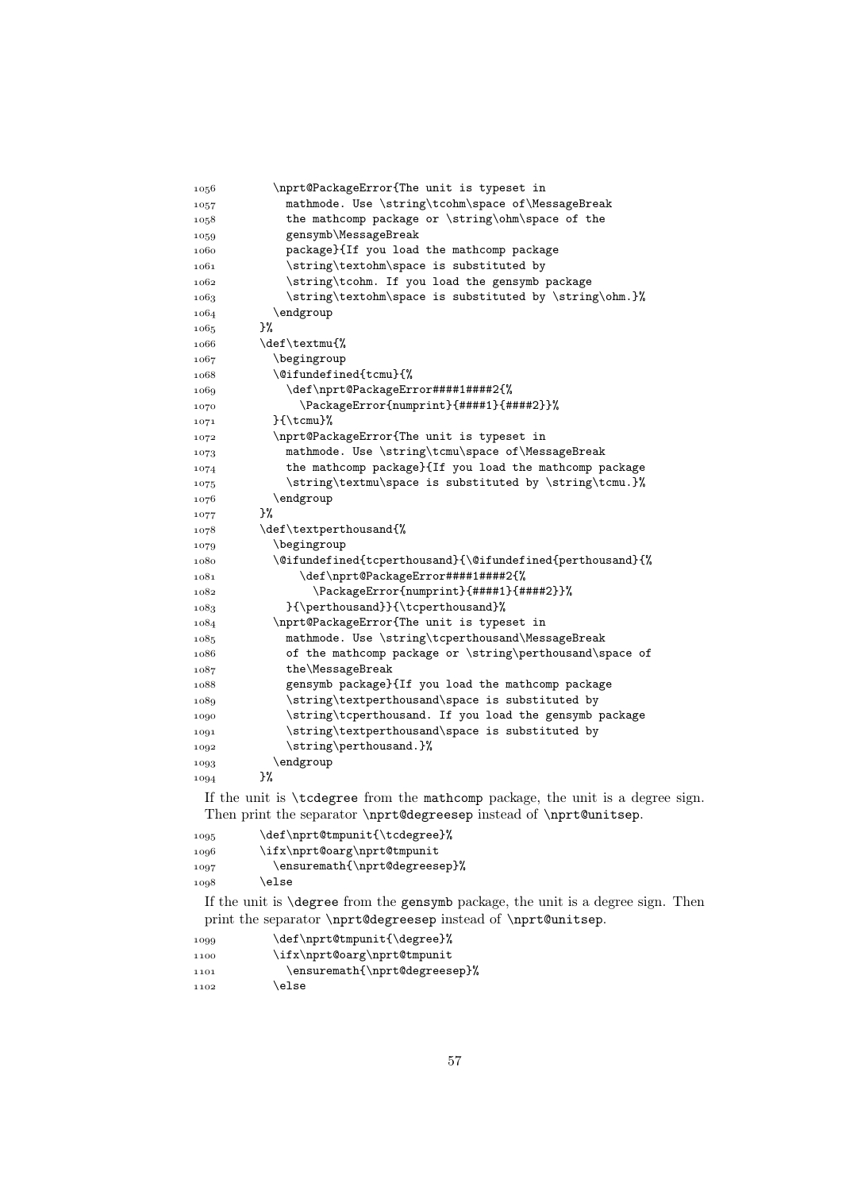| 1056  | \nprt@PackageError{The unit is typeset in                                      |
|-------|--------------------------------------------------------------------------------|
| 1057  | mathmode. Use \string\tcohm\space of\MessageBreak                              |
| 1058  | the mathcomp package or \string\ohm\space of the                               |
| 1059  | gensymb\MessageBreak                                                           |
| 1060  | package}{If you load the mathcomp package                                      |
| 1061  | \string\textohm\space is substituted by                                        |
| 1062  | \string\tcohm. If you load the gensymb package                                 |
| 1063  | \string\textohm\space is substituted by \string\ohm.}%                         |
| 1064  | \endgroup                                                                      |
| 1065  | }%                                                                             |
| 1066  | \def\textmu{%                                                                  |
| 1067  | \begingroup                                                                    |
| 1068  | $\setminus$ @ifundefined{tcmu}{%                                               |
| 1069  | \def\nprt@PackageError####1####2{%                                             |
| 1070  | \PackageError{numprint}{####1}{####2}}%                                        |
| 1071  | }{\tcmu}%                                                                      |
| 1072  | \nprt@PackageError{The unit is typeset in                                      |
| 1073  | mathmode. Use \string\tcmu\space of\MessageBreak                               |
| 1074  | the mathcomp package}{If you load the mathcomp package                         |
| 1075  | \string\textmu\space is substituted by \string\tcmu.}%                         |
| 1076  | \endgroup                                                                      |
| 1077  | }%                                                                             |
| 1078  | \def\textperthousand{%                                                         |
| 1079  | \begingroup                                                                    |
| 1080  | \@ifundefined{tcperthousand}{\@ifundefined{perthousand}{%                      |
| 1081  | \def\nprt@PackageError####1####2{%                                             |
| 1082  | \PackageError{numprint}{####1}{####2}}%                                        |
| 1083  | }{\perthousand}}{\tcperthousand}%                                              |
| 1084  | \nprt@PackageError{The unit is typeset in                                      |
| 1085  | mathmode. Use \string\tcperthousand\MessageBreak                               |
| 1086  | of the mathcomp package or \string\perthousand\space of                        |
| 1087  | the\MessageBreak                                                               |
| 1088  | gensymb package}{If you load the mathcomp package                              |
| 1089  | \string\textperthousand\space is substituted by                                |
| 1090  | \string\tcperthousand. If you load the gensymb package                         |
| 1091  | \string\textperthousand\space is substituted by                                |
| 1092  | \string\perthousand.}%                                                         |
| 1093  | \endgroup                                                                      |
| 1094  | }%                                                                             |
|       | If the unit is \tcdegree from the mathcomp package, the unit is a degree sign. |
|       | Then print the separator \nprt@degreesep instead of \nprt@unitsep.             |
| 0.005 | $\ddot{\text{def}}$                                                            |

| 1095 | \def\nprt@tmpunit{\tcdegree}% |
|------|-------------------------------|
| 1096 | \ifx\nprt@oarg\nprt@tmpunit   |
| 1097 | \ensuremath{\nprt@degreesep}% |
| 1098 | \else                         |

If the unit is \degree from the gensymb package, the unit is a degree sign. Then print the separator \nprt@degreesep instead of \nprt@unitsep.

1099 \def\nprt@tmpunit{\degree}% 1100 \ifx\nprt@oarg\nprt@tmpunit 1101 \ensuremath{\nprt@degreesep}%  $1102$  \else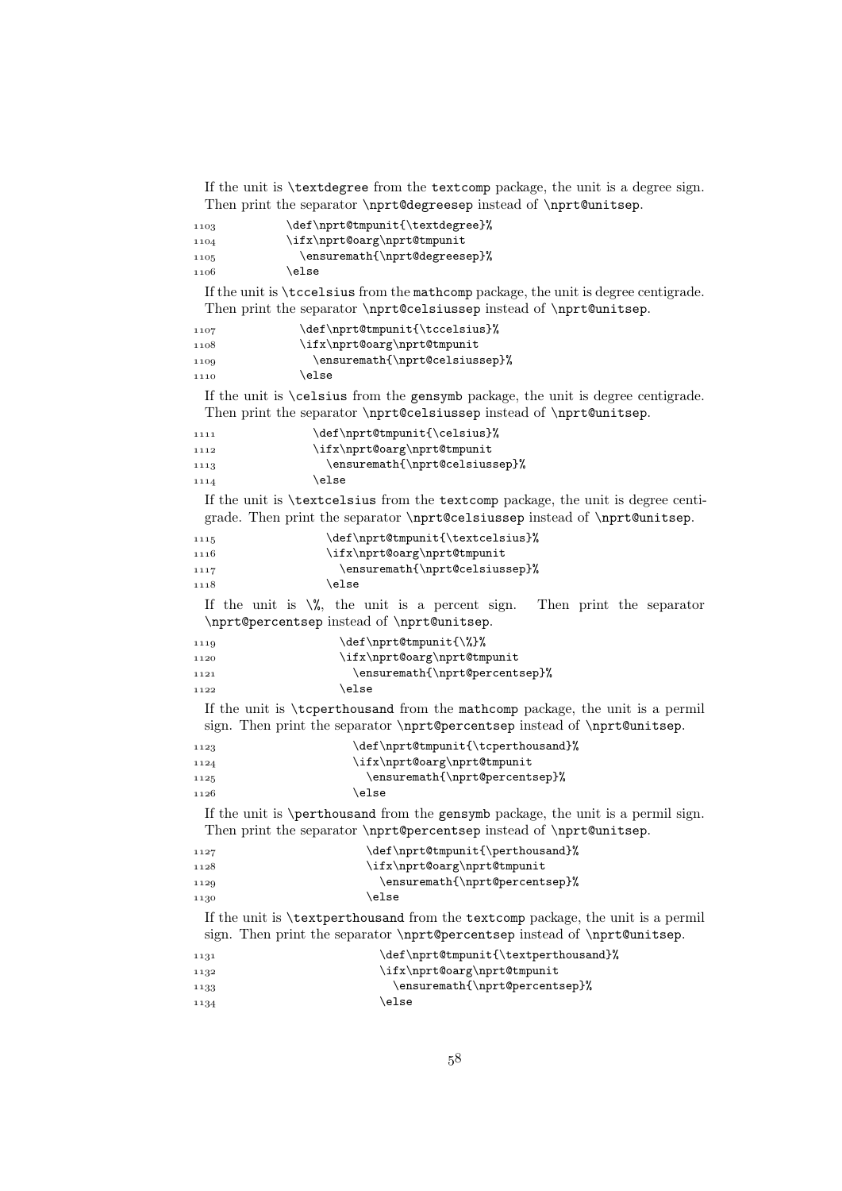If the unit is \textdegree from the textcomp package, the unit is a degree sign. Then print the separator \nprt@degreesep instead of \nprt@unitsep.

| 1103 | \def\nprt@tmpunit{\textdegree}% |
|------|---------------------------------|
| 1104 | \ifx\nprt@oarg\nprt@tmpunit     |
| 1105 | \ensuremath{\nprt@degreesep}%   |
| 1106 | \else                           |

If the unit is \tccelsius from the mathcomp package, the unit is degree centigrade. Then print the separator \nprt@celsiussep instead of \nprt@unitsep.

| 1107 | \def\nprt@tmpunit{\tccelsius}% |
|------|--------------------------------|
| 1108 | \ifx\nprt@oarg\nprt@tmpunit    |
| 1109 | \ensuremath{\nprt@celsiussep}% |
| 1110 | \else                          |

If the unit is \celsius from the gensymb package, the unit is degree centigrade. Then print the separator \nprt@celsiussep instead of \nprt@unitsep.

| 1111 | \def\nprt@tmpunit{\celsius}%   |
|------|--------------------------------|
| 1112 | \ifx\nprt@oarg\nprt@tmpunit    |
| 1113 | \ensuremath{\nprt@celsiussep}% |
| 1114 | \else                          |

If the unit is \textcelsius from the textcomp package, the unit is degree centigrade. Then print the separator \nprt@celsiussep instead of \nprt@unitsep.

| 1115 | \def\nprt@tmpunit{\textcelsius}% |
|------|----------------------------------|
| 1116 | \ifx\nprt@oarg\nprt@tmpunit      |
| 1117 | \ensuremath{\nprt@celsiussep}%   |
| 1118 | \else                            |

If the unit is  $\%$ , the unit is a percent sign. Then print the separator \nprt@percentsep instead of \nprt@unitsep.

| 1119 | \def\nprt@tmpunit{\%}%         |
|------|--------------------------------|
| 1120 | \ifx\nprt@oarg\nprt@tmpunit    |
| 1121 | \ensuremath{\nprt@percentsep}% |
| 1122 | \else                          |

If the unit is \tcperthousand from the mathcomp package, the unit is a permil sign. Then print the separator \nprt@percentsep instead of \nprt@unitsep.

| 1123 | \def\nprt@tmpunit{\tcperthousand}% |
|------|------------------------------------|
| 1124 | \ifx\nprt@oarg\nprt@tmpunit        |
| 1125 | \ensuremath{\nprt@percentsep}%     |
| 1126 | \else                              |

If the unit is \perthousand from the gensymb package, the unit is a permil sign. Then print the separator \nprt@percentsep instead of \nprt@unitsep.

| 1127 | \def\nprt@tmpunit{\perthousand}% |
|------|----------------------------------|
| 1128 | \ifx\nprt@oarg\nprt@tmpunit      |
| 1129 | \ensuremath{\nprt@percentsep}%   |
| 1130 | \else                            |

If the unit is \textperthousand from the textcomp package, the unit is a permil sign. Then print the separator \nprt@percentsep instead of \nprt@unitsep.

```
1131 \def\nprt@tmpunit{\textperthousand}%
1132 \langled \ifx\nprt@oarg\nprt@tmpunit
1133 \ensuremath{\nprt@percentsep}%
1134 \else
```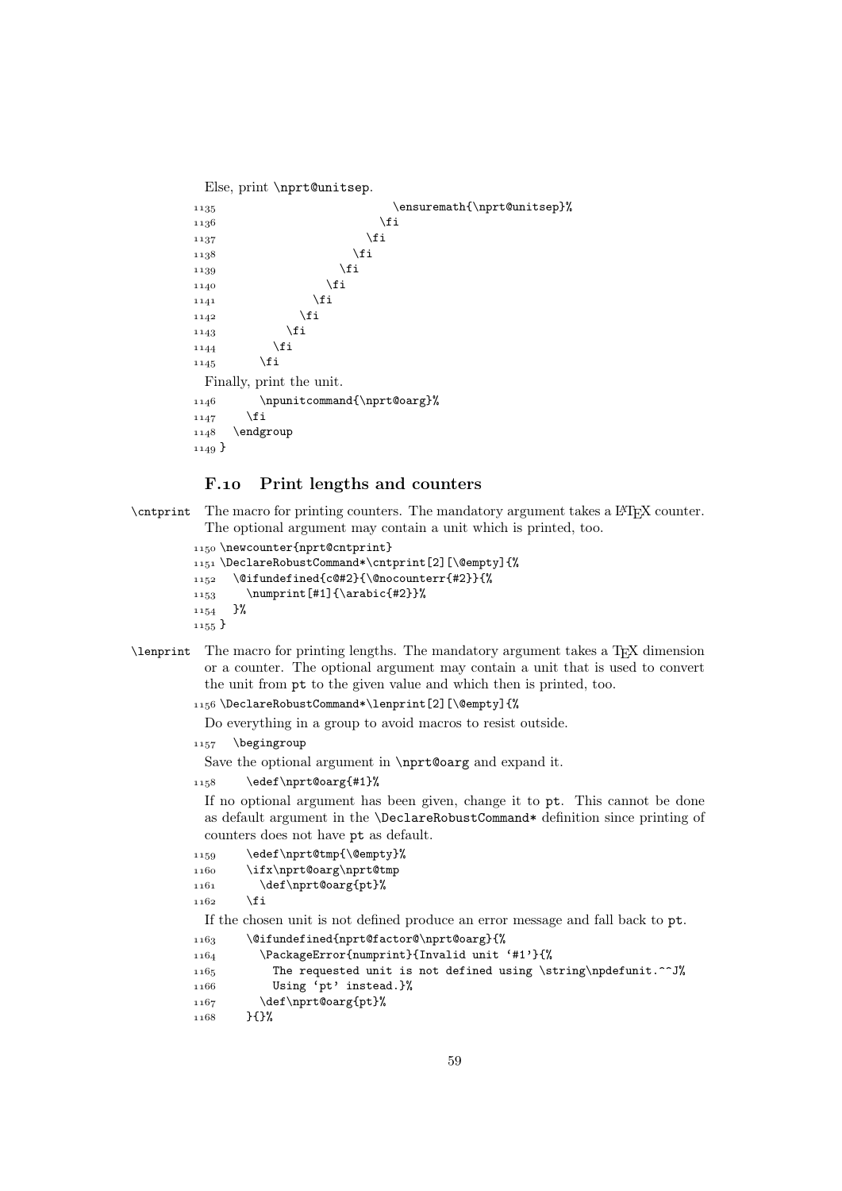```
Else, print \nprt@unitsep.
1135 \ensuremath{\nprt@unitsep}%
 \fi
\frac{1137}{1137}1138 \fi
 \fi
 \fi
11411142 \fi
1143 \fi
\bigcup_{1144} \fi
1145 \fi
 Finally, print the unit.
1146 \npunitcommand{\nprt@oarg}%
1147 \fi
1148 \endgroup
1149}
```
## F.10 Print lengths and counters

\cntprint The macro for printing counters. The mandatory argument takes a LATEX counter. The optional argument may contain a unit which is printed, too.

```
1150 \newcounter{nprt@cntprint}
1151 \DeclareRobustCommand*\cntprint[2][\@empty]{%
1152 \@ifundefined{c@#2}{\@nocounterr{#2}}{%
_{1153} \numprint[#1]{\arabic{#2}}%
1154 }%
1155}
```
\lenprint The macro for printing lengths. The mandatory argument takes a TEX dimension or a counter. The optional argument may contain a unit that is used to convert the unit from pt to the given value and which then is printed, too.

```
1156\DeclareRobustCommand*\lenprint[2][\@empty]{%
```
Do everything in a group to avoid macros to resist outside.

```
1157 \begingroup
```
Save the optional argument in \nprt@oarg and expand it.

```
1158 \edef\nprt@oarg{#1}%
```
If no optional argument has been given, change it to pt. This cannot be done as default argument in the \DeclareRobustCommand\* definition since printing of counters does not have pt as default.

```
1159 \edef\nprt@tmp{\@empty}%
1160 \ifx\nprt@oarg\nprt@tmp
1161 \def\nprt@oarg{pt}%
1162 \fi
 If the chosen unit is not defined produce an error message and fall back to pt.
```

```
1163 \@ifundefined{nprt@factor@\nprt@oarg}{%
1164 \PackageError{numprint}{Invalid unit '#1'}{%
1165 The requested unit is not defined using \string\npdefunit.^^J%
1166 Using 'pt' instead.}%
1167 \def\nprt@oarg{pt}%
1168 }{}%
```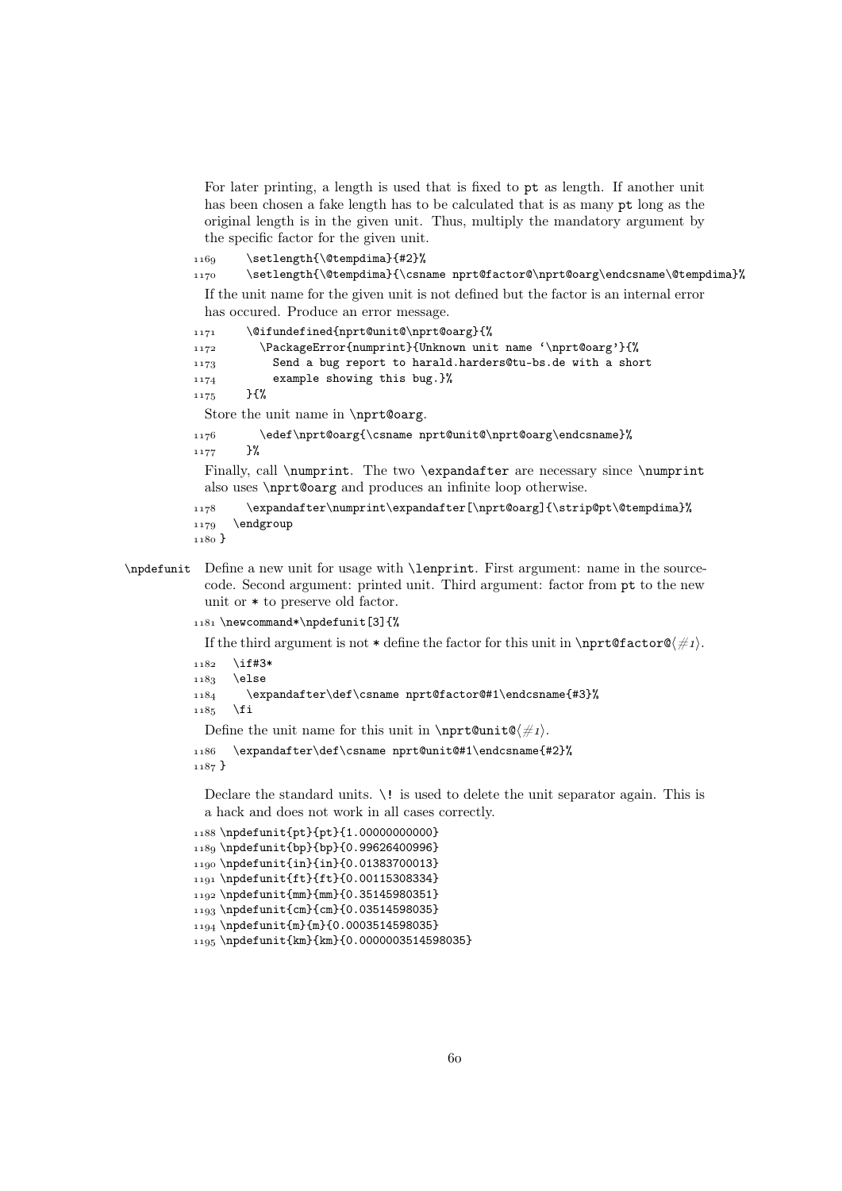For later printing, a length is used that is fixed to pt as length. If another unit has been chosen a fake length has to be calculated that is as many pt long as the original length is in the given unit. Thus, multiply the mandatory argument by the specific factor for the given unit.

1160 \setlength{\@tempdima}{#2}% 1170 \setlength{\@tempdima}{\csname nprt@factor@\nprt@oarg\endcsname\@tempdima}%

If the unit name for the given unit is not defined but the factor is an internal error has occured. Produce an error message.

```
1171 \@ifundefined{nprt@unit@\nprt@oarg}{%
 \PackageError{numprint}{Unknown unit name '\nprt@oarg'}{%
 Send a bug report to harald.harders@tu-bs.de with a short
 example showing this bug.}%
1175 }{%
 Store the unit name in \nprt@oarg.
1176 \edef\nprt@oarg{\csname nprt@unit@\nprt@oarg\endcsname}%
```
 $1177$  }%

Finally, call \numprint. The two \expandafter are necessary since \numprint also uses \nprt@oarg and produces an infinite loop otherwise.

```
1178 \expandafter\numprint\expandafter[\nprt@oarg]{\strip@pt\@tempdima}%
1179 \endgroup
```

```
1180}
```

```
\npdefunit Define a new unit for usage with \lenprint. First argument: name in the source-
            code. Second argument: printed unit. Third argument: factor from pt to the new
            unit or * to preserve old factor.
```
1181 \newcommand\*\npdefunit[3]{%

If the third argument is not  $*$  define the factor for this unit in \nprt@factor@ $\#_1$ .

```
1182 \if#3*
```

```
1183 \else
```

```
1184 \expandafter\def\csname nprt@factor@#1\endcsname{#3}%
```
 $1185$  \fi

Define the unit name for this unit in \nprt@unit@ $\#_1$ .

```
 \expandafter\def\csname nprt@unit@#1\endcsname{#2}%
1187}
```
Declare the standard units. \! is used to delete the unit separator again. This is a hack and does not work in all cases correctly.

```
1188 \ln\{pt}{pt}{pt}{1.0000000000}1189 \npdefunit{bp}{bp}{0.99626400996}
1190 \npdefunit{in}{in}{0.01383700013}
1191 \npdefunit{ft}{ft}{0.00115308334}
1192 \npdefunit{mm}{mm}{0.35145980351}
1103\npdefunit{cm}{cm}{0.03514598035}
_{1194} \npdefunit{m}{m}{0.0003514598035}
1195\npdefunit{km}{km}{0.0000003514598035}
```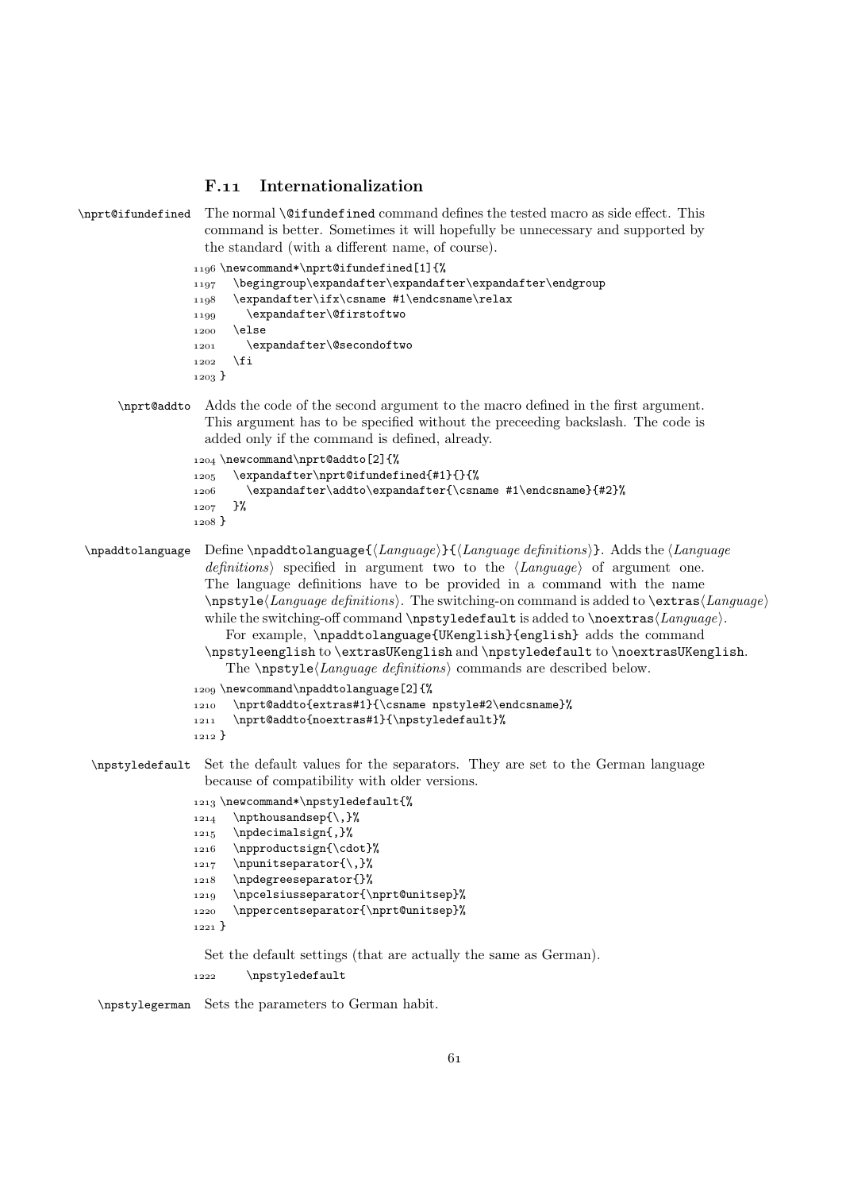## F.11 Internationalization

```
\nprt@ifundefined The normal \@ifundefined command defines the tested macro as side effect. This
                    command is better. Sometimes it will hopefully be unnecessary and supported by
                    the standard (with a different name, of course).
                  1196\newcommand*\nprt@ifundefined[1]{%
                  1197 \begingroup\expandafter\expandafter\expandafter\endgroup
                  1198 \expandafter\ifx\csname #1\endcsname\relax
                  1199 \expandafter\@firstoftwo
                  1200 \else
                  1201 \expandafter\@secondoftwo
                  _{1202} \fi
                  1203}
      \nprt@addto Adds the code of the second argument to the macro defined in the first argument.
                    This argument has to be specified without the preceeding backslash. The code is
                    added only if the command is defined, already.
                  1204 \newcommand\nprt@addto[2]{%
                  1205 \expandafter\nprt@ifundefined{#1}{}{%
                  1206 \expandafter\addto\expandafter{\csname #1\endcsname}{#2}%
                  1207 \frac{1}{8}1208 }
\npaddtolanguage Define \npaddtolanguage{\langle Language\rangle}{\langle Language definitions\rangle}. Adds the \langle Languagedefinitions) specified in argument two to the \langle Language\rangle of argument one.
                    The language definitions have to be provided in a command with the name
                    \n\n\psi\leq\text{Language definitions}. The switching-on command is added to \exists x \in \text{Language}while the switching-off command \npstyledefault is added to \noextras\langle Language \rangle.
                       For example, \npaddtolanguage{UKenglish}{english} adds the command
                    \npstyleenglish to \extrasUKenglish and \npstyledefault to \noextrasUKenglish.
                       The \n\angle Lapstyle\angle Language\ definitions commands are described below.
                  1209 \newcommand\npaddtolanguage[2]{%
                  1210 \nprt@addto{extras#1}{\csname npstyle#2\endcsname}%
                  1211 \nprt@addto{noextras#1}{\npstyledefault}%
                  1212}
 \npstyledefault Set the default values for the separators. They are set to the German language
                    because of compatibility with older versions.
                  1213 \newcommand*\npstyledefault{%
                  _{1214} \npthousandsep{\,}%
                  1215 \npdecimalsign{,}%
                  1216 \npproductsign{\cdot}%
                  1217 \npunitseparator{\,}%
                  1218 \npdegreeseparator{}%
                  1219 \npcelsiusseparator{\nprt@unitsep}%
                  1220 \nppercentseparator{\nprt@unitsep}%
                  1221Set the default settings (that are actually the same as German).
```
1222 \npstyledefault

\npstylegerman Sets the parameters to German habit.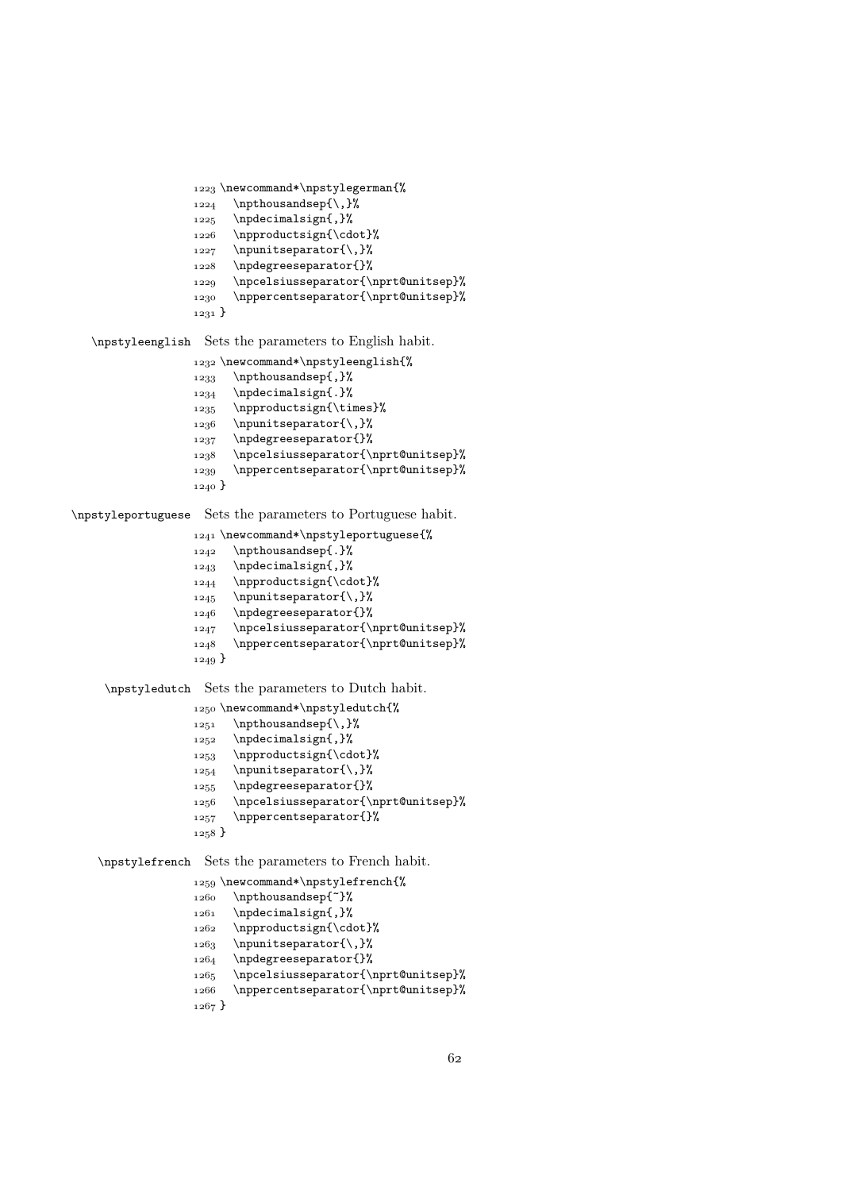```
1223 \newcommand*\npstylegerman{%
1224 \npthousandsep{\,}%
1225 \npdecimalsign{,}%
1226 \npproductsign{\cdot}%
_{1227} \npunitseparator{\,}%
1228 \npdegreeseparator{}%
1229 \npcelsiusseparator{\nprt@unitsep}%
 \nppercentseparator{\nprt@unitsep}%
_{1231}}
```
\npstyleenglish Sets the parameters to English habit.

```
1232\newcommand*\npstyleenglish{%
1233 \npthousandsep{,}%
1234 \npdecimalsign{.}%
1235 \npproductsign{\times}%
1236 \npunitseparator{\,}%
1237 \npdegreeseparator{}%
 \npcelsiusseparator{\nprt@unitsep}%
1239 \nppercentseparator{\nprt@unitsep}%
1240 }
```
\npstyleportuguese Sets the parameters to Portuguese habit.

```
1241 \newcommand*\npstyleportuguese{%
             1242 \npthousandsep{.}%
             _{1243} \npdecimalsign{,}%
             _{1244} \npproductsign{\cdot}%
             1245 \npunitseparator{\,}%
             1246 \npdegreeseparator{}%
             1247 \npcelsiusseparator{\nprt@unitsep}%
             1248 \nppercentseparator{\nprt@unitsep}%
             1249\npstyledutch Sets the parameters to Dutch habit.
             1250 \newcommand*\npstyledutch{%
             _{1251} \npthousandsep{\,}%
             _{1252} \npdecimalsign{,}%
```

```
1253 \npproductsign{\cdot}%
1254 \npunitseparator{\,}%
```

```
1255 \npdegreeseparator{}%
```

```
 \npcelsiusseparator{\nprt@unitsep}%
```

```
1257 \nppercentseparator{}%
```

```
_{1258} }
```
\npstylefrench Sets the parameters to French habit.

```
1259 \newcommand*\npstylefrench{%
1260 \npthousandsep{"}%
1261 \npdecimalsign{,}%
1262 \npproductsign{\cdot}%
1263 \npunitseparator{\,}%
1264 \npdegreeseparator{}%
1265 \npcelsiusseparator{\nprt@unitsep}%
 \nppercentseparator{\nprt@unitsep}%
1267}
```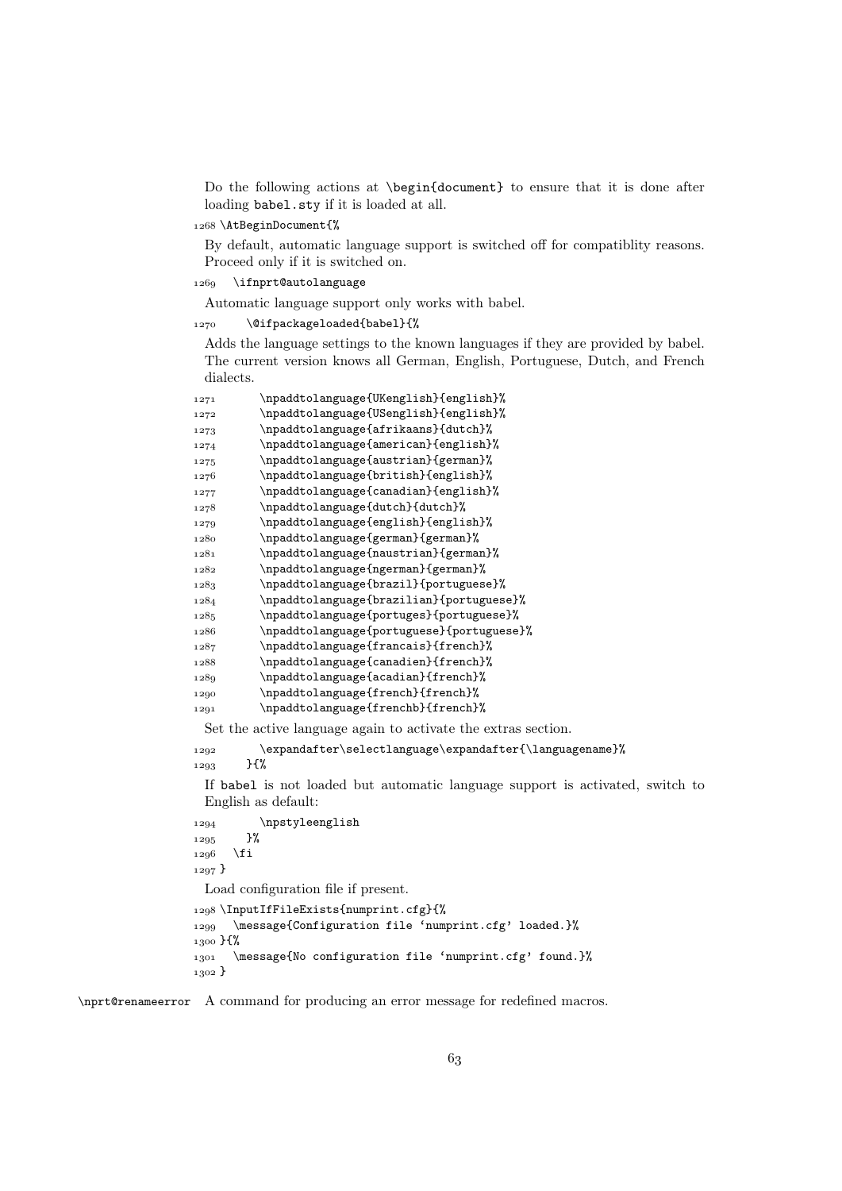Do the following actions at \begin{document} to ensure that it is done after loading babel.sty if it is loaded at all.

1268 \AtBeginDocument{%

By default, automatic language support is switched off for compatiblity reasons. Proceed only if it is switched on.

1269 \ifnprt@autolanguage

Automatic language support only works with babel.

1270 \@ifpackageloaded{babel}{%

Adds the language settings to the known languages if they are provided by babel. The current version knows all German, English, Portuguese, Dutch, and French dialects.

| 1271 | \npaddtolanguage{UKenglish}{english}%                         |
|------|---------------------------------------------------------------|
| 1272 | \npaddtolanguage{USenglish}{english}%                         |
| 1273 | \npaddtolanguage{afrikaans}{dutch}%                           |
| 1274 | \npaddtolanguage{american}{english}%                          |
| 1275 | \npaddtolanguage{austrian}{german}%                           |
| 1276 | \npaddtolanguage{british}{english}%                           |
| 1277 | \npaddtolanguage{canadian}{english}%                          |
| 1278 | \npaddtolanguage{dutch}{dutch}%                               |
| 1279 | \npaddtolanguage{english}{english}%                           |
| 1280 | \npaddtolanguage{german}{german}%                             |
| 1281 | \npaddtolanguage{naustrian}{german}%                          |
| 1282 | \npaddtolanguage{ngerman}{german}%                            |
| 1283 | \npaddtolanguage{brazil}{portuguese}%                         |
| 1284 | \npaddtolanguage{brazilian}{portuguese}%                      |
| 1285 | \npaddtolanguage{portuges}{portuguese}%                       |
| 1286 | \npaddtolanguage{portuguese}{portuguese}%                     |
| 1287 | \npaddtolanguage{francais}{french}%                           |
| 1288 | \npaddtolanguage{canadien}{french}%                           |
| 1289 | \npaddtolanguage{acadian}{french}%                            |
| 1290 | \npaddtolanguage{french}{french}%                             |
| 1291 | \npaddtolanguage{frenchb}{french}%                            |
|      | Set the active language again to activate the extras section. |

\expandafter\selectlanguage\expandafter{\languagename}%

 $1293$  }{%

If babel is not loaded but automatic language support is activated, switch to English as default:

```
1294 \npstyleenglish
1295 }%
1296 \fi
1297}
 Load configuration file if present.
1208 \InputIfFileExists{numprint.cfg}{%
1299 \message{Configuration file 'numprint.cfg' loaded.}%
1300 H%
1301 \message{No configuration file 'numprint.cfg' found.}%
1302 }
```
\nprt@renameerror A command for producing an error message for redefined macros.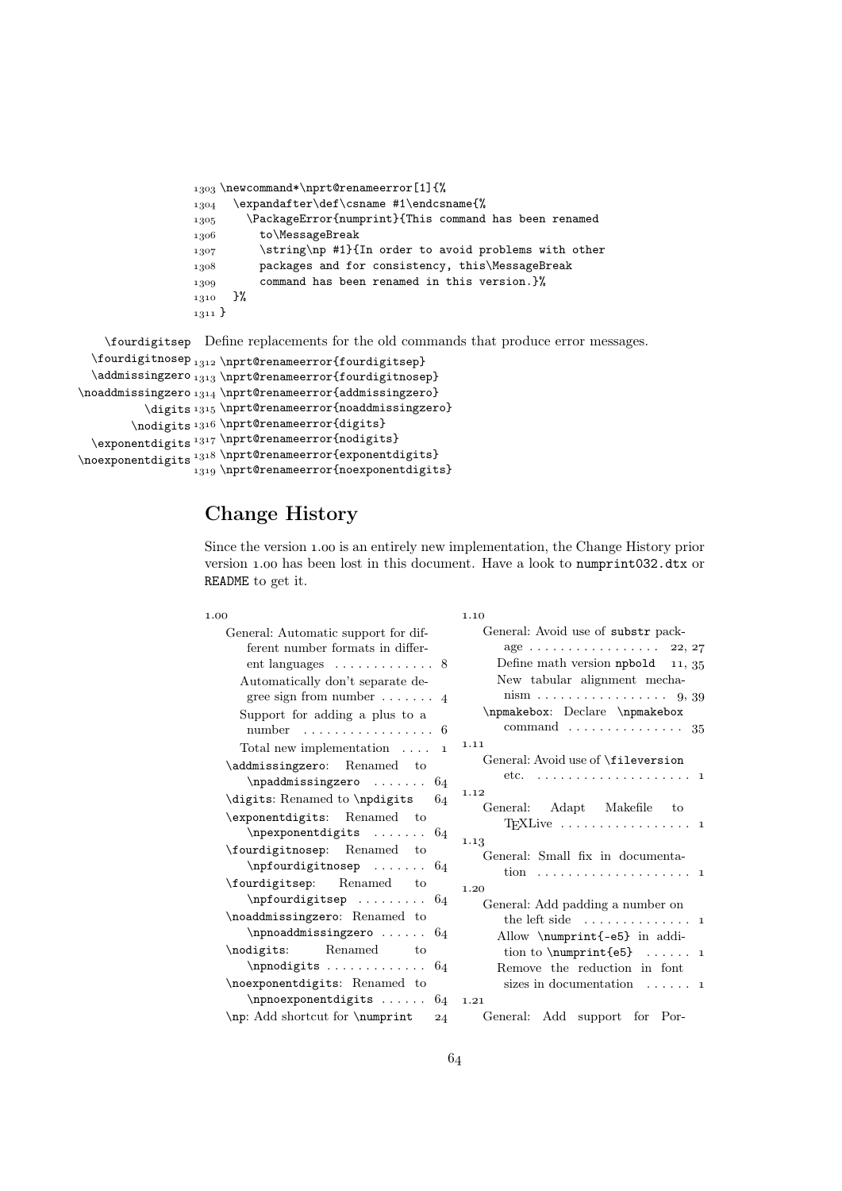```
1303 \newcommand*\nprt@renameerror[1]{%
1304 \expandafter\def\csname #1\endcsname{%
1305 \PackageError{numprint}{This command has been renamed
1306 to\MessageBreak
1307 \string\np #1}{In order to avoid problems with other
 packages and for consistency, this\MessageBreak
1309 command has been renamed in this version.}%
1310 }%
_{1311} }
```
\fourdigitsep Define replacements for the old commands that produce error messages.  $\forall$ fourdigitnosep<sub>1312</sub> $\prime$ prt@renameerror{fourdigitsep}  $\addmissing$ zero  $_{1313}$  \nprt@renameerror{fourdigitnosep}  $\n\mod\ndmissingzero_{1314} \nper\@{}$  $\displaystyle \Delta_{1315} \in \mathbb{C}$ renameerror{noaddmissingzero}

```
\nodigits<sup>1316</sup> \nprt@renameerror{digits}
  \exp\{1\} \nprt@renameerror{nodigits}
\noexponentdigits<sup>1318</sup> \nprt@renameerror{exponentdigits}
                  1319 \nprt@renameerror{noexponentdigits}
```
# Change History

Since the version 1.00 is an entirely new implementation, the Change History prior version 1.00 has been lost in this document. Have a look to numprint032.dtx or README to get it.

1.10

#### 1.00

| General: Automatic support for dif-                  | Gε          |
|------------------------------------------------------|-------------|
| ferent number formats in differ-                     |             |
| ent languages $\dots \dots \dots \dots$ 8            |             |
| Automatically don't separate de-                     |             |
| gree sign from number $\dots \dots$ 4                |             |
| Support for adding a plus to a                       | $\mathbf n$ |
| number<br>6                                          |             |
| Total new implementation $\dots$<br>$\mathbf{1}$     | 1.11        |
| \addmissingzero: Renamed to                          | Gε          |
| \npaddmissingzero<br>64                              |             |
| \digits: Renamed to \npdigits<br>64                  | 1.12        |
| \exponentdigits: Renamed to                          | Gε          |
| $\n\begin{bmatrix}\n\text{operspace}\n\end{bmatrix}$ |             |
| \fourdigitnosep: Renamed to                          | 1.13        |
| \npfourdigitnosep<br>64                              | Gε          |
| \fourdigitsep: Renamed<br>to                         | 1.20        |
| $\n\pi$ fourdigitsep  64                             | G           |
| \noaddmissingzero: Renamed to                        |             |
| \npnoaddmissingzero $64$                             |             |
| Renamed<br>\nodigits:<br>to                          |             |
| $\n\$ {1}                                            |             |
| \noexponentdigits: Renamed to                        |             |
| $\n\$ {1}                                            | 1.21        |
| \np: Add shortcut for \numprint<br>24                | Gε          |

|                  | General: Avoid use of substr pack-                                 |
|------------------|--------------------------------------------------------------------|
|                  | age $\ldots \ldots \ldots \ldots \ldots 22, 27$                    |
| 8                | Define math version $npboldd 11, 35$                               |
|                  | New tabular alignment mecha-                                       |
| 4                | $\text{nism} \ldots \ldots \ldots \ldots \ldots \ldots \quad 9,39$ |
|                  | \npmakebox: Declare \npmakebox                                     |
| 6                | $command \dots \dots \dots \dots \dots \dots 35$                   |
| $\mathbf{1}$     | 1.11                                                               |
|                  | General: Avoid use of \fileversion                                 |
| $\mathfrak{i}_4$ | etc. $\ldots \ldots \ldots \ldots \ldots \ldots \ldots 1$          |
| $\mathfrak{i}_4$ | 1.12                                                               |
|                  | General: Adapt Makefile to                                         |
| $\mathfrak{z}_4$ |                                                                    |
|                  | 1.13                                                               |
| $\mathbf{i}_4$   | General: Small fix in documenta-                                   |
|                  |                                                                    |
| $\mathfrak{i}_4$ | 1.20                                                               |
|                  | General: Add padding a number on                                   |
|                  | the left side $\dots \dots \dots \dots \dots$                      |
| $\mathfrak{i}_4$ | Allow \numprint{-e5} in addi-                                      |
|                  | tion to $\number{e5}$ 1                                            |
| $\mathfrak{z}_4$ | Remove the reduction in font                                       |
|                  | sizes in documentation $\dots \dots$ 1                             |
| $\mathfrak{i}_4$ | 1.21                                                               |
| $^{24}$          | General: Add support for Por-                                      |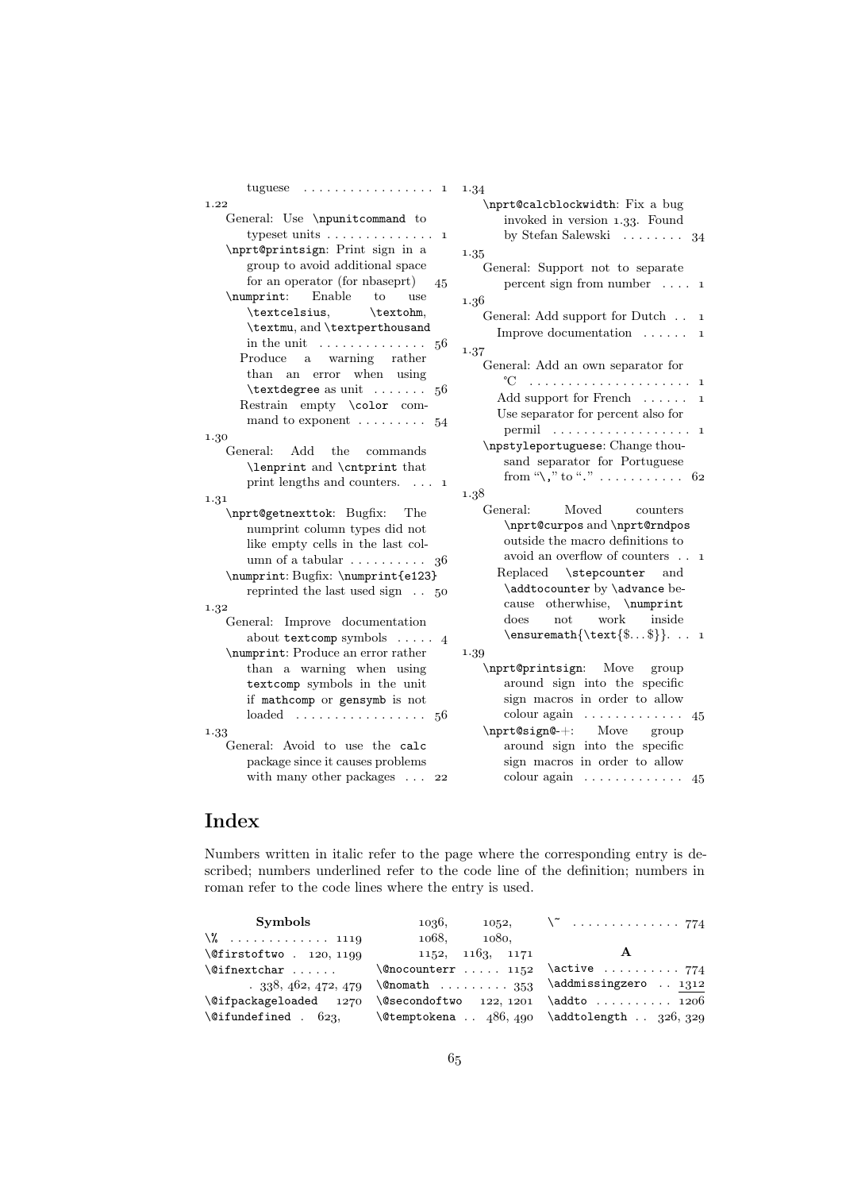| tuguese<br>. 1                                      | 1.34                                                              |
|-----------------------------------------------------|-------------------------------------------------------------------|
| 1.22                                                | \nprt@calcblockwidth: Fix a bug                                   |
| General: Use \npunitcommand to                      | invoked in version 1.33. Found                                    |
| typeset units<br>$\mathbf 1$                        | by Stefan Salewski<br>34                                          |
| \nprt@printsign: Print sign in a                    | 1.35                                                              |
| group to avoid additional space                     | General: Support not to separate                                  |
| for an operator (for nbaseprt)<br>45                | percent sign from number $\dots$ 1                                |
| \numprint: Enable<br>to<br>use                      | 1.36                                                              |
| \textcelsius,<br>\textohm,                          |                                                                   |
| \textmu, and \textperthousand                       | General: Add support for Dutch<br>$\mathbf{1}$                    |
| in the unit $\ldots \ldots \ldots \ldots$<br>56     | Improve documentation<br>$\mathbf{1}$                             |
| Produce<br>a warning rather                         | 1.37                                                              |
| an error when using<br>$_{\rm than}$                | General: Add an own separator for                                 |
| $\text{textdegree as unit} \ldots$<br>56            | °C                                                                |
| Restrain empty \color com-                          | Add support for French<br>$\mathbf{1}$                            |
|                                                     | Use separator for percent also for                                |
| mand to exponent $\dots \dots \dots$ 54             | $\mathbf 1$                                                       |
| 1.30                                                | \npstyleportuguese: Change thou-                                  |
| Add<br>the<br>General:<br>commands                  | sand separator for Portuguese                                     |
| \lenprint and \cntprint that                        | from "\," to "." $\dots \dots \dots$ 62                           |
| print lengths and counters. $\dots$<br>$\mathbf{1}$ | 1.38                                                              |
| 1.31                                                | General:<br>Moved<br>counters                                     |
| \nprt@getnexttok: Bugfix:<br>The                    |                                                                   |
| numprint column types did not                       | \nprt@curpos and \nprt@rndpos<br>outside the macro definitions to |
| like empty cells in the last col-                   |                                                                   |
| umn of a tabular $\dots \dots \dots$<br>36          | avoid an overflow of counters 1                                   |
| \numprint: Bugfix: \numprint{e123}                  | Replaced \stepcounter and                                         |
| reprinted the last used sign $\ldots$ 50            | \addtocounter by \advance be-                                     |
| 1.32                                                | cause otherwhise, \numprint                                       |
| General: Improve documentation                      | work<br>inside<br>$_{\rm does}$<br>not                            |
| about textcomp symbols $\ldots$ 4                   | $\text{$ { \text{\$\$}}.  1                                       |
| \numprint: Produce an error rather                  | 1.39                                                              |
| than a warning when using                           | \nprt@printsign: Move<br>group                                    |
| textcomp symbols in the unit                        | around sign into the specific                                     |
| if mathcomp or gensymb is not                       | sign macros in order to allow                                     |
| $loaded \dots \dots \dots \dots \dots$<br>56        | $\text{colour again} \dots \dots \dots \dots$<br>45               |
| 1.33                                                | \nprt@sign@-+: Move group                                         |
| General: Avoid to use the calc                      | around sign into the specific                                     |
| package since it causes problems                    | sign macros in order to allow                                     |
| with many other packages $\dots$<br>22              | colour again  45                                                  |
|                                                     |                                                                   |

# Index

Numbers written in italic refer to the page where the corresponding entry is described; numbers underlined refer to the code line of the definition; numbers in roman refer to the code lines where the entry is used.

| Symbols                             | 1036,                           | $1052, \qquad \qquad \qquad \backslash \qquad \ldots \ldots \ldots \ldots \qquad 774$ |
|-------------------------------------|---------------------------------|---------------------------------------------------------------------------------------|
| $\sqrt{2}$ 1119                     | 1080,<br>1068.                  |                                                                                       |
| $\left\{\Omega : 120, 1199\right\}$ | 1152, 1163, 1171                |                                                                                       |
|                                     |                                 |                                                                                       |
|                                     | $.338,462,472,479$ \comath  353 | \addmissingzero  1312                                                                 |
|                                     |                                 | $\alpha$ kageloaded 1270 \@secondoftwo 122, 1201 \addto  1206                         |
| $\setminus$ @ifundefined . $623,$   |                                 | $\text{\&}$ (Ctemptokena $486,490$ $\add$ tolength $326,329$                          |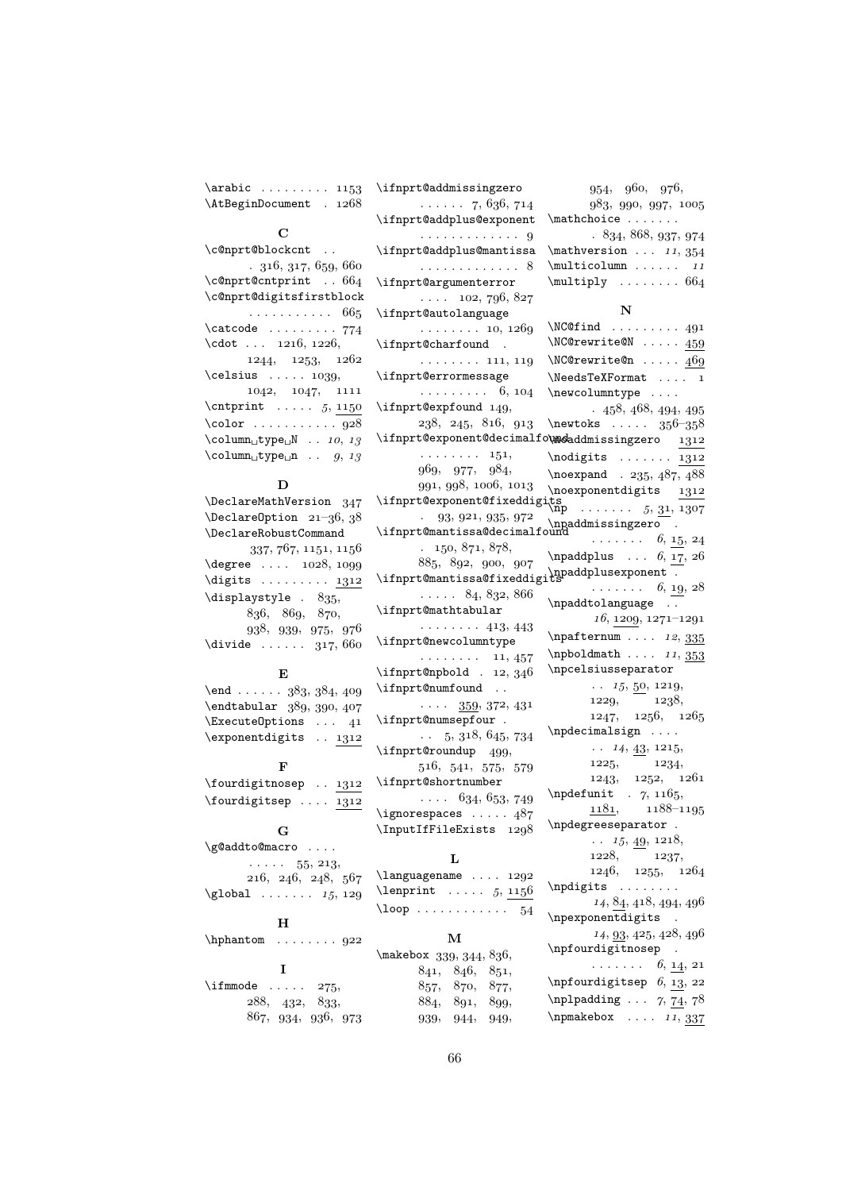$\arabic \dots \dots \dots \ 1153$ \AtBeginDocument . 1268

#### C

| \c@nprt@blockcnt                                     |
|------------------------------------------------------|
| .316,317,659,660                                     |
| $\emptyset$ c@nprt@cntprint  664                     |
| \c@nprt@digitsfirstblock                             |
| . 665                                                |
| $\texttt{\textbackslash}$                            |
| $\cdot 1216, 1226,$                                  |
| 1244, 1253, 1262                                     |
| $\ceth$ lelsius  1039,                               |
| 1042, 1047, 1111                                     |
| $\text{orphism } \ldots 5, 1150$                     |
| $\cdot$ 928                                          |
| $\text{Column}_\cup \text{type}_\cup N \dots 10, 13$ |
| $\text{Column_Utype\_{}n \dots g, 13}$               |

#### D

\DeclareMathVersion 347  $\Delta$ PeclareOption 21-36, 38 \DeclareRobustCommand  $337, 767, 1151, 1156$  $\label{eq:degree} \begin{array}{ccc} \texttt{degree} & \texttt{1028,1099} \end{array}$  $\dagger$  . . . . . . . . . 1312  $\displaystyle\bigcup_{35}$ , 836, 869, 870, 938, 939, 975, 976  $\div$   $\div$  ...... 317, 660

## E

| \end 383, 384, 409        |  |
|---------------------------|--|
| \endtabular 389, 390, 407 |  |
| ExecuteOptions  41        |  |
| \exponentdigits . 1312    |  |

#### F

| $\forall$ fourdigitnosep  1312 |  |  |
|--------------------------------|--|--|
| $\forall$ fourdigitsep  1312   |  |  |

#### G

| \g@addto@macro                           |
|------------------------------------------|
| $\cdots$ 55, 213,                        |
| 216, 246, 248, 567<br>$\qquad$ $15, 129$ |
|                                          |

## H

\hphantom . . . . . . . . I  $\binom{1}{275}$ 

```
288, 432, 833,867, 934, 936, 973
```
\ifnprt@addmissingzero  $\ldots$  . . . 7, 636, 714 \ifnprt@addplus@exponent . . . . . . . . . . . . . \ifnprt@addplus@mantissa . . . . . . . . . . . . . \ifnprt@argumenterror  $\ldots$  , 102, 796, 827 \ifnprt@autolanguage  $\ldots \ldots \ldots 10, 1269$ \ifnprt@charfound .  $\ldots \ldots \ldots$  111, 119 \ifnprt@errormessage  $\ldots \ldots \ldots 6, 104$ \ifnprt@expfound 149,  $238, 245, 816, 913$ \ifnprt@exponent@decimalfo\  $\ldots \ldots \ldots 151,$  $969, 977, 984,$  $991, 998, 1006, 1013$ \ifnprt@exponent@fixeddigit  $. \quad 93, 921, 935, 972$ \ifnprt@mantissa@decimalfou  $, 150, 871, 878,$ 885, 892, 900, 907  $\iint$ nprt@mantissa@fixeddigit  $\ldots$  . 84, 832, 866 \ifnprt@mathtabular  $\cdots \cdots$  413, 443 \ifnprt@newcolumntype  $\cdots \cdots \cdots 11, 457$  $\i{fnprt@npbold$  . 12, 346  $\verb|\ifhprt@numfound| |.$  $\cdots$  359, 372, 431 \ifnprt@numsepfour .  $\ldots$  5, 318, 645, 734 \ifnprt@roundup 499,  $516, 541, 575, 579$ \ifnprt@shortnumber  $\ldots$  634, 653, 749  $\iint$ gnorespaces ..... 487 \InputIfFileExists 1298 L  $\lambda$ languagename . . . . 1292  $\lambda$  . . . . . . . . . 5, 1156  $\lambda$  . . . . . . . . . . . . . 54  $954, 960, 976,$  $983, 990, 997, 1005$  $\mathcal{L}$  $.834, 868, 937, 974$  $\mathcal{L}$  ...  $11, 354$  $\text{multicolumn } ... ...$  $\text{Multiply} \dots \dots \ 664$ N  $\NCC$ find . . . . . . . . 491 \NC@rewrite@N . . . . . 450 \newcolumntype . . . . \npaddmissingzero . \npaddplusexponent . \npaddtolanguage . . \npcelsiusseparator \npdecimalsign .... \npdegreeseparator . \npdigits ....... \npexponentdigits .

| \npfo   |      |                | \makebox 339, 344, 836, |  |
|---------|------|----------------|-------------------------|--|
|         |      | 841, 846, 851, |                         |  |
| \npfo   |      | 857, 870, 877, |                         |  |
| $\n\pi$ |      | 891, 899,      | 884,                    |  |
| \npma   | 949, | 944,           | 939,                    |  |

| <b>IMOGT CAT TOCGIA</b><br>499                                                                                                                                                                                                                                                                                                                                                                                                                                                                                                            |
|-------------------------------------------------------------------------------------------------------------------------------------------------------------------------------------------------------------------------------------------------------------------------------------------------------------------------------------------------------------------------------------------------------------------------------------------------------------------------------------------------------------------------------------------|
| $\N$ C@rewrite@n  469                                                                                                                                                                                                                                                                                                                                                                                                                                                                                                                     |
| $\NeedsTeXFormat \ldots 1$                                                                                                                                                                                                                                                                                                                                                                                                                                                                                                                |
| \newcolumntype                                                                                                                                                                                                                                                                                                                                                                                                                                                                                                                            |
| .458,468,494,495                                                                                                                                                                                                                                                                                                                                                                                                                                                                                                                          |
| \newtoks $\ldots$ 356-358                                                                                                                                                                                                                                                                                                                                                                                                                                                                                                                 |
| <b>\modaddmissingzero</b> 1312                                                                                                                                                                                                                                                                                                                                                                                                                                                                                                            |
| $\n\odot\frac{1}{312}$                                                                                                                                                                                                                                                                                                                                                                                                                                                                                                                    |
| $\neq 235, 487, 488$                                                                                                                                                                                                                                                                                                                                                                                                                                                                                                                      |
| \noexponentdigits $\frac{1312}{1312}$                                                                                                                                                                                                                                                                                                                                                                                                                                                                                                     |
| ts<br>\np  5, 31, 1307                                                                                                                                                                                                                                                                                                                                                                                                                                                                                                                    |
| $\n\$ $\ldots$ $\ldots$ $\ldots$ $\ldots$ $\ldots$ $\ldots$ $\ldots$ $\ldots$ $\ldots$ $\ldots$ $\ldots$ $\ldots$ $\ldots$ $\ldots$ $\ldots$ $\ldots$ $\ldots$ $\ldots$ $\ldots$ $\ldots$ $\ldots$ $\ldots$ $\ldots$ $\ldots$ $\ldots$ $\ldots$ $\ldots$ $\ldots$ $\ldots$ $\ldots$ $\ldots$ $\ldots$ $\ldots$ $\ldots$ $\ldots$ $\ldots$                                                                                                                                                                                                 |
|                                                                                                                                                                                                                                                                                                                                                                                                                                                                                                                                           |
| $\npaddplus \ldots 6, 17, 26$                                                                                                                                                                                                                                                                                                                                                                                                                                                                                                             |
| $\label{thm:optimal} \begin{minipage}[c]{0.9\linewidth} \hline \text{spaddplusexponent} & \begin{array}{l} \hline \text{spaddplusexponent} & \begin{array}{l} \hline \text{spaddmap} & \begin{array}{l} \hline \text{spaddmap} & \begin{array}{l} \hline \text{spaddmap} & \begin{array}{l} \hline \text{spaddmap} & \begin{array}{l} \hline \text{spaddmap} & \begin{array}{l} \hline \text{spaddmap} & \begin{array}{l} \hline \text{spaddmap} & \begin{array}{l} \hline \text{spaddmap} & \begin{array}{l} \hline \text{spaddmap} & \$ |
| $\ldots \ldots 6, \underline{19}, 28$                                                                                                                                                                                                                                                                                                                                                                                                                                                                                                     |
| \npaddtolanguage .                                                                                                                                                                                                                                                                                                                                                                                                                                                                                                                        |
| $16, 1209, 1271 - 1291$                                                                                                                                                                                                                                                                                                                                                                                                                                                                                                                   |
| $\n\pi f$ ternum  12, 335                                                                                                                                                                                                                                                                                                                                                                                                                                                                                                                 |
| \npboldmath $11, 353$                                                                                                                                                                                                                                                                                                                                                                                                                                                                                                                     |
| \npcelsiusseparator                                                                                                                                                                                                                                                                                                                                                                                                                                                                                                                       |
| $\ldots$ 15, 50, 1219,                                                                                                                                                                                                                                                                                                                                                                                                                                                                                                                    |
| 1238,<br>1229,                                                                                                                                                                                                                                                                                                                                                                                                                                                                                                                            |
| 1229, 1230,<br>1247, 1256, 1265                                                                                                                                                                                                                                                                                                                                                                                                                                                                                                           |
| $\n\begin{bmatrix}\n\text{m} \\ \text{m}\n\end{bmatrix}\n\quad$                                                                                                                                                                                                                                                                                                                                                                                                                                                                           |
| $\cdots$ 14, $\underline{43}$ , 1215,                                                                                                                                                                                                                                                                                                                                                                                                                                                                                                     |
|                                                                                                                                                                                                                                                                                                                                                                                                                                                                                                                                           |
| $1225, 1234,$<br>1243, 1252, 1261                                                                                                                                                                                                                                                                                                                                                                                                                                                                                                         |
| \npdefunit $\gamma$ , 1165,                                                                                                                                                                                                                                                                                                                                                                                                                                                                                                               |
| $1181, 1188-1195$                                                                                                                                                                                                                                                                                                                                                                                                                                                                                                                         |
| $\verb \npdegreeseparator  .$                                                                                                                                                                                                                                                                                                                                                                                                                                                                                                             |
| $\ldots$ 15, <u>49</u> , 1218,                                                                                                                                                                                                                                                                                                                                                                                                                                                                                                            |
| 1228, 1237,                                                                                                                                                                                                                                                                                                                                                                                                                                                                                                                               |
| 1246, 1255, 1264                                                                                                                                                                                                                                                                                                                                                                                                                                                                                                                          |
| $\n\rightarrow \ldots$                                                                                                                                                                                                                                                                                                                                                                                                                                                                                                                    |
| 14, 84, 418, 494, 496                                                                                                                                                                                                                                                                                                                                                                                                                                                                                                                     |
| $\n\begin{cases}$                                                                                                                                                                                                                                                                                                                                                                                                                                                                                                                         |
| $14, \underline{93}, 425, 428, 496$                                                                                                                                                                                                                                                                                                                                                                                                                                                                                                       |
| $\n\pi$ fourdigitnosep                                                                                                                                                                                                                                                                                                                                                                                                                                                                                                                    |
| $\ldots \ldots 6, \underline{14}, 21$                                                                                                                                                                                                                                                                                                                                                                                                                                                                                                     |
| $\label{thm:optourd} \hbox{imforqundigitsep} \ \ \delta, \ \underline{13}, \ 22$                                                                                                                                                                                                                                                                                                                                                                                                                                                          |
| \nplpadding $\ldots$ 7, 74, 78                                                                                                                                                                                                                                                                                                                                                                                                                                                                                                            |
| \npmakebox $\dots 11, 337$                                                                                                                                                                                                                                                                                                                                                                                                                                                                                                                |
|                                                                                                                                                                                                                                                                                                                                                                                                                                                                                                                                           |

M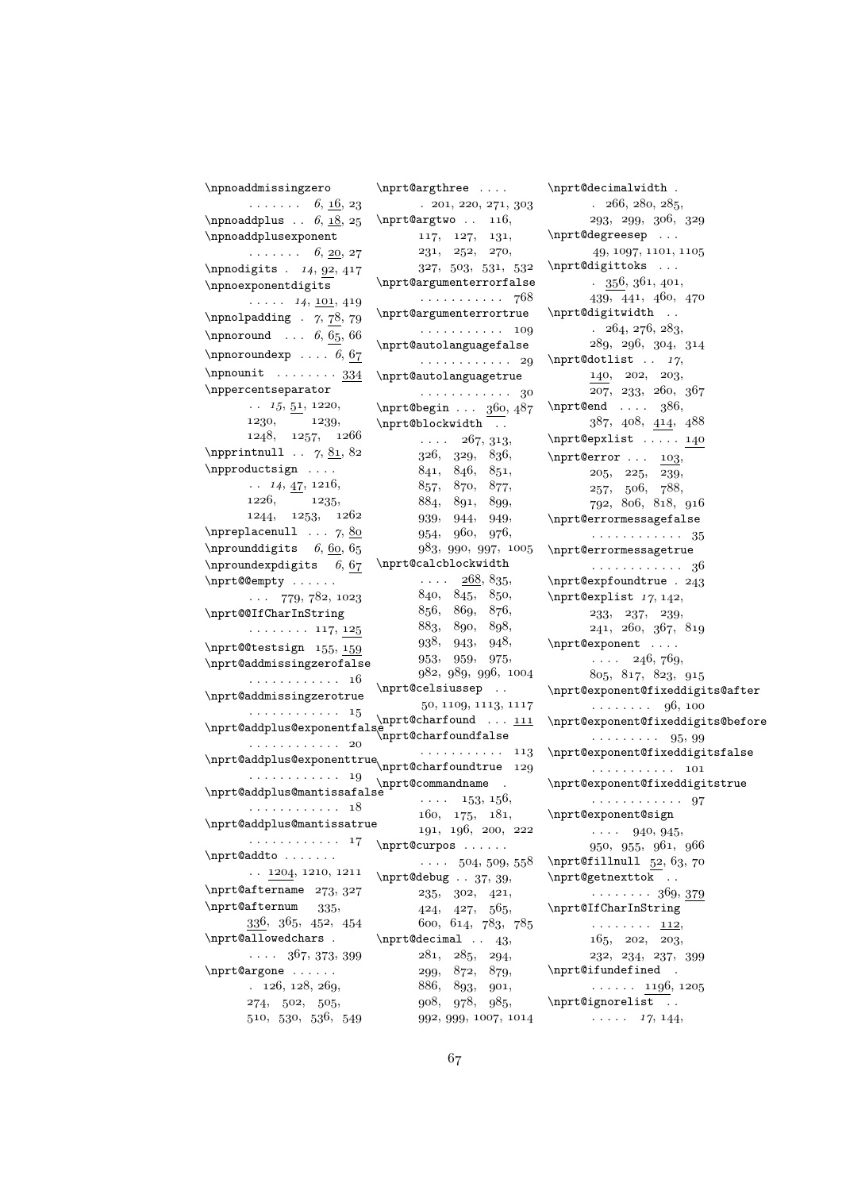```
\npnoaddmissingzero
      \dots \dots 6, <u>16</u>, 23
\npnoaddplus \ldots 6, 18, 25
\npnoaddplusexponent
      \ldots \ldots 6, <u>20</u>, 27
\n\npnodigits . 14, 92, 417\npnoexponentdigits
       \ldots . 14, \underline{101}, 419\npnolpadding . 7, 78, 79\n\hponoround \n... 6, 65, 66
\n\npnoroundexp \dots 6, 67\n\{1}
\nppercentseparator
       \ldots 15, 51, 1220,
       1230, 1239,1248, 1257, 1266\n\npprintnull . . 7, 81, 82\npproductsign . . . .
       \ldots 14, \underline{47}, 1216,
       1226, 1235,1244,\quad 1253,\quad 1262\npreplacenull \ldots 7, 80
\n\npround digits 6, 60, 65
\n\{hproundexp digits} 6, 67
\nprt@@empty . . . . . .
       \ldots 779, 782, 1023
\nprt@@IfCharInString
       \ldots \ldots \ldots 117, 125\nprt@@testsign 155, 159\nprt@addmissingzerofalse
       . . . . . . . . . . . . 
\nprt@addmissingzerotrue
       . . . . . . . . . . . 15
\nprt@addplus@exponentfalse
\nprt@charfoundfalse
       . . . . . . . . . . . . 
\nprt@addplus@exponenttrue
. . . . . . . . . . . 
       . . . . . . . . . . . . 
\nprt@addplus@mantissafalse
       . . . . . . . . . . 18
\nprt@addplus@mantissatrue
       . . . . . . . . . . . . 
\nprt@addto . . . . . . .
      \ldots 1204, 1210, 1211
\nprt@aftername 273, 327
\n\pit@afternum 335,
       336, 365, 452, 454\nprt@allowedchars .
       \cdots 367, 373, 399
\n\piCargone ......
       . 126, 128, 269,274, 502, 505,510, 530, 536, 549\nprt@argthree . . . .
                                   . 201, 220, 271, 303\n\pit@argtwo .. 116,
                                    117, 127, 131,231, 252, 270,327, \ \ 503, \ \ 531, \ \ 532\nprt@argumenterrorfalse
                                    . . . . . . . . . . 768
                             \nprt@argumenterrortrue
                                    . . . . . . . . . . . 
                             \nprt@autolanguagefalse
                                    . . . . . . . . . . . 29
                             \nprt@autolanguagetrue
                                    . . . . . . . . . . . . 
                             \n\pit@begin ... 360, 487
                             \nprt@blockwidth ..
                                    \cdots , 267, 313,326, 329, 836,841, 846, 851,857, 870, 877,
                                    884, 891, 899,
                                    939, 944, 949,954, 960, 976,983, 990, 997, 1005
                             \nprt@calcblockwidth
                                    \ldots , \frac{268}{5}, 835,
                                    840, 845, 850,
                                    856, 869, 876,
                                    883, 890, 898,938, 943, 948,953, 959, 975,982, 989, 996, 1004
                             \nprt@celsiussep . .
                                    50, 1109, 1113, 1117\n\pi t@charfound \dots 111\nprt@charfoundtrue 129
                            \nprt@commandname .
                                    \cdots . 153, 156,160, 175, 181,191, 196, 200, 222
                             \nprt@curpos . . . . . .
                                    \ldots 504, 509, 558
                             \n\pi\text{debug} . . 37, 39,
                                    235, 302, 421,424, 427, 565,600, 614, 783, 785\n\pi t@decimal \n. 43,281, 285, 294,299, 872, 879,886, 893, 901,
                                    908, 978, 985,
                                    992, 999, 1007, 1014
```
\nprt@decimalwidth .  $. \t266, 280, 285,$  $293, 299, 306, 329$ \nprt@degreesep ...  $49, 1097, 1101, 1105$ \nprt@digittoks ...  $. \ \ 356, 361, 401,$  $439, 441, 460, 470$ \nprt@digitwidth . .  $. \ \ 264, \ 276, \ 283,$  $289, 296, 304, 314$ \nprt@dotlist  $. 17$ ,  $140, 202, 203,$  $207, 233, 260, 367$ \nprt@end  $\dots$  , 386,  $387, 408, 414, 488$ \nprt@epxlist . . . . . 140  $\hbox{\tt \{nprt@error . . . . 103},}$  $205, 225, \overline{239},$ 257, 506, 788, 792, 806, 818, 916 \nprt@errormessagefalse . . . . . . . . . . . 35 \nprt@errormessagetrue . . . . . . . . . . . . 36 \nprt@expfoundtrue . 243  $\n\{\n\| \$ ist  $17, 142,$  $233, 237, 239,$  $241, 260, 367, 819$ \nprt@exponent . . . .  $\ldots$  ,  $246, 769$  $805, 817, 823, 915$ \nprt@exponent@fixeddigits@after  $\ldots \ldots$  . . . 96, 100 \nprt@exponent@fixeddigits@before . . . . . . . . 95, 99 \nprt@exponent@fixeddigitsfalse . . . . . . . . . . 101 \nprt@exponent@fixeddigitstrue . . . . . . . . . . . . \nprt@exponent@sign  $\cdots$  940, 945, 950, 955, 961, 966  $\n\partial f$ illnull 52, 63, 70 \nprt@getnexttok . .  $\cdots \cdots \cdots$  369, 379 \nprt@IfCharInString  $\cdots \cdots \cdots$  112,  $165, 202, 203,$  $232, 234, 237, 399$ \nprt@ifundefined .  $\ldots \ldots$  1196, 1205 \nprt@ignorelist . .  $\ldots$  ,  $17, 144,$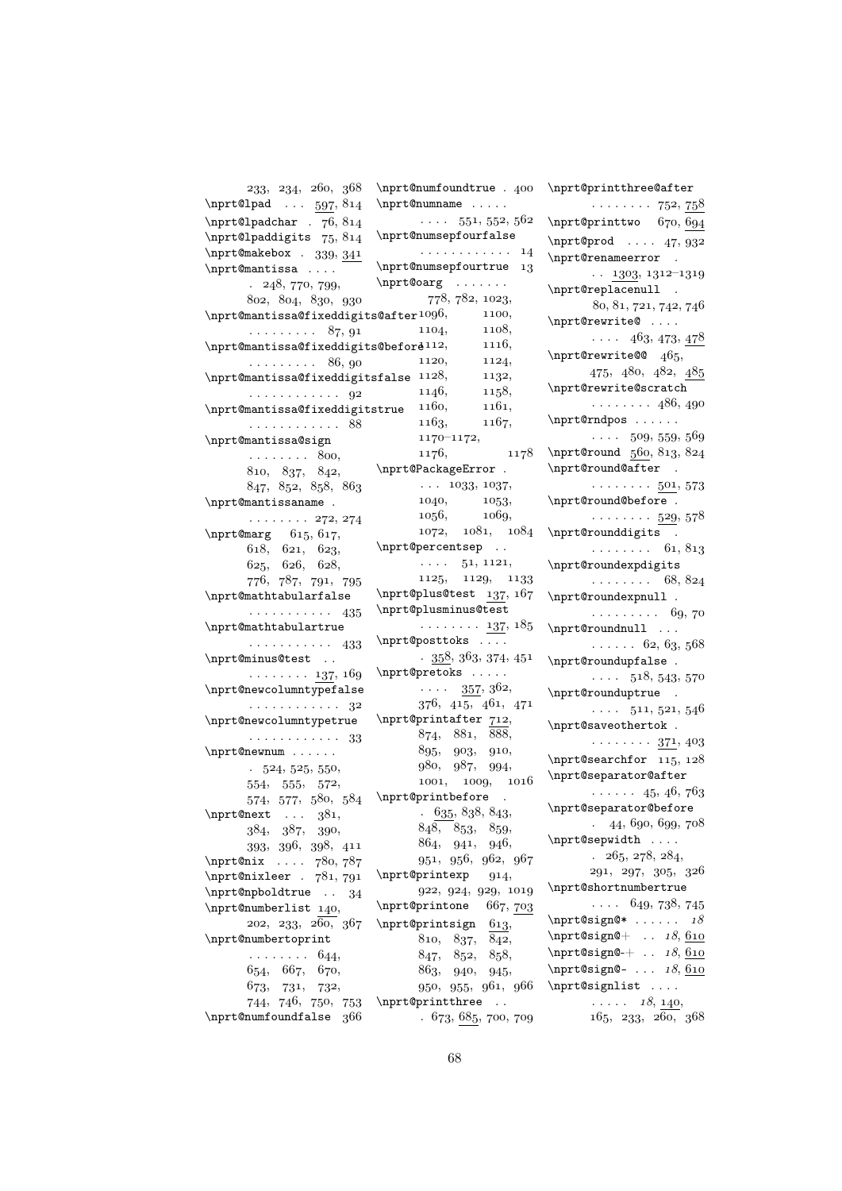| 233, 234, 260, 368                               | $\n\pi$ t@numfoundtrue . 400                  |
|--------------------------------------------------|-----------------------------------------------|
| \nprt@lpad $\ldots$ 597, 814                     | \nprt@numname                                 |
| \nprt@lpadchar . 76, 814                         | $\cdots$ 551, 552, 562                        |
| \nprt@lpaddigits 75, 814                         | \nprt@numsepfourfalse                         |
| \nprt@makebox . $339, 341$                       | . 14                                          |
| \nprt@mantissa                                   | \nprt@numsepfourtrue 13                       |
| 248, 770, 799,<br>$\mathbf{r}$                   | $\n{\n  t@oarg \n   \n   \n}$                 |
| 802, 804, 830, 930                               | 778, 782, 1023,                               |
| $\verb \nprint@mantissa@fixeddigits@after1096 ,$ | 1100,                                         |
| $\ldots \ldots \ldots 87, 91$                    | 1104, 1108,                                   |
| \nprt@mantissa@fixeddigits@beford112,            | 1116,                                         |
| $\ldots \ldots \ldots 86, 90$                    | 1120,                                         |
| $\n\$ {0}mantissa@fixeddigitsfalse 1128,         | $\begin{array}{c} 1124, \\ 1132, \end{array}$ |
| . 92                                             | 1146, 1158,                                   |
| \nprt@mantissa@fixeddigitstrue                   | $1160,$ $1161,$                               |
|                                                  | 1163, 1167,                                   |
| . 88                                             | $1170 - 1172,$                                |
| \nprt@mantissa@sign                              | 1176, 1178                                    |
| $\ldots \ldots \ldots 800,$                      | \nprt@PackageError .                          |
| 810, 837, 842,                                   | $\cdots$ 1033, 1037,                          |
| 847, 852, 858, 863                               |                                               |
| \nprt@mantissaname .                             | 1040, 1053,                                   |
| $\cdots \cdots \cdots$ 272, 274                  | 1056, 1069,                                   |
| $\n\begin{bmatrix}\n615, & 617\n\end{bmatrix}$   | 1072, 1081, 1084                              |
| 618, 621, 623,                                   | \nprt@percentsep                              |
| 625, 626, 628,                                   | $\cdots$ 51, 1121,                            |
| 776, 787, 791, 795                               | 1125, 1129, 1133                              |
| \nprt@mathtabularfalse                           | \nprt@plus@test 137, 167                      |
| . 435                                            | \nprt@plusminus@test                          |
| \nprt@mathtabulartrue                            | . <u>137,</u> 185                             |
| . 433                                            | \nprt@posttoks                                |
| \nprt@minus@test                                 | $\cdot$ 358, 363, 374, 451                    |
| $\cdots \cdots \cdots 137, 169$                  | \nprt@pretoks                                 |
| \nprt@newcolumntypefalse                         | $\cdots$ 357, 362,                            |
| $\cdots \cdots \cdots \cdots \cdots$ 32          | 376, 415, 461, 471                            |
| \nprt@newcolumntypetrue                          | $\n\pi$ t@printafter 712,                     |
| . 33                                             | 874, 881, 888,                                |
| \nprt@newnum                                     | 895, 903, 910,                                |
| $-524, 525, 550,$                                | 980, 987, 994,                                |
| 554, 555, 572,                                   | 1001, 1009, 1016                              |
|                                                  | 574, 577, 580, 584 \nprt@printbefore .        |
| \nprt@next $381,$ $635, 838, 843,$               |                                               |
| 384, 387, 390,                                   | 848, 853, 859,                                |
| 393, 396, 398, 411                               | 864, 941, 946,                                |
|                                                  | 951, 956, 962, 967                            |
| \nprt@nix  780,787<br>\nprt@nixleer . 781,791    | $\n\pi$ t@printexp 914,                       |
| \nprt@npboldtrue $. 34$                          | 922, 924, 929, 1019                           |
| \nprt@numberlist 140,                            | \nprt@printone 667, 703                       |
| 202, 233, 260, 367                               | $\n\pi$ t@printsign 613,                      |
| \nprt@numbertoprint                              | 810, 837, 842,                                |
| $\cdots \cdots \cdots 644,$                      | 847, 852, 858,                                |
| 654, 667, 670,                                   | 863, 940, 945,                                |
| 673, 731, 732,                                   | 950, 955, 961, 966                            |
| 744, 746, 750, 753                               | \nprt@printthree                              |
| \nprt@numfoundfalse 366                          | . 673, 685, 700, 709                          |
|                                                  |                                               |

\nprt@printthree@after  $\cdots \cdots \cdots$  752, 758  $\n\partial$ rt@printtwo 670, 694  $\n\pi t^\text{optd} \ldots$  47, 932 \nprt@renameerror .  $\ldots$  1303, 1312-1319 \nprt@replacenull .  $80, 81, 721, 742, 746$ \nprt@rewrite@ ....  $\cdots$  463, 473, 478  $\n\pi$ t@rewrite@@ 465, 475, 480, 482, 485 \nprt@rewrite@scratch  $\ldots \ldots$  486, 490 \nprt@rndpos . . . . . .  $\cdots$  509, 559, 569  $\n\partial_560, 813, 824$ \nprt@round@after .  $\cdots \cdots 501, 573$ \nprt@round@before . . . . . . . . . 529, 578 \nprt@rounddigits .  $\ldots \ldots \ldots 61, 813$ \nprt@roundexpdigits  $\ldots \ldots \ldots 68, 824$ \nprt@roundexpnull .  $\ldots \ldots \ldots 69,70$ \nprt@roundnull ...  $\ldots$  . 62, 63, 568 \nprt@roundupfalse.  $\cdots$  518, 543, 570 \nprt@rounduptrue .  $\cdots$  511, 521, 546 \nprt@saveothertok .  $\cdots \cdots \cdots 371, 403$ \nprt@searchfor  $115, 128$ \nprt@separator@after  $\cdots$  . . . 45, 46, 763 \nprt@separator@before  $. \quad 44,690,699,708$ \nprt@sepwidth . . . .  $. \; 265, \, 278, \, 284,$  $291, 297, 305, 326$ \nprt@shortnumbertrue  $\ldots$  649, 738, 745 \nprt@sign@\*  $\dots 18$  $\n\sqrt{0} \cdot 18, \underline{610}$  $\n\pi\text{Csign@-+ ... } 18,610$ \nprt@sign@- ...  $18,610$ \nprt@signlist ....  $\ldots$  ,  $18, 140,$  $165, 233, 260, 368$